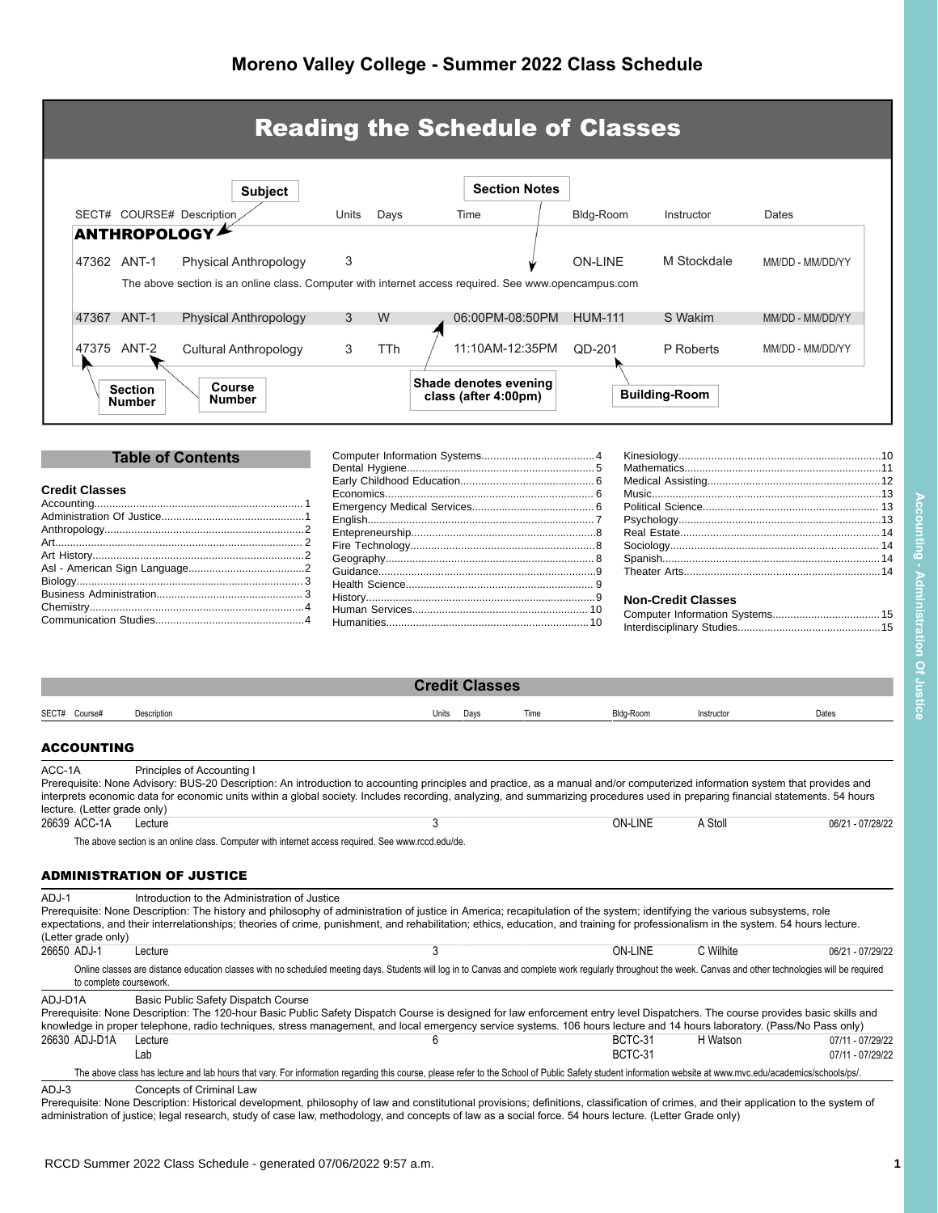|                                                         |                                                                                                                                                                                                                                                                                                                                                                                                                    |       |      | <b>Reading the Schedule of Classes</b>        |                      |                    |                           |                  |  |
|---------------------------------------------------------|--------------------------------------------------------------------------------------------------------------------------------------------------------------------------------------------------------------------------------------------------------------------------------------------------------------------------------------------------------------------------------------------------------------------|-------|------|-----------------------------------------------|----------------------|--------------------|---------------------------|------------------|--|
|                                                         | <b>Subject</b>                                                                                                                                                                                                                                                                                                                                                                                                     |       |      |                                               | <b>Section Notes</b> |                    |                           |                  |  |
| SECT# COURSE# Description                               |                                                                                                                                                                                                                                                                                                                                                                                                                    | Units | Days | Time                                          |                      | Bldg-Room          | Instructor                | Dates            |  |
| <b>ANTHROPOLOGY</b>                                     |                                                                                                                                                                                                                                                                                                                                                                                                                    |       |      |                                               |                      |                    |                           |                  |  |
| 47362 ANT-1                                             |                                                                                                                                                                                                                                                                                                                                                                                                                    | 3     |      |                                               |                      | <b>ON-LINE</b>     | M Stockdale               | MM/DD - MM/DD/YY |  |
|                                                         | Physical Anthropology                                                                                                                                                                                                                                                                                                                                                                                              |       |      |                                               |                      |                    |                           |                  |  |
|                                                         | The above section is an online class. Computer with internet access required. See www.opencampus.com                                                                                                                                                                                                                                                                                                               |       |      |                                               |                      |                    |                           |                  |  |
| 47367 ANT-1                                             | <b>Physical Anthropology</b>                                                                                                                                                                                                                                                                                                                                                                                       | 3     | W    | 06:00PM-08:50PM                               |                      | <b>HUM-111</b>     | S Wakim                   | MM/DD - MM/DD/YY |  |
|                                                         |                                                                                                                                                                                                                                                                                                                                                                                                                    |       |      |                                               |                      |                    |                           |                  |  |
| 47375 ANT-2                                             | <b>Cultural Anthropology</b>                                                                                                                                                                                                                                                                                                                                                                                       | 3     | TTh  | 11:10AM-12:35PM                               |                      | QD-201             | P Roberts                 | MM/DD - MM/DD/YY |  |
| <b>Section</b><br><b>Number</b>                         | Course<br>Number                                                                                                                                                                                                                                                                                                                                                                                                   |       |      | Shade denotes evening<br>class (after 4:00pm) |                      |                    | <b>Building-Room</b>      |                  |  |
|                                                         | <b>Table of Contents</b>                                                                                                                                                                                                                                                                                                                                                                                           |       |      |                                               |                      |                    |                           |                  |  |
|                                                         |                                                                                                                                                                                                                                                                                                                                                                                                                    |       |      |                                               |                      |                    |                           |                  |  |
| <b>Credit Classes</b>                                   |                                                                                                                                                                                                                                                                                                                                                                                                                    |       |      |                                               |                      |                    |                           |                  |  |
|                                                         |                                                                                                                                                                                                                                                                                                                                                                                                                    |       |      |                                               |                      |                    |                           |                  |  |
|                                                         |                                                                                                                                                                                                                                                                                                                                                                                                                    |       |      |                                               |                      |                    |                           |                  |  |
|                                                         |                                                                                                                                                                                                                                                                                                                                                                                                                    |       |      |                                               |                      |                    |                           |                  |  |
|                                                         |                                                                                                                                                                                                                                                                                                                                                                                                                    |       |      |                                               |                      |                    |                           |                  |  |
|                                                         |                                                                                                                                                                                                                                                                                                                                                                                                                    |       |      |                                               |                      |                    |                           |                  |  |
|                                                         |                                                                                                                                                                                                                                                                                                                                                                                                                    |       |      |                                               |                      |                    |                           |                  |  |
|                                                         |                                                                                                                                                                                                                                                                                                                                                                                                                    |       |      |                                               |                      |                    | <b>Non-Credit Classes</b> |                  |  |
|                                                         |                                                                                                                                                                                                                                                                                                                                                                                                                    |       |      |                                               |                      |                    |                           |                  |  |
|                                                         |                                                                                                                                                                                                                                                                                                                                                                                                                    |       |      | <b>Credit Classes</b>                         |                      |                    |                           |                  |  |
| SECT# Course#<br>Description                            |                                                                                                                                                                                                                                                                                                                                                                                                                    |       |      | Units<br>Days                                 | Time                 | Bldg-Room          | Instructor                | Dates            |  |
| <b>ACCOUNTING</b><br>ACC-1A                             | Principles of Accounting I<br>Prerequisite: None Advisory: BUS-20 Description: An introduction to accounting principles and practice, as a manual and/or computerized information system that provides and<br>interprets economic data for economic units within a global society. Includes recording, analyzing, and summarizing procedures used in preparing financial statements. 54 hours                      |       |      |                                               |                      |                    |                           |                  |  |
| lecture. (Letter grade only)<br>26639 ACC-1A<br>Lecture |                                                                                                                                                                                                                                                                                                                                                                                                                    |       |      | 3                                             |                      | <b>ON-LINE</b>     | A Stoll                   | 06/21 - 07/28/22 |  |
|                                                         | The above section is an online class. Computer with internet access required. See www.rccd.edu/de.                                                                                                                                                                                                                                                                                                                 |       |      |                                               |                      |                    |                           |                  |  |
| <b>ADMINISTRATION OF JUSTICE</b>                        |                                                                                                                                                                                                                                                                                                                                                                                                                    |       |      |                                               |                      |                    |                           |                  |  |
| ADJ-1<br>(Letter grade only)                            | Introduction to the Administration of Justice<br>Prerequisite: None Description: The history and philosophy of administration of justice in America; recapitulation of the system; identifying the various subsystems, role<br>expectations, and their interrelationships; theories of crime, punishment, and rehabilitation; ethics, education, and training for professionalism in the system. 54 hours lecture. |       |      |                                               |                      |                    |                           |                  |  |
| 26650 ADJ-1<br>Lecture                                  |                                                                                                                                                                                                                                                                                                                                                                                                                    |       |      | 3                                             |                      | <b>ON-LINE</b>     | C Wilhite                 | 06/21 - 07/29/22 |  |
| to complete coursework.                                 | Online classes are distance education classes with no scheduled meeting days. Students will log in to Canvas and complete work regularly throughout the week. Canvas and other technologies will be required                                                                                                                                                                                                       |       |      |                                               |                      |                    |                           |                  |  |
| ADJ-D1A                                                 | Basic Public Safety Dispatch Course<br>Prerequisite: None Description: The 120-hour Basic Public Safety Dispatch Course is designed for law enforcement entry level Dispatchers. The course provides basic skills and                                                                                                                                                                                              |       |      |                                               |                      |                    |                           |                  |  |
| 26630 ADJ-D1A<br>Lecture<br>Lab                         | knowledge in proper telephone, radio techniques, stress management, and local emergency service systems. 106 hours lecture and 14 hours laboratory. (Pass/No Pass only)                                                                                                                                                                                                                                            |       |      | 6                                             |                      | BCTC-31<br>BCTC-31 | H Watson                  | 07/11 - 07/29/22 |  |

<span id="page-0-1"></span><span id="page-0-0"></span>administration of justice; legal research, study of case law, methodology, and concepts of law as a social force. 54 hours lecture. (Letter Grade only)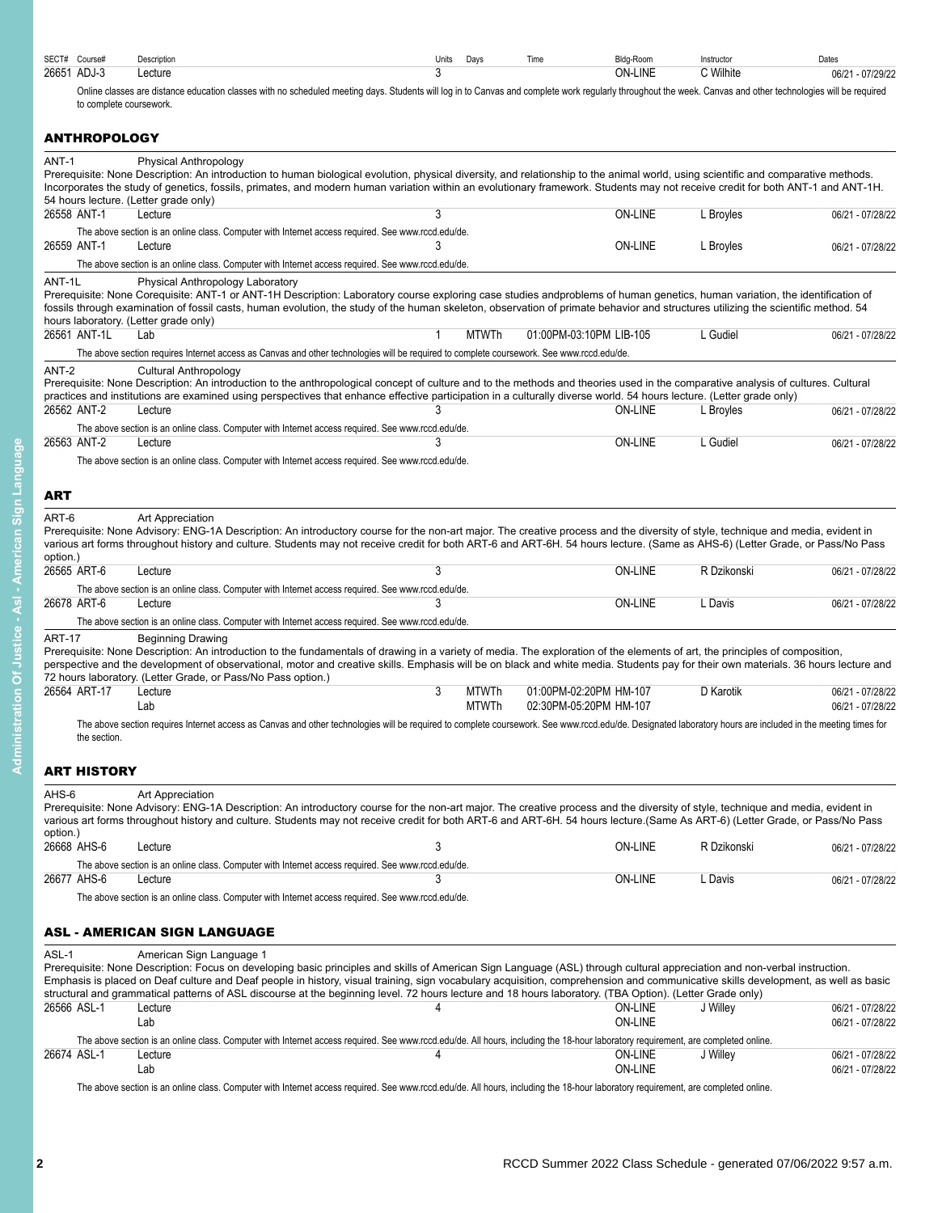| SECT#<br>Course# | Description | Units | Davs | ⊺ime | Bldg-Room      | Instructo            | Dates               |
|------------------|-------------|-------|------|------|----------------|----------------------|---------------------|
| 26651<br>ADJ-3   | ∟ecture     |       |      |      | <b>ON-LINE</b> | Nilhite <sup>1</sup> | $-07/29/2$<br>06/21 |

Online classes are distance education classes with no scheduled meeting days. Students will log in to Canvas and complete work regularly throughout the week. Canvas and other technologies will be required to complete coursework.

# <span id="page-1-0"></span>**ANTHROPOLOGY**

<span id="page-1-1"></span>

| ANT-1              | Physical Anthropology<br>Prerequisite: None Description: An introduction to human biological evolution, physical diversity, and relationship to the animal world, using scientific and comparative methods.                |              |              |                         |                |             |                  |
|--------------------|----------------------------------------------------------------------------------------------------------------------------------------------------------------------------------------------------------------------------|--------------|--------------|-------------------------|----------------|-------------|------------------|
|                    | Incorporates the study of genetics, fossils, primates, and modern human variation within an evolutionary framework. Students may not receive credit for both ANT-1 and ANT-1H.                                             |              |              |                         |                |             |                  |
| 26558 ANT-1        | 54 hours lecture. (Letter grade only)<br>Lecture                                                                                                                                                                           | 3            |              |                         | <b>ON-LINE</b> |             |                  |
|                    |                                                                                                                                                                                                                            |              |              |                         |                | L Broyles   | 06/21 - 07/28/22 |
|                    | The above section is an online class. Computer with Internet access required. See www.rccd.edu/de.                                                                                                                         | 3            |              |                         |                |             |                  |
| 26559 ANT-1        | Lecture                                                                                                                                                                                                                    |              |              |                         | <b>ON-LINE</b> | L Broyles   | 06/21 - 07/28/22 |
|                    | The above section is an online class. Computer with Internet access required. See www.rccd.edu/de.                                                                                                                         |              |              |                         |                |             |                  |
| ANT-1L             | Physical Anthropology Laboratory                                                                                                                                                                                           |              |              |                         |                |             |                  |
|                    | Prerequisite: None Corequisite: ANT-1 or ANT-1H Description: Laboratory course exploring case studies andproblems of human genetics, human variation, the identification of                                                |              |              |                         |                |             |                  |
|                    | fossils through examination of fossil casts, human evolution, the study of the human skeleton, observation of primate behavior and structures utilizing the scientific method. 54<br>hours laboratory. (Letter grade only) |              |              |                         |                |             |                  |
| 26561 ANT-1L       | Lab                                                                                                                                                                                                                        | $\mathbf{1}$ | <b>MTWTh</b> | 01:00PM-03:10PM LIB-105 |                | L Gudiel    | 06/21 - 07/28/22 |
|                    |                                                                                                                                                                                                                            |              |              |                         |                |             |                  |
|                    | The above section requires Internet access as Canvas and other technologies will be required to complete coursework. See www.rccd.edu/de.                                                                                  |              |              |                         |                |             |                  |
| ANT-2              | <b>Cultural Anthropology</b>                                                                                                                                                                                               |              |              |                         |                |             |                  |
|                    | Prerequisite: None Description: An introduction to the anthropological concept of culture and to the methods and theories used in the comparative analysis of cultures. Cultural                                           |              |              |                         |                |             |                  |
|                    | practices and institutions are examined using perspectives that enhance effective participation in a culturally diverse world. 54 hours lecture. (Letter grade only)                                                       |              |              |                         |                |             |                  |
| 26562 ANT-2        | Lecture                                                                                                                                                                                                                    |              |              |                         | ON-LINE        | L Broyles   | 06/21 - 07/28/22 |
|                    | The above section is an online class. Computer with Internet access required. See www.rccd.edu/de.                                                                                                                         |              |              |                         |                |             |                  |
| 26563 ANT-2        | Lecture                                                                                                                                                                                                                    | 3            |              |                         | <b>ON-LINE</b> | L Gudiel    | 06/21 - 07/28/22 |
|                    | The above section is an online class. Computer with Internet access required. See www.rccd.edu/de.                                                                                                                         |              |              |                         |                |             |                  |
|                    |                                                                                                                                                                                                                            |              |              |                         |                |             |                  |
| ART                |                                                                                                                                                                                                                            |              |              |                         |                |             |                  |
|                    |                                                                                                                                                                                                                            |              |              |                         |                |             |                  |
| ART-6              | Art Appreciation                                                                                                                                                                                                           |              |              |                         |                |             |                  |
|                    | Prerequisite: None Advisory: ENG-1A Description: An introductory course for the non-art major. The creative process and the diversity of style, technique and media, evident in                                            |              |              |                         |                |             |                  |
|                    | various art forms throughout history and culture. Students may not receive credit for both ART-6 and ART-6H. 54 hours lecture. (Same as AHS-6) (Letter Grade, or Pass/No Pass                                              |              |              |                         |                |             |                  |
| option.)           |                                                                                                                                                                                                                            | 3            |              |                         |                |             |                  |
| 26565 ART-6        | Lecture                                                                                                                                                                                                                    |              |              |                         | <b>ON-LINE</b> | R Dzikonski | 06/21 - 07/28/22 |
|                    | The above section is an online class. Computer with Internet access required. See www.rccd.edu/de.                                                                                                                         |              |              |                         |                |             |                  |
| 26678 ART-6        | Lecture                                                                                                                                                                                                                    | 3            |              |                         | <b>ON-LINE</b> | L Davis     | 06/21 - 07/28/22 |
|                    | The above section is an online class. Computer with Internet access required. See www.rccd.edu/de.                                                                                                                         |              |              |                         |                |             |                  |
| <b>ART-17</b>      | <b>Beginning Drawing</b>                                                                                                                                                                                                   |              |              |                         |                |             |                  |
|                    | Prerequisite: None Description: An introduction to the fundamentals of drawing in a variety of media. The exploration of the elements of art, the principles of composition,                                               |              |              |                         |                |             |                  |
|                    | perspective and the development of observational, motor and creative skills. Emphasis will be on black and white media. Students pay for their own materials. 36 hours lecture and                                         |              |              |                         |                |             |                  |
|                    | 72 hours laboratory. (Letter Grade, or Pass/No Pass option.)                                                                                                                                                               |              |              |                         |                |             |                  |
| 26564 ART-17       | Lecture                                                                                                                                                                                                                    | 3            | MTWTh        | 01:00PM-02:20PM HM-107  |                | D Karotik   | 06/21 - 07/28/22 |
|                    | Lab                                                                                                                                                                                                                        |              | MTWTh        | 02:30PM-05:20PM HM-107  |                |             | 06/21 - 07/28/22 |
|                    | The above section requires Internet access as Canvas and other technologies will be required to complete coursework. See www.rccd.edu/de. Designated laboratory hours are included in the meeting times for                |              |              |                         |                |             |                  |
| the section.       |                                                                                                                                                                                                                            |              |              |                         |                |             |                  |
|                    |                                                                                                                                                                                                                            |              |              |                         |                |             |                  |
| <b>ART HISTORY</b> |                                                                                                                                                                                                                            |              |              |                         |                |             |                  |
|                    |                                                                                                                                                                                                                            |              |              |                         |                |             |                  |
| AHS-6              | Art Appreciation                                                                                                                                                                                                           |              |              |                         |                |             |                  |
|                    | Prerequisite: None Advisory: ENG-1A Description: An introductory course for the non-art major. The creative process and the diversity of style, technique and media, evident in                                            |              |              |                         |                |             |                  |
|                    | various art forms throughout history and culture. Students may not receive credit for both ART-6 and ART-6H. 54 hours lecture. (Same As ART-6) (Letter Grade, or Pass/No Pass                                              |              |              |                         |                |             |                  |
| option.)           |                                                                                                                                                                                                                            |              |              |                         |                |             |                  |
| 26668 AHS-6        | Lecture                                                                                                                                                                                                                    | 3            |              |                         | <b>ON-LINE</b> | R Dzikonski | 06/21 - 07/28/22 |
|                    | The above section is an online class. Computer with Internet access required. See www.rccd.edu/de.                                                                                                                         |              |              |                         |                |             |                  |
| 26677 AHS-6        | Lecture                                                                                                                                                                                                                    | 3            |              |                         | ON-LINE        | L Davis     | 06/21 - 07/28/22 |
|                    | The above section is an online class. Computer with Internet access required. See www.rccd.edu/de.                                                                                                                         |              |              |                         |                |             |                  |
|                    |                                                                                                                                                                                                                            |              |              |                         |                |             |                  |
|                    | <b>ASL - AMERICAN SIGN LANGUAGE</b>                                                                                                                                                                                        |              |              |                         |                |             |                  |
|                    |                                                                                                                                                                                                                            |              |              |                         |                |             |                  |
| ASL-1              | American Sign Language 1                                                                                                                                                                                                   |              |              |                         |                |             |                  |
|                    | Prerequisite: None Description: Focus on developing basic principles and skills of American Sign Language (ASL) through cultural appreciation and non-verbal instruction.                                                  |              |              |                         |                |             |                  |
|                    | Emphasis is placed on Deaf culture and Deaf people in history, visual training, sign vocabulary acquisition, comprehension and communicative skills development, as well as basic                                          |              |              |                         |                |             |                  |
|                    | structural and grammatical patterns of ASL discourse at the beginning level. 72 hours lecture and 18 hours laboratory. (TBA Option). (Letter Grade only)                                                                   |              |              |                         |                |             |                  |
| 26566 ASL-1        | Lecture                                                                                                                                                                                                                    | 4            |              |                         | <b>ON-LINE</b> | J Willey    | 06/21 - 07/28/22 |
|                    | Lab                                                                                                                                                                                                                        |              |              |                         | <b>ON-LINE</b> |             | 06/21 - 07/28/22 |

26674 ASL-1 Lecture 4 ON-LINE J Willey 06/21 - 07/28/22 Lab ON-LINE 06/21 - 07/28/22 The above section is an online class. Computer with Internet access required. See www.rccd.edu/de. All hours, including the 18-hour laboratory requirement, are completed online.

<span id="page-1-3"></span><span id="page-1-2"></span>The above section is an online class. Computer with Internet access required. See www.rccd.edu/de. All hours, including the 18-hour laboratory requirement, are completed online.<br>
26674 ASL-1 Lecture JWilley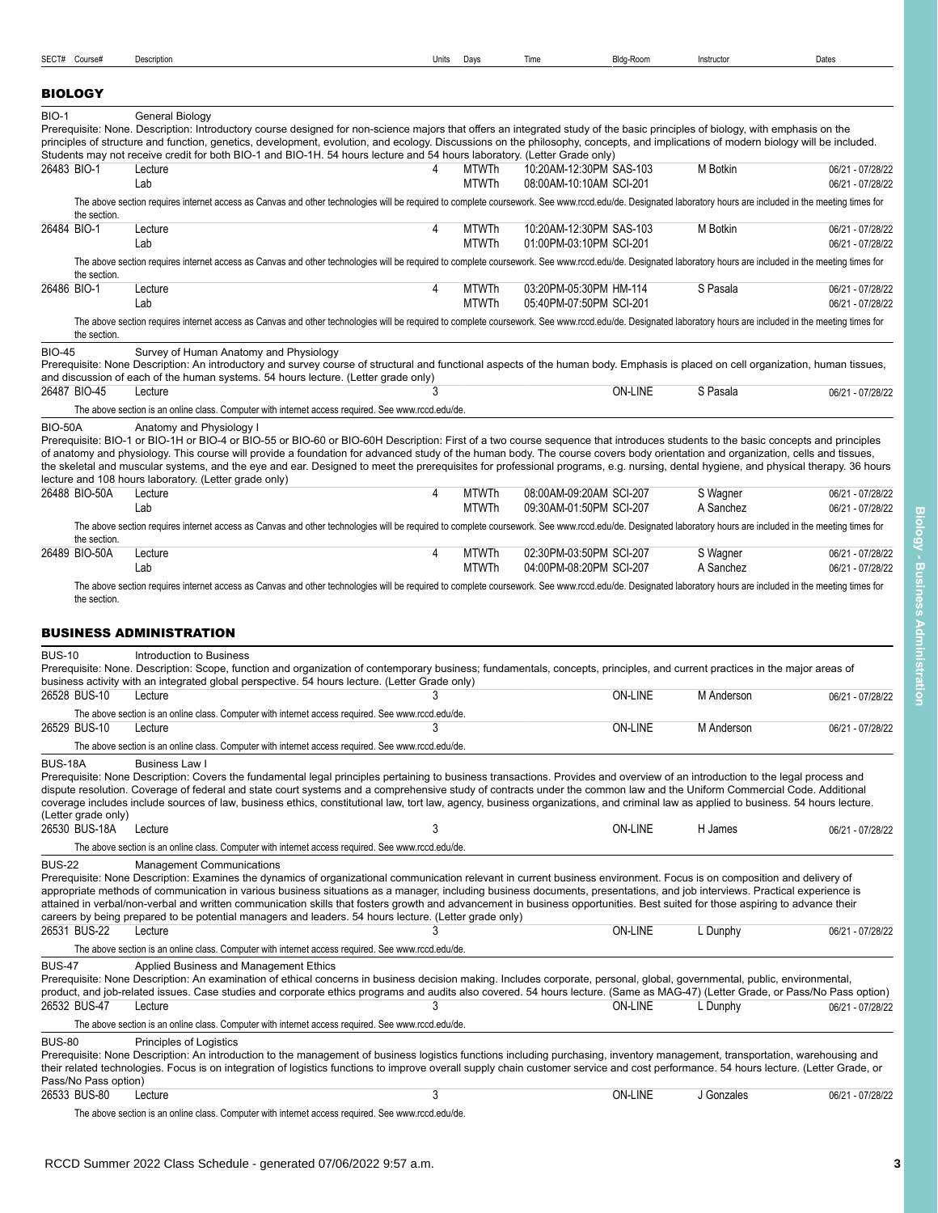<span id="page-2-1"></span>

| <b>BIOLOGY</b>                        |                                                                                                                                                                                                                                                                                                                                                                                                                                                                                                                                                                                                                  |   |                              |                                                    |                |                       |                                      |
|---------------------------------------|------------------------------------------------------------------------------------------------------------------------------------------------------------------------------------------------------------------------------------------------------------------------------------------------------------------------------------------------------------------------------------------------------------------------------------------------------------------------------------------------------------------------------------------------------------------------------------------------------------------|---|------------------------------|----------------------------------------------------|----------------|-----------------------|--------------------------------------|
| <b>BIO-1</b>                          | <b>General Biology</b><br>Prerequisite: None. Description: Introductory course designed for non-science majors that offers an integrated study of the basic principles of biology, with emphasis on the<br>principles of structure and function, genetics, development, evolution, and ecology. Discussions on the philosophy, concepts, and implications of modern biology will be included.<br>Students may not receive credit for both BIO-1 and BIO-1H. 54 hours lecture and 54 hours laboratory. (Letter Grade only)                                                                                        |   |                              |                                                    |                |                       |                                      |
| 26483 BIO-1                           | Lecture<br>Lab                                                                                                                                                                                                                                                                                                                                                                                                                                                                                                                                                                                                   | 4 | <b>MTWTh</b><br><b>MTWTh</b> | 10:20AM-12:30PM SAS-103<br>08:00AM-10:10AM SCI-201 |                | M Botkin              | 06/21 - 07/28/22<br>06/21 - 07/28/22 |
| the section.                          | The above section requires internet access as Canvas and other technologies will be required to complete coursework. See www.rccd.edu/de. Designated laboratory hours are included in the meeting times for                                                                                                                                                                                                                                                                                                                                                                                                      |   |                              |                                                    |                |                       |                                      |
| 26484 BIO-1                           | Lecture<br>Lab                                                                                                                                                                                                                                                                                                                                                                                                                                                                                                                                                                                                   | 4 | <b>MTWTh</b><br><b>MTWTh</b> | 10:20AM-12:30PM SAS-103<br>01:00PM-03:10PM SCI-201 |                | M Botkin              | 06/21 - 07/28/22<br>06/21 - 07/28/22 |
| the section.                          | The above section requires internet access as Canvas and other technologies will be required to complete coursework. See www.rccd.edu/de. Designated laboratory hours are included in the meeting times for                                                                                                                                                                                                                                                                                                                                                                                                      |   |                              |                                                    |                |                       |                                      |
| 26486 BIO-1                           | Lecture<br>Lab                                                                                                                                                                                                                                                                                                                                                                                                                                                                                                                                                                                                   | 4 | <b>MTWTh</b><br><b>MTWTh</b> | 03:20PM-05:30PM HM-114<br>05:40PM-07:50PM SCI-201  |                | S Pasala              | 06/21 - 07/28/22<br>06/21 - 07/28/22 |
| the section.                          | The above section requires internet access as Canvas and other technologies will be required to complete coursework. See www.rccd.edu/de. Designated laboratory hours are included in the meeting times for                                                                                                                                                                                                                                                                                                                                                                                                      |   |                              |                                                    |                |                       |                                      |
| <b>BIO-45</b>                         | Survey of Human Anatomy and Physiology<br>Prerequisite: None Description: An introductory and survey course of structural and functional aspects of the human body. Emphasis is placed on cell organization, human tissues,<br>and discussion of each of the human systems. 54 hours lecture. (Letter grade only)                                                                                                                                                                                                                                                                                                |   |                              |                                                    |                |                       |                                      |
| 26487 BIO-45                          | Lecture                                                                                                                                                                                                                                                                                                                                                                                                                                                                                                                                                                                                          | 3 |                              |                                                    | <b>ON-LINE</b> | S Pasala              | 06/21 - 07/28/22                     |
| <b>BIO-50A</b>                        | The above section is an online class. Computer with internet access required. See www.rccd.edu/de.<br>Anatomy and Physiology I                                                                                                                                                                                                                                                                                                                                                                                                                                                                                   |   |                              |                                                    |                |                       |                                      |
|                                       | Prerequisite: BIO-1 or BIO-1H or BIO-4 or BIO-55 or BIO-60 or BIO-60H Description: First of a two course sequence that introduces students to the basic concepts and principles<br>of anatomy and physiology. This course will provide a foundation for advanced study of the human body. The course covers body orientation and organization, cells and tissues,<br>the skeletal and muscular systems, and the eye and ear. Designed to meet the prerequisites for professional programs, e.g. nursing, dental hygiene, and physical therapy. 36 hours<br>lecture and 108 hours laboratory. (Letter grade only) |   |                              |                                                    |                |                       |                                      |
| 26488 BIO-50A                         | Lecture<br>Lab                                                                                                                                                                                                                                                                                                                                                                                                                                                                                                                                                                                                   | 4 | <b>MTWTh</b><br><b>MTWTh</b> | 08:00AM-09:20AM SCI-207<br>09:30AM-01:50PM SCI-207 |                | S Wagner<br>A Sanchez | 06/21 - 07/28/22<br>06/21 - 07/28/22 |
|                                       | The above section requires internet access as Canvas and other technologies will be required to complete coursework. See www.rccd.edu/de. Designated laboratory hours are included in the meeting times for                                                                                                                                                                                                                                                                                                                                                                                                      |   |                              |                                                    |                |                       |                                      |
| the section.                          |                                                                                                                                                                                                                                                                                                                                                                                                                                                                                                                                                                                                                  |   |                              |                                                    |                |                       |                                      |
| 26489 BIO-50A                         | Lecture<br>Lab                                                                                                                                                                                                                                                                                                                                                                                                                                                                                                                                                                                                   | 4 | <b>MTWTh</b><br><b>MTWTh</b> | 02:30PM-03:50PM SCI-207<br>04:00PM-08:20PM SCI-207 |                | S Wagner<br>A Sanchez | 06/21 - 07/28/22<br>06/21 - 07/28/22 |
|                                       | <b>BUSINESS ADMINISTRATION</b>                                                                                                                                                                                                                                                                                                                                                                                                                                                                                                                                                                                   |   |                              |                                                    |                |                       |                                      |
| <b>BUS-10</b>                         | Introduction to Business<br>Prerequisite: None. Description: Scope, function and organization of contemporary business; fundamentals, concepts, principles, and current practices in the major areas of<br>business activity with an integrated global perspective. 54 hours lecture. (Letter Grade only)                                                                                                                                                                                                                                                                                                        |   |                              |                                                    |                |                       |                                      |
| 26528 BUS-10                          | Lecture<br>The above section is an online class. Computer with internet access required. See www.rccd.edu/de.                                                                                                                                                                                                                                                                                                                                                                                                                                                                                                    | 3 |                              |                                                    | <b>ON-LINE</b> | M Anderson            | 06/21 - 07/28/22                     |
| 26529 BUS-10                          | Lecture                                                                                                                                                                                                                                                                                                                                                                                                                                                                                                                                                                                                          | 3 |                              |                                                    | <b>ON-LINE</b> | M Anderson            | 06/21 - 07/28/22                     |
|                                       | The above section is an online class. Computer with internet access required. See www.rccd.edu/de.                                                                                                                                                                                                                                                                                                                                                                                                                                                                                                               |   |                              |                                                    |                |                       |                                      |
| <b>BUS-18A</b><br>(Letter grade only) | Business Law I<br>Prerequisite: None Description: Covers the fundamental legal principles pertaining to business transactions. Provides and overview of an introduction to the legal process and<br>dispute resolution. Coverage of federal and state court systems and a comprehensive study of contracts under the common law and the Uniform Commercial Code. Additional<br>coverage includes include sources of law, business ethics, constitutional law, tort law, agency, business organizations, and criminal law as applied to business. 54 hours lecture.                                               |   |                              |                                                    |                |                       |                                      |
| 26530 BUS-18A                         | Lecture                                                                                                                                                                                                                                                                                                                                                                                                                                                                                                                                                                                                          | 3 |                              |                                                    | ON-LINE        | H James               | 06/21 - 07/28/22                     |
|                                       | The above section is an online class. Computer with internet access required. See www.rccd.edu/de.                                                                                                                                                                                                                                                                                                                                                                                                                                                                                                               |   |                              |                                                    |                |                       |                                      |
| <b>BUS-22</b>                         | <b>Management Communications</b><br>Prerequisite: None Description: Examines the dynamics of organizational communication relevant in current business environment. Focus is on composition and delivery of<br>appropriate methods of communication in various business situations as a manager, including business documents, presentations, and job interviews. Practical experience is<br>attained in verbal/non-verbal and written communication skills that fosters growth and advancement in business opportunities. Best suited for those aspiring to advance their                                       |   |                              |                                                    |                |                       |                                      |
| 26531 BUS-22                          | careers by being prepared to be potential managers and leaders. 54 hours lecture. (Letter grade only)<br>Lecture                                                                                                                                                                                                                                                                                                                                                                                                                                                                                                 |   |                              |                                                    | <b>ON-LINE</b> | L Dunphy              | 06/21 - 07/28/22                     |
|                                       | The above section is an online class. Computer with internet access required. See www.rccd.edu/de.                                                                                                                                                                                                                                                                                                                                                                                                                                                                                                               |   |                              |                                                    |                |                       |                                      |
| <b>BUS-47</b><br>26532 BUS-47         | Applied Business and Management Ethics<br>Prerequisite: None Description: An examination of ethical concerns in business decision making. Includes corporate, personal, global, governmental, public, environmental,<br>product, and job-related issues. Case studies and corporate ethics programs and audits also covered. 54 hours lecture. (Same as MAG-47) (Letter Grade, or Pass/No Pass option)<br>Lecture                                                                                                                                                                                                | 3 |                              |                                                    | ON-LINE        | L Dunphy              | 06/21 - 07/28/22                     |
|                                       | The above section is an online class. Computer with internet access required. See www.rccd.edu/de.                                                                                                                                                                                                                                                                                                                                                                                                                                                                                                               |   |                              |                                                    |                |                       |                                      |
| <b>BUS-80</b><br>Pass/No Pass option) | Principles of Logistics<br>Prerequisite: None Description: An introduction to the management of business logistics functions including purchasing, inventory management, transportation, warehousing and<br>their related technologies. Focus is on integration of logistics functions to improve overall supply chain customer service and cost performance. 54 hours lecture. (Letter Grade, or                                                                                                                                                                                                                |   |                              |                                                    |                |                       |                                      |
| 26533 BUS-80                          | Lecture                                                                                                                                                                                                                                                                                                                                                                                                                                                                                                                                                                                                          | 3 |                              |                                                    | <b>ON-LINE</b> | J Gonzales            | 06/21 - 07/28/22                     |
|                                       | The above section is an online class. Computer with internet access required. See www.rccd.edu/de.                                                                                                                                                                                                                                                                                                                                                                                                                                                                                                               |   |                              |                                                    |                |                       |                                      |

<span id="page-2-0"></span>SECT# Course# Description Units Days Time Bldg-Room Instructor Dates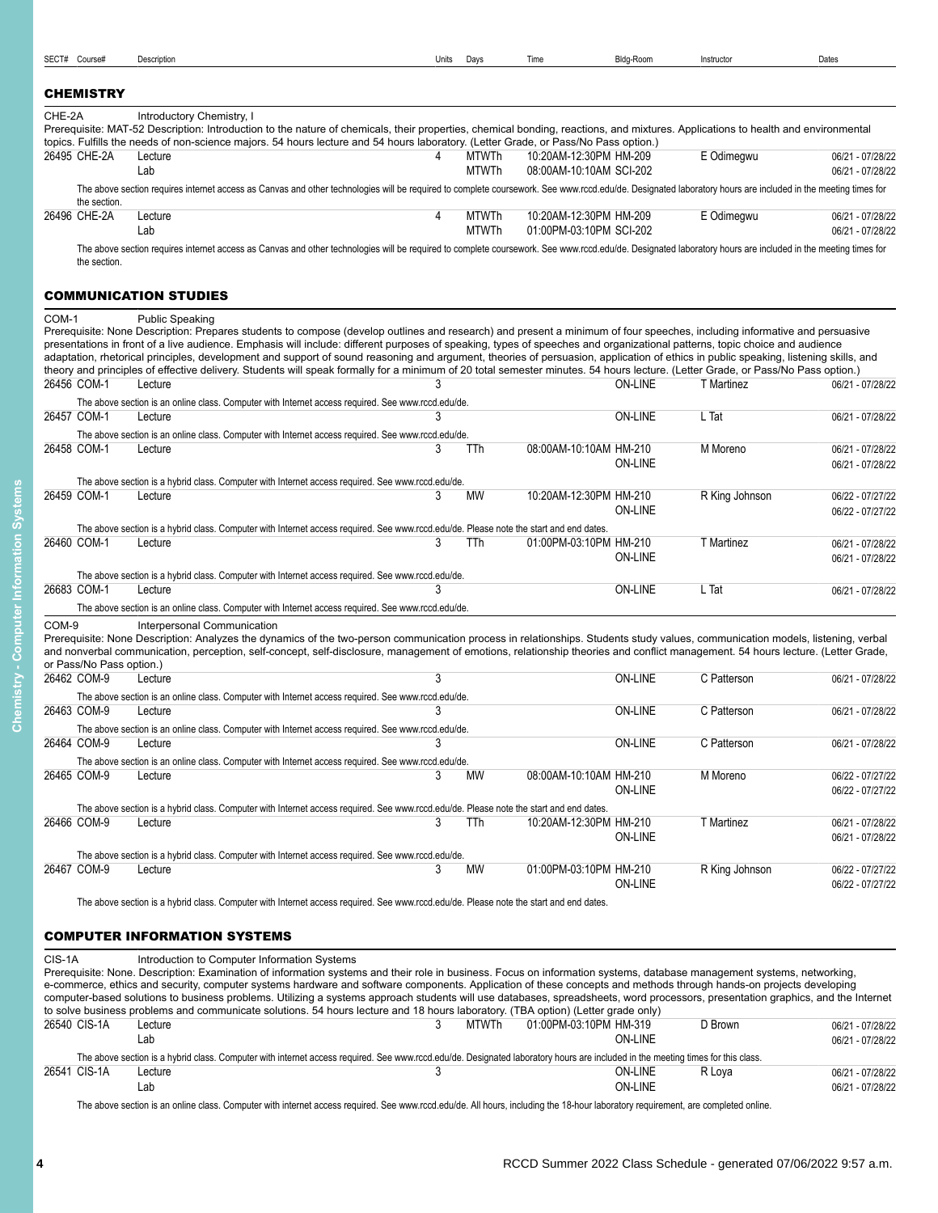# <span id="page-3-0"></span>**CHEMISTRY**

| CHE-2A       | Introductory Chemistry, I                                                                                                                                                                                   |       |                         |                         |            |                  |
|--------------|-------------------------------------------------------------------------------------------------------------------------------------------------------------------------------------------------------------|-------|-------------------------|-------------------------|------------|------------------|
|              | Prerequisite: MAT-52 Description: Introduction to the nature of chemicals, their properties, chemical bonding, reactions, and mixtures. Applications to health and environmental                            |       |                         |                         |            |                  |
|              | topics. Fulfills the needs of non-science majors. 54 hours lecture and 54 hours laboratory. (Letter Grade, or Pass/No Pass option.)                                                                         |       |                         |                         |            |                  |
| 26495 CHE-2A | Lecture                                                                                                                                                                                                     |       | MTWTh                   | 10:20AM-12:30PM HM-209  | E Odimegwu | 06/21 - 07/28/22 |
|              | Lab                                                                                                                                                                                                         | MTWTh | 08:00AM-10:10AM SCI-202 | 06/21 - 07/28/22        |            |                  |
| the section. | The above section requires internet access as Canvas and other technologies will be required to complete coursework. See www.rccd.edu/de. Designated laboratory hours are included in the meeting times for |       |                         |                         |            |                  |
| 26496 CHE-2A | Lecture                                                                                                                                                                                                     | 4     | MTWTh                   | 10:20AM-12:30PM HM-209  | E Odimegwu | 06/21 - 07/28/22 |
|              | Lab                                                                                                                                                                                                         |       | <b>MTWTh</b>            | 01:00PM-03:10PM SCI-202 |            | 06/21 - 07/28/22 |
| the section. | The above section requires internet access as Canvas and other technologies will be required to complete coursework. See www.rccd.edu/de. Designated laboratory hours are included in the meeting times for |       |                         |                         |            |                  |

#### <span id="page-3-1"></span>COMMUNICATION STUDIES

| COM-1 | <b>Public Speaking</b> |
|-------|------------------------|

|                          | Public Speaking<br>Prerequisite: None Description: Prepares students to compose (develop outlines and research) and present a minimum of four speeches, including informative and persuasive |   |           |                        |                |                |                                      |
|--------------------------|----------------------------------------------------------------------------------------------------------------------------------------------------------------------------------------------|---|-----------|------------------------|----------------|----------------|--------------------------------------|
|                          | presentations in front of a live audience. Emphasis will include: different purposes of speaking, types of speeches and organizational patterns, topic choice and audience                   |   |           |                        |                |                |                                      |
|                          | adaptation, rhetorical principles, development and support of sound reasoning and argument, theories of persuasion, application of ethics in public speaking, listening skills, and          |   |           |                        |                |                |                                      |
| 26456 COM-1              | theory and principles of effective delivery. Students will speak formally for a minimum of 20 total semester minutes. 54 hours lecture. (Letter Grade, or Pass/No Pass option.)<br>Lecture   |   |           |                        | <b>ON-LINE</b> | T Martinez     | 06/21 - 07/28/22                     |
|                          |                                                                                                                                                                                              |   |           |                        |                |                |                                      |
| 26457 COM-1              | The above section is an online class. Computer with Internet access required. See www.rccd.edu/de.<br>Lecture                                                                                |   |           |                        | <b>ON-LINE</b> | L Tat          | 06/21 - 07/28/22                     |
|                          |                                                                                                                                                                                              |   |           |                        |                |                |                                      |
| 26458 COM-1              | The above section is an online class. Computer with Internet access required. See www.rccd.edu/de.<br>Lecture                                                                                |   | TTh       | 08:00AM-10:10AM HM-210 |                | M Moreno       | 06/21 - 07/28/22                     |
|                          |                                                                                                                                                                                              |   |           |                        | <b>ON-LINE</b> |                | 06/21 - 07/28/22                     |
|                          |                                                                                                                                                                                              |   |           |                        |                |                |                                      |
| 26459 COM-1              | The above section is a hybrid class. Computer with Internet access required. See www.rccd.edu/de.<br>Lecture                                                                                 | 3 | MW        | 10:20AM-12:30PM HM-210 |                | R King Johnson | 06/22 - 07/27/22                     |
|                          |                                                                                                                                                                                              |   |           |                        | <b>ON-LINE</b> |                | 06/22 - 07/27/22                     |
|                          | The above section is a hybrid class. Computer with Internet access required. See www.rccd.edu/de. Please note the start and end dates.                                                       |   |           |                        |                |                |                                      |
| 26460 COM-1              | Lecture                                                                                                                                                                                      | 3 | TTh       | 01:00PM-03:10PM HM-210 |                | T Martinez     | 06/21 - 07/28/22                     |
|                          |                                                                                                                                                                                              |   |           |                        | <b>ON-LINE</b> |                | 06/21 - 07/28/22                     |
|                          | The above section is a hybrid class. Computer with Internet access required. See www.rccd.edu/de.                                                                                            |   |           |                        |                |                |                                      |
| 26683 COM-1              | Lecture                                                                                                                                                                                      |   |           |                        | <b>ON-LINE</b> | L Tat          | 06/21 - 07/28/22                     |
|                          | The above section is an online class. Computer with Internet access required. See www.rccd.edu/de.                                                                                           |   |           |                        |                |                |                                      |
| COM-9                    | Interpersonal Communication                                                                                                                                                                  |   |           |                        |                |                |                                      |
|                          |                                                                                                                                                                                              |   |           |                        |                |                |                                      |
|                          | Prerequisite: None Description: Analyzes the dynamics of the two-person communication process in relationships. Students study values, communication models, listening, verbal               |   |           |                        |                |                |                                      |
|                          | and nonverbal communication, perception, self-concept, self-disclosure, management of emotions, relationship theories and conflict management. 54 hours lecture. (Letter Grade,              |   |           |                        |                |                |                                      |
| or Pass/No Pass option.) |                                                                                                                                                                                              |   |           |                        |                |                |                                      |
| 26462 COM-9              | Lecture                                                                                                                                                                                      | 3 |           |                        | <b>ON-LINE</b> | C Patterson    | 06/21 - 07/28/22                     |
|                          | The above section is an online class. Computer with Internet access required. See www.rccd.edu/de.                                                                                           |   |           |                        |                |                |                                      |
| 26463 COM-9              | Lecture                                                                                                                                                                                      |   |           |                        | <b>ON-LINE</b> | C Patterson    | 06/21 - 07/28/22                     |
|                          | The above section is an online class. Computer with Internet access required. See www.rccd.edu/de.                                                                                           |   |           |                        |                |                |                                      |
| 26464 COM-9              | Lecture                                                                                                                                                                                      |   |           |                        | <b>ON-LINE</b> | C Patterson    | 06/21 - 07/28/22                     |
|                          | The above section is an online class. Computer with Internet access required. See www.rccd.edu/de.                                                                                           |   |           |                        |                |                |                                      |
| 26465 COM-9              | Lecture                                                                                                                                                                                      | 3 | <b>MW</b> | 08:00AM-10:10AM HM-210 |                | M Moreno       | 06/22 - 07/27/22                     |
|                          |                                                                                                                                                                                              |   |           |                        | <b>ON-LINE</b> |                | 06/22 - 07/27/22                     |
|                          | The above section is a hybrid class. Computer with Internet access required. See www.rccd.edu/de. Please note the start and end dates.                                                       |   |           |                        |                |                |                                      |
| 26466 COM-9              | Lecture                                                                                                                                                                                      | 3 | TTh       | 10:20AM-12:30PM HM-210 |                | T Martinez     | 06/21 - 07/28/22                     |
|                          |                                                                                                                                                                                              |   |           |                        | <b>ON-LINE</b> |                | 06/21 - 07/28/22                     |
|                          | The above section is a hybrid class. Computer with Internet access required. See www.rccd.edu/de.                                                                                            |   |           |                        |                |                |                                      |
| 26467 COM-9              | Lecture                                                                                                                                                                                      | 3 | MW        | 01:00PM-03:10PM HM-210 | <b>ON-LINE</b> | R King Johnson | 06/22 - 07/27/22<br>06/22 - 07/27/22 |

The above section is a hybrid class. Computer with Internet access required. See www.rccd.edu/de. Please note the start and end dates.

# <span id="page-3-2"></span>COMPUTER INFORMATION SYSTEMS

| CIS-1A       | Introduction to Computer Information Systems                                                                                                                                    |       |                        |         |                  |
|--------------|---------------------------------------------------------------------------------------------------------------------------------------------------------------------------------|-------|------------------------|---------|------------------|
|              | Prerequisite: None. Description: Examination of information systems and their role in business. Focus on information systems, database management systems, networking,          |       |                        |         |                  |
|              | e-commerce, ethics and security, computer systems hardware and software components. Application of these concepts and methods through hands-on projects developing              |       |                        |         |                  |
|              | computer-based solutions to business problems. Utilizing a systems approach students will use databases, spreadsheets, word processors, presentation graphics, and the Internet |       |                        |         |                  |
|              | to solve business problems and communicate solutions. 54 hours lecture and 18 hours laboratory. (TBA option) (Letter grade only)                                                |       |                        |         |                  |
| 26540 CIS-1A | Lecture                                                                                                                                                                         | MTWTh | 01:00PM-03:10PM HM-319 | D Brown | 06/21 - 07/28/22 |
|              | Lab                                                                                                                                                                             |       | ON-LINE                |         | 06/21 - 07/28/22 |
|              | The above section is a hybrid class. Computer with internet access required. See www.rccd.edu/de. Designated laboratory hours are included in the meeting times for this class. |       |                        |         |                  |
| 26541 CIS-1A | Lecture                                                                                                                                                                         |       | ON-LINE                | R Lova  | 06/21 - 07/28/22 |
|              | Lab                                                                                                                                                                             |       | ON-LINE                |         | 06/21 - 07/28/22 |

The above section is an online class. Computer with internet access required. See www.rccd.edu/de. All hours, including the 18-hour laboratory requirement, are completed online.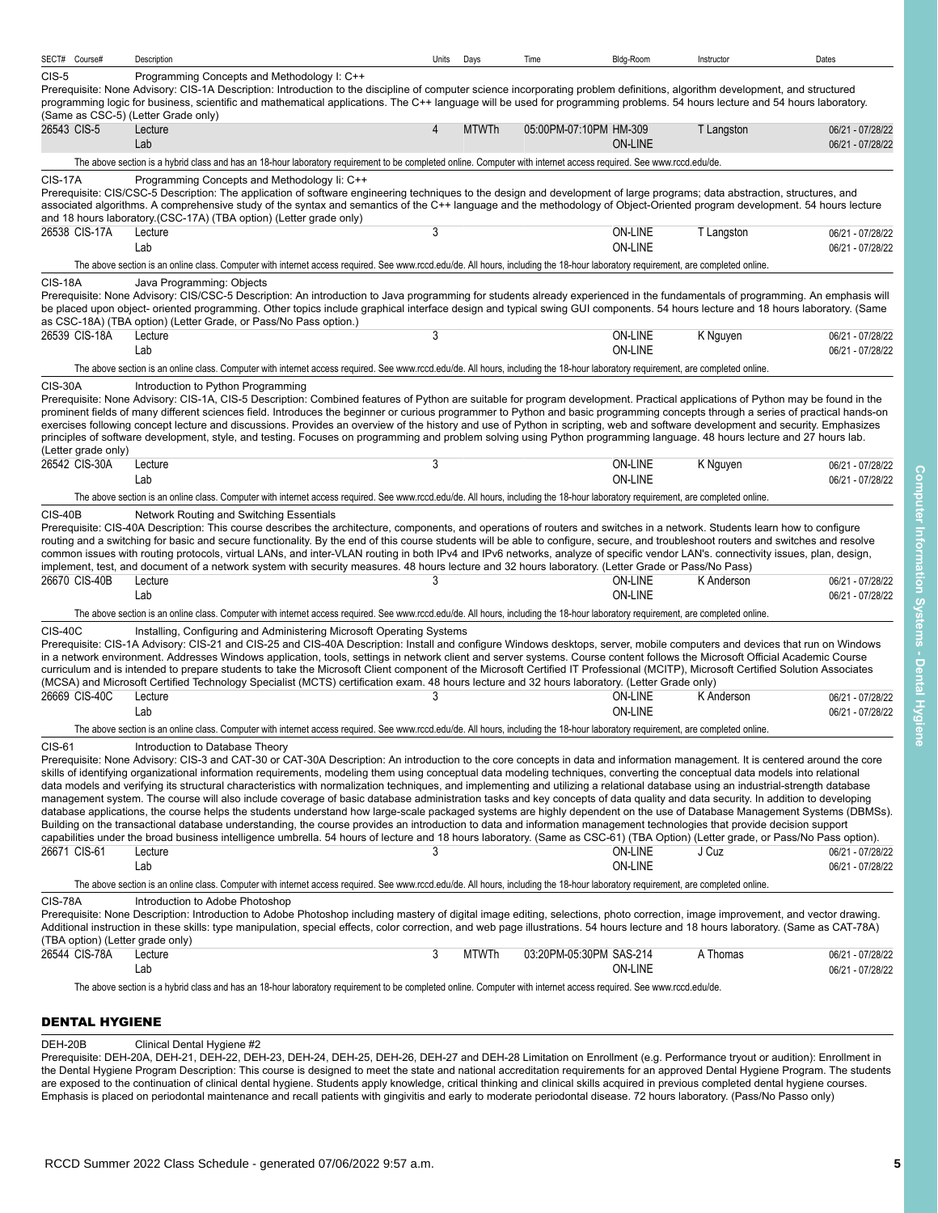| SECT# Course#                               | Description                                                                                                                                                                                                                                                                                                                                                                                                                                                                                                                                                                                                                                                                                                                                                                                                                                                                                                                                                                                                                                                                                                                                                                                                                                                                                                                          | Units | Days         | Time                    | Bldg-Room                        | Instructor | Dates                                |
|---------------------------------------------|--------------------------------------------------------------------------------------------------------------------------------------------------------------------------------------------------------------------------------------------------------------------------------------------------------------------------------------------------------------------------------------------------------------------------------------------------------------------------------------------------------------------------------------------------------------------------------------------------------------------------------------------------------------------------------------------------------------------------------------------------------------------------------------------------------------------------------------------------------------------------------------------------------------------------------------------------------------------------------------------------------------------------------------------------------------------------------------------------------------------------------------------------------------------------------------------------------------------------------------------------------------------------------------------------------------------------------------|-------|--------------|-------------------------|----------------------------------|------------|--------------------------------------|
| $CIS-5$                                     | Programming Concepts and Methodology I: C++<br>Prerequisite: None Advisory: CIS-1A Description: Introduction to the discipline of computer science incorporating problem definitions, algorithm development, and structured<br>programming logic for business, scientific and mathematical applications. The C++ language will be used for programming problems. 54 hours lecture and 54 hours laboratory.                                                                                                                                                                                                                                                                                                                                                                                                                                                                                                                                                                                                                                                                                                                                                                                                                                                                                                                           |       |              |                         |                                  |            |                                      |
|                                             | (Same as CSC-5) (Letter Grade only)                                                                                                                                                                                                                                                                                                                                                                                                                                                                                                                                                                                                                                                                                                                                                                                                                                                                                                                                                                                                                                                                                                                                                                                                                                                                                                  |       |              |                         |                                  |            |                                      |
| 26543 CIS-5                                 | Lecture<br>Lab                                                                                                                                                                                                                                                                                                                                                                                                                                                                                                                                                                                                                                                                                                                                                                                                                                                                                                                                                                                                                                                                                                                                                                                                                                                                                                                       | 4     | <b>MTWTh</b> | 05:00PM-07:10PM HM-309  | <b>ON-LINE</b>                   | T Langston | 06/21 - 07/28/22<br>06/21 - 07/28/22 |
|                                             | The above section is a hybrid class and has an 18-hour laboratory requirement to be completed online. Computer with internet access required. See www.rccd.edu/de.                                                                                                                                                                                                                                                                                                                                                                                                                                                                                                                                                                                                                                                                                                                                                                                                                                                                                                                                                                                                                                                                                                                                                                   |       |              |                         |                                  |            |                                      |
| <b>CIS-17A</b>                              | Programming Concepts and Methodology Ii: C++<br>Prerequisite: CIS/CSC-5 Description: The application of software engineering techniques to the design and development of large programs; data abstraction, structures, and<br>associated algorithms. A comprehensive study of the syntax and semantics of the C++ language and the methodology of Object-Oriented program development. 54 hours lecture<br>and 18 hours laboratory. (CSC-17A) (TBA option) (Letter grade only)                                                                                                                                                                                                                                                                                                                                                                                                                                                                                                                                                                                                                                                                                                                                                                                                                                                       |       |              |                         |                                  |            |                                      |
| 26538 CIS-17A                               | Lecture<br>Lab                                                                                                                                                                                                                                                                                                                                                                                                                                                                                                                                                                                                                                                                                                                                                                                                                                                                                                                                                                                                                                                                                                                                                                                                                                                                                                                       | 3     |              |                         | <b>ON-LINE</b><br><b>ON-LINE</b> | T Langston | 06/21 - 07/28/22<br>06/21 - 07/28/22 |
|                                             | The above section is an online class. Computer with internet access required. See www.rccd.edu/de. All hours, including the 18-hour laboratory requirement, are completed online.                                                                                                                                                                                                                                                                                                                                                                                                                                                                                                                                                                                                                                                                                                                                                                                                                                                                                                                                                                                                                                                                                                                                                    |       |              |                         |                                  |            |                                      |
| <b>CIS-18A</b>                              | Java Programming: Objects<br>Prerequisite: None Advisory: CIS/CSC-5 Description: An introduction to Java programming for students already experienced in the fundamentals of programming. An emphasis will<br>be placed upon object- oriented programming. Other topics include graphical interface design and typical swing GUI components. 54 hours lecture and 18 hours laboratory. (Same<br>as CSC-18A) (TBA option) (Letter Grade, or Pass/No Pass option.)                                                                                                                                                                                                                                                                                                                                                                                                                                                                                                                                                                                                                                                                                                                                                                                                                                                                     |       |              |                         |                                  |            |                                      |
| 26539 CIS-18A                               | Lecture<br>Lab                                                                                                                                                                                                                                                                                                                                                                                                                                                                                                                                                                                                                                                                                                                                                                                                                                                                                                                                                                                                                                                                                                                                                                                                                                                                                                                       | 3     |              |                         | ON-LINE<br><b>ON-LINE</b>        | K Nguyen   | 06/21 - 07/28/22<br>06/21 - 07/28/22 |
|                                             | The above section is an online class. Computer with internet access required. See www.rccd.edu/de. All hours, including the 18-hour laboratory requirement, are completed online.                                                                                                                                                                                                                                                                                                                                                                                                                                                                                                                                                                                                                                                                                                                                                                                                                                                                                                                                                                                                                                                                                                                                                    |       |              |                         |                                  |            |                                      |
| (Letter grade only)                         | Prerequisite: None Advisory: CIS-1A, CIS-5 Description: Combined features of Python are suitable for program development. Practical applications of Python may be found in the<br>prominent fields of many different sciences field. Introduces the beginner or curious programmer to Python and basic programming concepts through a series of practical hands-on<br>exercises following concept lecture and discussions. Provides an overview of the history and use of Python in scripting, web and software development and security. Emphasizes<br>principles of software development, style, and testing. Focuses on programming and problem solving using Python programming language. 48 hours lecture and 27 hours lab.                                                                                                                                                                                                                                                                                                                                                                                                                                                                                                                                                                                                     |       |              |                         |                                  |            |                                      |
| 26542 CIS-30A                               | Lecture<br>Lab                                                                                                                                                                                                                                                                                                                                                                                                                                                                                                                                                                                                                                                                                                                                                                                                                                                                                                                                                                                                                                                                                                                                                                                                                                                                                                                       | 3     |              |                         | <b>ON-LINE</b><br><b>ON-LINE</b> | K Nguyen   | 06/21 - 07/28/22<br>06/21 - 07/28/22 |
|                                             | The above section is an online class. Computer with internet access required. See www.rccd.edu/de. All hours, including the 18-hour laboratory requirement, are completed online.                                                                                                                                                                                                                                                                                                                                                                                                                                                                                                                                                                                                                                                                                                                                                                                                                                                                                                                                                                                                                                                                                                                                                    |       |              |                         |                                  |            |                                      |
| 26670 CIS-40B                               | Prerequisite: CIS-40A Description: This course describes the architecture, components, and operations of routers and switches in a network. Students learn how to configure<br>routing and a switching for basic and secure functionality. By the end of this course students will be able to configure, secure, and troubleshoot routers and switches and resolve<br>common issues with routing protocols, virtual LANs, and inter-VLAN routing in both IPv4 and IPv6 networks, analyze of specific vendor LAN's. connectivity issues, plan, design,<br>implement, test, and document of a network system with security measures. 48 hours lecture and 32 hours laboratory. (Letter Grade or Pass/No Pass)<br>Lecture                                                                                                                                                                                                                                                                                                                                                                                                                                                                                                                                                                                                               | 3     |              |                         | ON-LINE                          | K Anderson | 06/21 - 07/28/22                     |
|                                             | Lab                                                                                                                                                                                                                                                                                                                                                                                                                                                                                                                                                                                                                                                                                                                                                                                                                                                                                                                                                                                                                                                                                                                                                                                                                                                                                                                                  |       |              |                         | <b>ON-LINE</b>                   |            | 06/21 - 07/28/22                     |
|                                             | The above section is an online class. Computer with internet access required. See www.rccd.edu/de. All hours, including the 18-hour laboratory requirement, are completed online.                                                                                                                                                                                                                                                                                                                                                                                                                                                                                                                                                                                                                                                                                                                                                                                                                                                                                                                                                                                                                                                                                                                                                    |       |              |                         |                                  |            |                                      |
| <b>CIS-40C</b><br>26669 CIS-40C             | Installing, Configuring and Administering Microsoft Operating Systems<br>Prerequisite: CIS-1A Advisory: CIS-21 and CIS-25 and CIS-40A Description: Install and configure Windows desktops, server, mobile computers and devices that run on Windows<br>in a network environment. Addresses Windows application, tools, settings in network client and server systems. Course content follows the Microsoft Official Academic Course<br>curriculum and is intended to prepare students to take the Microsoft Client component of the Microsoft Certified IT Professional (MCITP), Microsoft Certified Solution Associates<br>(MCSA) and Microsoft Certified Technology Specialist (MCTS) certification exam. 48 hours lecture and 32 hours laboratory. (Letter Grade only)<br>Lecture<br>Lab                                                                                                                                                                                                                                                                                                                                                                                                                                                                                                                                          | 3     |              |                         | ON-LINE<br><b>ON-LINE</b>        | K Anderson | 06/21 - 07/28/22<br>06/21 - 07/28/22 |
|                                             | The above section is an online class. Computer with internet access required. See www.rccd.edu/de. All hours, including the 18-hour laboratory requirement, are completed online.                                                                                                                                                                                                                                                                                                                                                                                                                                                                                                                                                                                                                                                                                                                                                                                                                                                                                                                                                                                                                                                                                                                                                    |       |              |                         |                                  |            |                                      |
| CIS-61<br>26671 CIS-61                      | Introduction to Database Theory<br>Prerequisite: None Advisory: CIS-3 and CAT-30 or CAT-30A Description: An introduction to the core concepts in data and information management. It is centered around the core<br>skills of identifying organizational information requirements, modeling them using conceptual data modeling techniques, converting the conceptual data models into relational<br>data models and verifying its structural characteristics with normalization techniques, and implementing and utilizing a relational database using an industrial-strength database<br>management system. The course will also include coverage of basic database administration tasks and key concepts of data quality and data security. In addition to developing<br>database applications, the course helps the students understand how large-scale packaged systems are highly dependent on the use of Database Management Systems (DBMSs).<br>Building on the transactional database understanding, the course provides an introduction to data and information management technologies that provide decision support<br>capabilities under the broad business intelligence umbrella. 54 hours of lecture and 18 hours laboratory. (Same as CSC-61) (TBA Option) (Letter grade, or Pass/No Pass option).<br>Lecture<br>Lab | 3     |              |                         | ON-LINE<br>ON-LINE               | J Cuz      | 06/21 - 07/28/22<br>06/21 - 07/28/22 |
|                                             | The above section is an online class. Computer with internet access required. See www.rccd.edu/de. All hours, including the 18-hour laboratory requirement, are completed online.                                                                                                                                                                                                                                                                                                                                                                                                                                                                                                                                                                                                                                                                                                                                                                                                                                                                                                                                                                                                                                                                                                                                                    |       |              |                         |                                  |            |                                      |
| CIS-78A<br>(TBA option) (Letter grade only) | Introduction to Adobe Photoshop<br>Prerequisite: None Description: Introduction to Adobe Photoshop including mastery of digital image editing, selections, photo correction, image improvement, and vector drawing.<br>Additional instruction in these skills: type manipulation, special effects, color correction, and web page illustrations. 54 hours lecture and 18 hours laboratory. (Same as CAT-78A)                                                                                                                                                                                                                                                                                                                                                                                                                                                                                                                                                                                                                                                                                                                                                                                                                                                                                                                         |       |              |                         |                                  |            |                                      |
| 26544 CIS-78A                               | Lecture<br>Lab                                                                                                                                                                                                                                                                                                                                                                                                                                                                                                                                                                                                                                                                                                                                                                                                                                                                                                                                                                                                                                                                                                                                                                                                                                                                                                                       | 3     | <b>MTWTh</b> | 03:20PM-05:30PM SAS-214 | <b>ON-LINE</b>                   | A Thomas   | 06/21 - 07/28/22<br>06/21 - 07/28/22 |
|                                             | The above section is a hybrid class and has an 18-hour laboratory requirement to be completed online. Computer with internet access required. See www.rccd.edu/de.                                                                                                                                                                                                                                                                                                                                                                                                                                                                                                                                                                                                                                                                                                                                                                                                                                                                                                                                                                                                                                                                                                                                                                   |       |              |                         |                                  |            |                                      |

# <span id="page-4-0"></span>DENTAL HYGIENE

#### DEH-20B Clinical Dental Hygiene #2

Prerequisite: DEH-20A, DEH-21, DEH-22, DEH-23, DEH-24, DEH-25, DEH-26, DEH-27 and DEH-28 Limitation on Enrollment (e.g. Performance tryout or audition): Enrollment in the Dental Hygiene Program Description: This course is designed to meet the state and national accreditation requirements for an approved Dental Hygiene Program. The students are exposed to the continuation of clinical dental hygiene. Students apply knowledge, critical thinking and clinical skills acquired in previous completed dental hygiene courses. Emphasis is placed on periodontal maintenance and recall patients with gingivitis and early to moderate periodontal disease. 72 hours laboratory. (Pass/No Passo only)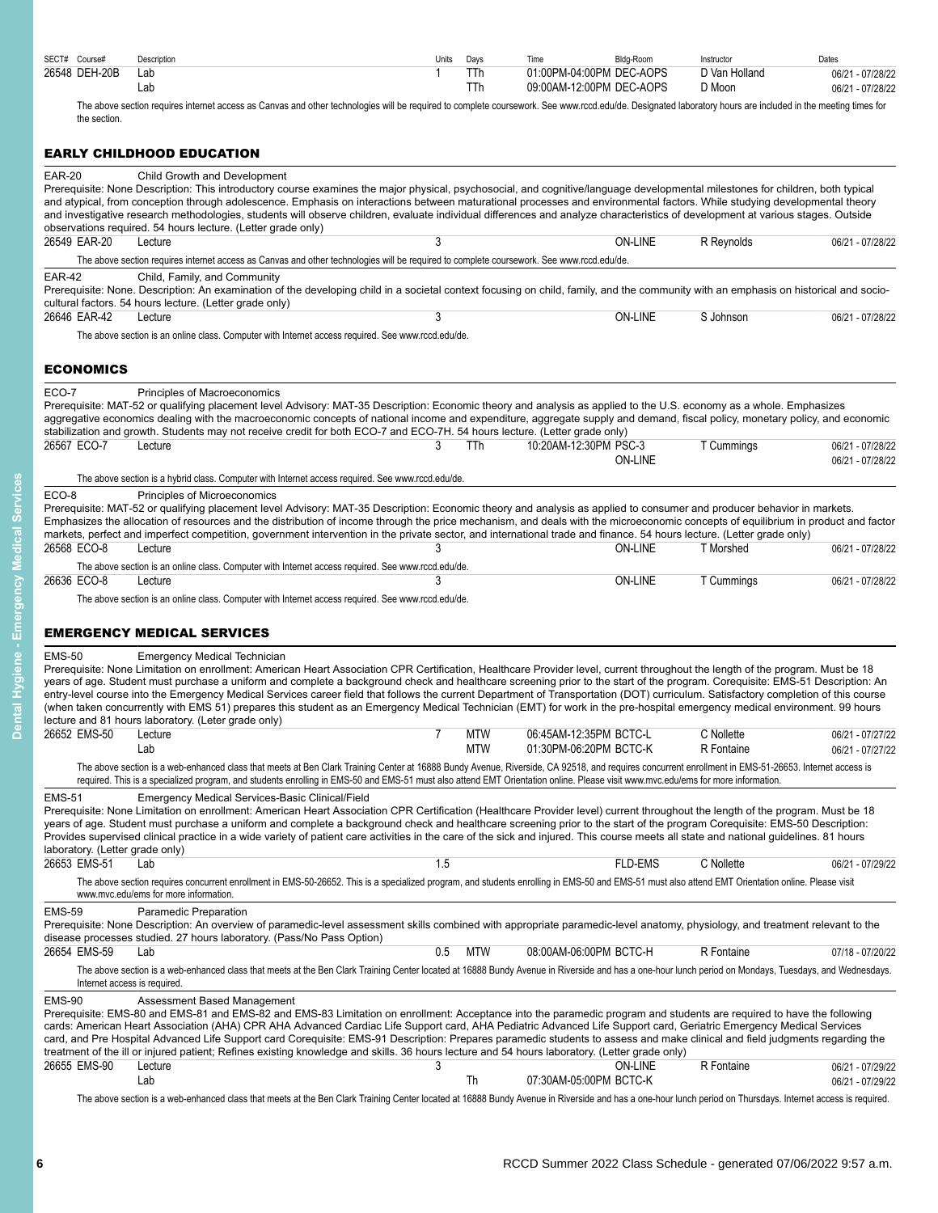| SECT# Course# | Description | Units | Davs | Time                     | Bldg-Room | Instructor    | Dates            |
|---------------|-------------|-------|------|--------------------------|-----------|---------------|------------------|
| 26548 DEH-20B | ∟ab         |       |      | 01:00PM-04:00PM DEC-AOPS |           | ר Van Holland | 06/21 - 07/28/22 |
|               | ∟ab         |       | ттh  | 09:00AM-12:00PM DEC-AOPS |           | ת Moon        | 06/21 - 07/28/22 |

The above section requires internet access as Canvas and other technologies will be required to complete coursework. See www.rccd.edu/de. Designated laboratory hours are included in the meeting times for the section.

# <span id="page-5-0"></span>EARLY CHILDHOOD EDUCATION

|                                                  | EARLT CHILDHOOD EDOCATION                                                                                                                                                                                                                                                                                                                                                                                                                                                                                                                                                                                                                                                                                                                                                                                                        |     |                          |                                                  |                |                          |                                      |
|--------------------------------------------------|----------------------------------------------------------------------------------------------------------------------------------------------------------------------------------------------------------------------------------------------------------------------------------------------------------------------------------------------------------------------------------------------------------------------------------------------------------------------------------------------------------------------------------------------------------------------------------------------------------------------------------------------------------------------------------------------------------------------------------------------------------------------------------------------------------------------------------|-----|--------------------------|--------------------------------------------------|----------------|--------------------------|--------------------------------------|
| <b>EAR-20</b>                                    | Child Growth and Development<br>Prerequisite: None Description: This introductory course examines the major physical, psychosocial, and cognitive/language developmental milestones for children, both typical<br>and atypical, from conception through adolescence. Emphasis on interactions between maturational processes and environmental factors. While studying developmental theory<br>and investigative research methodologies, students will observe children, evaluate individual differences and analyze characteristics of development at various stages. Outside<br>observations required. 54 hours lecture. (Letter grade only)                                                                                                                                                                                   |     |                          |                                                  |                |                          |                                      |
| 26549 EAR-20                                     | Lecture                                                                                                                                                                                                                                                                                                                                                                                                                                                                                                                                                                                                                                                                                                                                                                                                                          |     |                          |                                                  | <b>ON-LINE</b> | R Reynolds               | 06/21 - 07/28/22                     |
|                                                  | The above section requires internet access as Canvas and other technologies will be required to complete coursework. See www.rccd.edu/de.                                                                                                                                                                                                                                                                                                                                                                                                                                                                                                                                                                                                                                                                                        |     |                          |                                                  |                |                          |                                      |
| <b>EAR-42</b>                                    | Child, Family, and Community<br>Prerequisite: None. Description: An examination of the developing child in a societal context focusing on child, family, and the community with an emphasis on historical and socio-<br>cultural factors. 54 hours lecture. (Letter grade only)                                                                                                                                                                                                                                                                                                                                                                                                                                                                                                                                                  |     |                          |                                                  |                |                          |                                      |
| 26646 EAR-42                                     | Lecture                                                                                                                                                                                                                                                                                                                                                                                                                                                                                                                                                                                                                                                                                                                                                                                                                          | 3   |                          |                                                  | ON-LINE        | S Johnson                | 06/21 - 07/28/22                     |
|                                                  | The above section is an online class. Computer with Internet access required. See www.rccd.edu/de.                                                                                                                                                                                                                                                                                                                                                                                                                                                                                                                                                                                                                                                                                                                               |     |                          |                                                  |                |                          |                                      |
| <b>ECONOMICS</b>                                 |                                                                                                                                                                                                                                                                                                                                                                                                                                                                                                                                                                                                                                                                                                                                                                                                                                  |     |                          |                                                  |                |                          |                                      |
| ECO-7                                            | Principles of Macroeconomics<br>Prerequisite: MAT-52 or qualifying placement level Advisory: MAT-35 Description: Economic theory and analysis as applied to the U.S. economy as a whole. Emphasizes<br>aggregative economics dealing with the macroeconomic concepts of national income and expenditure, aggregate supply and demand, fiscal policy, monetary policy, and economic<br>stabilization and growth. Students may not receive credit for both ECO-7 and ECO-7H. 54 hours lecture. (Letter grade only)                                                                                                                                                                                                                                                                                                                 |     |                          |                                                  |                |                          |                                      |
| 26567 ECO-7                                      | Lecture                                                                                                                                                                                                                                                                                                                                                                                                                                                                                                                                                                                                                                                                                                                                                                                                                          | 3   | TTh                      | 10:20AM-12:30PM PSC-3                            |                | T Cummings               | 06/21 - 07/28/22                     |
|                                                  |                                                                                                                                                                                                                                                                                                                                                                                                                                                                                                                                                                                                                                                                                                                                                                                                                                  |     |                          |                                                  | ON-LINE        |                          | 06/21 - 07/28/22                     |
|                                                  | The above section is a hybrid class. Computer with Internet access required. See www.rccd.edu/de.                                                                                                                                                                                                                                                                                                                                                                                                                                                                                                                                                                                                                                                                                                                                |     |                          |                                                  |                |                          |                                      |
| ECO-8                                            | Principles of Microeconomics<br>Prerequisite: MAT-52 or qualifying placement level Advisory: MAT-35 Description: Economic theory and analysis as applied to consumer and producer behavior in markets.<br>Emphasizes the allocation of resources and the distribution of income through the price mechanism, and deals with the microeconomic concepts of equilibrium in product and factor<br>markets, perfect and imperfect competition, government intervention in the private sector, and international trade and finance. 54 hours lecture. (Letter grade only)                                                                                                                                                                                                                                                             |     |                          |                                                  |                |                          |                                      |
| 26568 ECO-8                                      | Lecture                                                                                                                                                                                                                                                                                                                                                                                                                                                                                                                                                                                                                                                                                                                                                                                                                          |     |                          |                                                  | <b>ON-LINE</b> | T Morshed                | 06/21 - 07/28/22                     |
| 26636 ECO-8                                      | The above section is an online class. Computer with Internet access required. See www.rccd.edu/de.<br>Lecture                                                                                                                                                                                                                                                                                                                                                                                                                                                                                                                                                                                                                                                                                                                    |     |                          |                                                  | <b>ON-LINE</b> | T Cummings               | 06/21 - 07/28/22                     |
|                                                  | The above section is an online class. Computer with Internet access required. See www.rccd.edu/de.                                                                                                                                                                                                                                                                                                                                                                                                                                                                                                                                                                                                                                                                                                                               |     |                          |                                                  |                |                          |                                      |
|                                                  |                                                                                                                                                                                                                                                                                                                                                                                                                                                                                                                                                                                                                                                                                                                                                                                                                                  |     |                          |                                                  |                |                          |                                      |
|                                                  | <b>EMERGENCY MEDICAL SERVICES</b>                                                                                                                                                                                                                                                                                                                                                                                                                                                                                                                                                                                                                                                                                                                                                                                                |     |                          |                                                  |                |                          |                                      |
| <b>EMS-50</b>                                    | <b>Emergency Medical Technician</b><br>Prerequisite: None Limitation on enrollment: American Heart Association CPR Certification, Healthcare Provider level, current throughout the length of the program. Must be 18<br>years of age. Student must purchase a uniform and complete a background check and healthcare screening prior to the start of the program. Corequisite: EMS-51 Description: An<br>entry-level course into the Emergency Medical Services career field that follows the current Department of Transportation (DOT) curriculum. Satisfactory completion of this course<br>(when taken concurrently with EMS 51) prepares this student as an Emergency Medical Technician (EMT) for work in the pre-hospital emergency medical environment. 99 hours<br>lecture and 81 hours laboratory. (Leter grade only) |     |                          |                                                  |                |                          |                                      |
| 26652 EMS-50                                     | Lecture<br>Lab                                                                                                                                                                                                                                                                                                                                                                                                                                                                                                                                                                                                                                                                                                                                                                                                                   | 7   | <b>MTW</b><br><b>MTW</b> | 06:45AM-12:35PM BCTC-L<br>01:30PM-06:20PM BCTC-K |                | C Nollette<br>R Fontaine | 06/21 - 07/27/22<br>06/21 - 07/27/22 |
|                                                  | The above section is a web-enhanced class that meets at Ben Clark Training Center at 16888 Bundy Avenue, Riverside, CA 92518, and requires concurrent enrollment in EMS-51-26653. Internet access is<br>required. This is a specialized program, and students enrolling in EMS-50 and EMS-51 must also attend EMT Orientation online. Please visit www.mvc.edu/ems for more information.                                                                                                                                                                                                                                                                                                                                                                                                                                         |     |                          |                                                  |                |                          |                                      |
| <b>EMS-51</b><br>laboratory. (Letter grade only) | Emergency Medical Services-Basic Clinical/Field<br>Prerequisite: None Limitation on enrollment: American Heart Association CPR Certification (Healthcare Provider level) current throughout the length of the program. Must be 18<br>years of age. Student must purchase a uniform and complete a background check and healthcare screening prior to the start of the program Corequisite: EMS-50 Description:<br>Provides supervised clinical practice in a wide variety of patient care activities in the care of the sick and injured. This course meets all state and national guidelines. 81 hours                                                                                                                                                                                                                          |     |                          |                                                  |                |                          |                                      |
| 26653 EMS-51                                     | Lab                                                                                                                                                                                                                                                                                                                                                                                                                                                                                                                                                                                                                                                                                                                                                                                                                              | 1.5 |                          |                                                  | <b>FLD-EMS</b> | C Nollette               | 06/21 - 07/29/22                     |
|                                                  | The above section requires concurrent enrollment in EMS-50-26652. This is a specialized program, and students enrolling in EMS-50 and EMS-51 must also attend EMT Orientation online. Please visit<br>www.mvc.edu/ems for more information.                                                                                                                                                                                                                                                                                                                                                                                                                                                                                                                                                                                      |     |                          |                                                  |                |                          |                                      |
| <b>EMS-59</b>                                    | Paramedic Preparation<br>Prerequisite: None Description: An overview of paramedic-level assessment skills combined with appropriate paramedic-level anatomy, physiology, and treatment relevant to the<br>disease processes studied. 27 hours laboratory. (Pass/No Pass Option)                                                                                                                                                                                                                                                                                                                                                                                                                                                                                                                                                  |     |                          |                                                  |                |                          |                                      |
| 26654 EMS-59                                     | Lab                                                                                                                                                                                                                                                                                                                                                                                                                                                                                                                                                                                                                                                                                                                                                                                                                              | 0.5 | MTW                      | 08:00AM-06:00PM BCTC-H                           |                | R Fontaine               | 07/18 - 07/20/22                     |
|                                                  | The above section is a web-enhanced class that meets at the Ben Clark Training Center located at 16888 Bundy Avenue in Riverside and has a one-hour lunch period on Mondays, Tuesdays, and Wednesdays.<br>Internet access is required.                                                                                                                                                                                                                                                                                                                                                                                                                                                                                                                                                                                           |     |                          |                                                  |                |                          |                                      |
| <b>EMS-90</b>                                    | Assessment Based Management<br>Prerequisite: EMS-80 and EMS-81 and EMS-82 and EMS-83 Limitation on enrollment: Acceptance into the paramedic program and students are required to have the following<br>cards: American Heart Association (AHA) CPR AHA Advanced Cardiac Life Support card, AHA Pediatric Advanced Life Support card, Geriatric Emergency Medical Services<br>card, and Pre Hospital Advanced Life Support card Corequisite: EMS-91 Description: Prepares paramedic students to assess and make clinical and field judgments regarding the<br>treatment of the ill or injured patient; Refines existing knowledge and skills. 36 hours lecture and 54 hours laboratory. (Letter grade only)                                                                                                                      |     |                          |                                                  |                |                          |                                      |
| 26655 EMS-90                                     | Lecture                                                                                                                                                                                                                                                                                                                                                                                                                                                                                                                                                                                                                                                                                                                                                                                                                          | 3   |                          |                                                  | <b>ON-LINE</b> | R Fontaine               | 06/21 - 07/29/22                     |
|                                                  | Lab                                                                                                                                                                                                                                                                                                                                                                                                                                                                                                                                                                                                                                                                                                                                                                                                                              |     | Th                       | 07:30AM-05:00PM BCTC-K                           |                |                          | 06/21 - 07/29/22                     |
|                                                  | The above section is a web-enhanced class that meets at the Ben Clark Training Center located at 16888 Bundy Avenue in Riverside and has a one-hour lunch period on Thursdays. Internet access is required.                                                                                                                                                                                                                                                                                                                                                                                                                                                                                                                                                                                                                      |     |                          |                                                  |                |                          |                                      |

<span id="page-5-2"></span>**Dental Hygiene - Emergency Medical Services**

<span id="page-5-1"></span>Dental Hygiene - Emergency Medical Services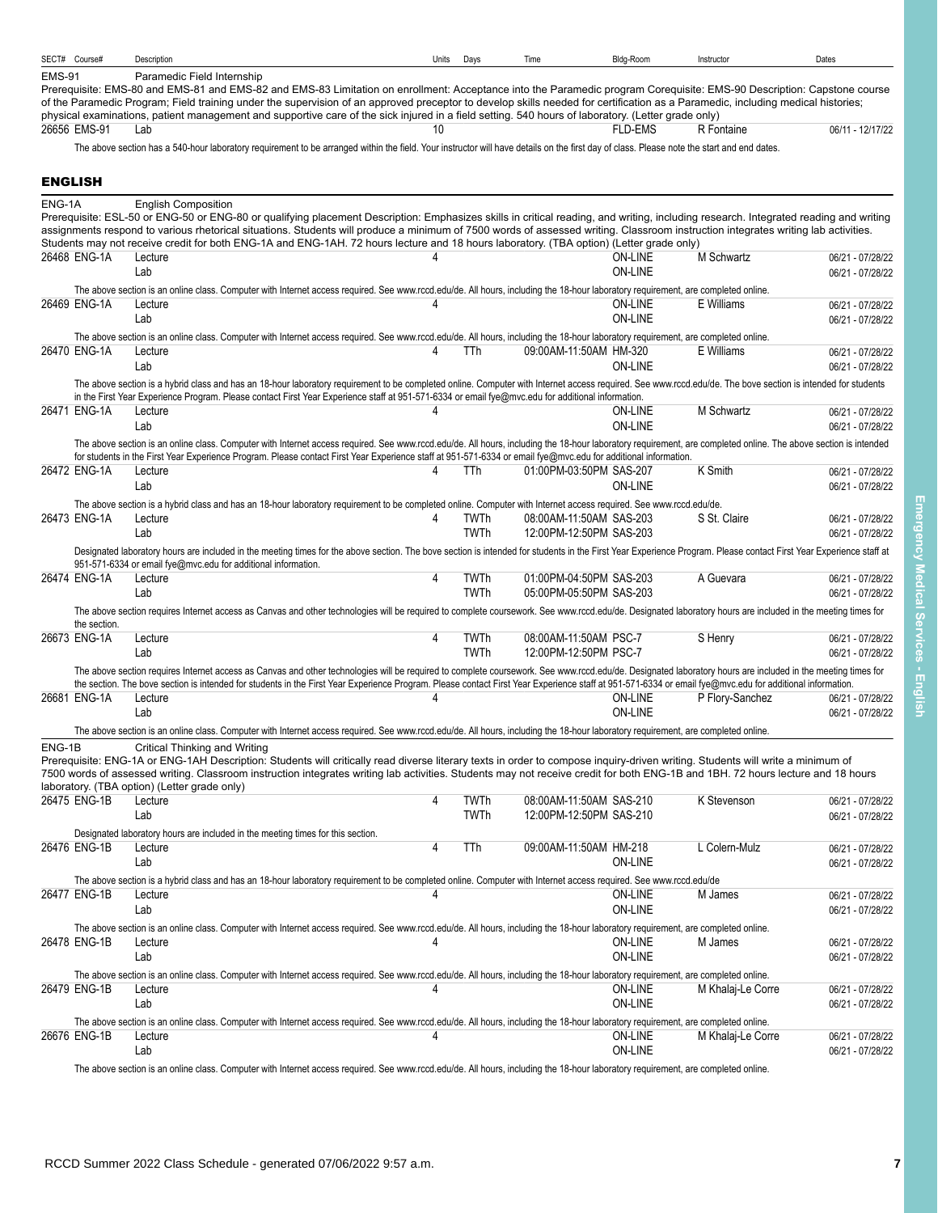<span id="page-6-0"></span>

|               | SECT# Course#  | Description                                                                                                                                                                                                                                                                                                                                                                                                             | Units | Days                | Time                                               | Bldg-Room                 | Instructor        | Dates                                |
|---------------|----------------|-------------------------------------------------------------------------------------------------------------------------------------------------------------------------------------------------------------------------------------------------------------------------------------------------------------------------------------------------------------------------------------------------------------------------|-------|---------------------|----------------------------------------------------|---------------------------|-------------------|--------------------------------------|
| <b>EMS-91</b> |                | Paramedic Field Internship                                                                                                                                                                                                                                                                                                                                                                                              |       |                     |                                                    |                           |                   |                                      |
|               |                | Prerequisite: EMS-80 and EMS-81 and EMS-82 and EMS-83 Limitation on enrollment: Acceptance into the Paramedic program Corequisite: EMS-90 Description: Capstone course<br>of the Paramedic Program; Field training under the supervision of an approved preceptor to develop skills needed for certification as a Paramedic, including medical histories;                                                               |       |                     |                                                    |                           |                   |                                      |
|               |                | physical examinations, patient management and supportive care of the sick injured in a field setting. 540 hours of laboratory. (Letter grade only)                                                                                                                                                                                                                                                                      |       |                     |                                                    |                           |                   |                                      |
|               | 26656 EMS-91   | Lab                                                                                                                                                                                                                                                                                                                                                                                                                     | 10    |                     |                                                    | <b>FLD-EMS</b>            | R Fontaine        | 06/11 - 12/17/22                     |
|               |                | The above section has a 540-hour laboratory requirement to be arranged within the field. Your instructor will have details on the first day of class. Please note the start and end dates.                                                                                                                                                                                                                              |       |                     |                                                    |                           |                   |                                      |
|               | <b>ENGLISH</b> |                                                                                                                                                                                                                                                                                                                                                                                                                         |       |                     |                                                    |                           |                   |                                      |
|               |                |                                                                                                                                                                                                                                                                                                                                                                                                                         |       |                     |                                                    |                           |                   |                                      |
| ENG-1A        |                | <b>English Composition</b><br>Prerequisite: ESL-50 or ENG-50 or ENG-80 or qualifying placement Description: Emphasizes skills in critical reading, and writing, including research. Integrated reading and writing                                                                                                                                                                                                      |       |                     |                                                    |                           |                   |                                      |
|               |                | assignments respond to various rhetorical situations. Students will produce a minimum of 7500 words of assessed writing. Classroom instruction integrates writing lab activities.                                                                                                                                                                                                                                       |       |                     |                                                    |                           |                   |                                      |
|               | 26468 ENG-1A   | Students may not receive credit for both ENG-1A and ENG-1AH. 72 hours lecture and 18 hours laboratory. (TBA option) (Letter grade only)<br>Lecture                                                                                                                                                                                                                                                                      | Δ     |                     |                                                    | ON-LINE                   | M Schwartz        | 06/21 - 07/28/22                     |
|               |                | Lab                                                                                                                                                                                                                                                                                                                                                                                                                     |       |                     |                                                    | <b>ON-LINE</b>            |                   | 06/21 - 07/28/22                     |
|               |                | The above section is an online class. Computer with Internet access required. See www.rccd.edu/de. All hours, including the 18-hour laboratory requirement, are completed online.                                                                                                                                                                                                                                       |       |                     |                                                    |                           |                   |                                      |
|               | 26469 ENG-1A   | Lecture                                                                                                                                                                                                                                                                                                                                                                                                                 | 4     |                     |                                                    | <b>ON-LINE</b>            | E Williams        | 06/21 - 07/28/22                     |
|               |                | Lab                                                                                                                                                                                                                                                                                                                                                                                                                     |       |                     |                                                    | <b>ON-LINE</b>            |                   | 06/21 - 07/28/22                     |
|               | 26470 ENG-1A   | The above section is an online class. Computer with Internet access required. See www.rccd.edu/de. All hours, including the 18-hour laboratory requirement, are completed online.<br>Lecture                                                                                                                                                                                                                            | 4     | TTh                 | 09:00AM-11:50AM HM-320                             |                           | E Williams        |                                      |
|               |                | Lab                                                                                                                                                                                                                                                                                                                                                                                                                     |       |                     |                                                    | <b>ON-LINE</b>            |                   | 06/21 - 07/28/22<br>06/21 - 07/28/22 |
|               |                | The above section is a hybrid class and has an 18-hour laboratory requirement to be completed online. Computer with Internet access required. See www.rccd.edu/de. The bove section is intended for students                                                                                                                                                                                                            |       |                     |                                                    |                           |                   |                                      |
|               |                | in the First Year Experience Program. Please contact First Year Experience staff at 951-571-6334 or email fye@mvc.edu for additional information.                                                                                                                                                                                                                                                                       |       |                     |                                                    |                           |                   |                                      |
|               | 26471 ENG-1A   | Lecture<br>Lab                                                                                                                                                                                                                                                                                                                                                                                                          | 4     |                     |                                                    | ON-LINE<br><b>ON-LINE</b> | M Schwartz        | 06/21 - 07/28/22                     |
|               |                | The above section is an online class. Computer with Internet access required. See www.rccd.edu/de. All hours, including the 18-hour laboratory requirement, are completed online. The above section is intended                                                                                                                                                                                                         |       |                     |                                                    |                           |                   | 06/21 - 07/28/22                     |
|               |                | for students in the First Year Experience Program. Please contact First Year Experience staff at 951-571-6334 or email fye@mvc.edu for additional information.                                                                                                                                                                                                                                                          |       |                     |                                                    |                           |                   |                                      |
|               | 26472 ENG-1A   | Lecture                                                                                                                                                                                                                                                                                                                                                                                                                 | 4     | TTh                 | 01:00PM-03:50PM SAS-207                            |                           | K Smith           | 06/21 - 07/28/22                     |
|               |                | Lab                                                                                                                                                                                                                                                                                                                                                                                                                     |       |                     |                                                    | <b>ON-LINE</b>            |                   | 06/21 - 07/28/22                     |
|               | 26473 ENG-1A   | The above section is a hybrid class and has an 18-hour laboratory requirement to be completed online. Computer with Internet access required. See www.rccd.edu/de.                                                                                                                                                                                                                                                      | 4     | <b>TWTh</b>         | 08:00AM-11:50AM SAS-203                            |                           | S St. Claire      | 06/21 - 07/28/22                     |
|               |                | Lecture<br>Lab                                                                                                                                                                                                                                                                                                                                                                                                          |       | <b>TWTh</b>         | 12:00PM-12:50PM SAS-203                            |                           |                   | 06/21 - 07/28/22                     |
|               |                | Designated laboratory hours are included in the meeting times for the above section. The bove section is intended for students in the First Year Experience Program. Please contact First Year Experience staff at                                                                                                                                                                                                      |       |                     |                                                    |                           |                   |                                      |
|               |                | 951-571-6334 or email fye@mvc.edu for additional information.                                                                                                                                                                                                                                                                                                                                                           |       |                     |                                                    |                           |                   |                                      |
|               | 26474 ENG-1A   | Lecture                                                                                                                                                                                                                                                                                                                                                                                                                 | 4     | TWTh<br><b>TWTh</b> | 01:00PM-04:50PM SAS-203<br>05:00PM-05:50PM SAS-203 |                           | A Guevara         | 06/21 - 07/28/22                     |
|               |                | Lab<br>The above section requires Internet access as Canvas and other technologies will be required to complete coursework. See www.rccd.edu/de. Designated laboratory hours are included in the meeting times for                                                                                                                                                                                                      |       |                     |                                                    |                           |                   | 06/21 - 07/28/22                     |
|               | the section.   |                                                                                                                                                                                                                                                                                                                                                                                                                         |       |                     |                                                    |                           |                   |                                      |
|               | 26673 ENG-1A   | Lecture                                                                                                                                                                                                                                                                                                                                                                                                                 | 4     | TWTh                | 08:00AM-11:50AM PSC-7                              |                           | S Henry           | 06/21 - 07/28/22                     |
|               |                | Lab                                                                                                                                                                                                                                                                                                                                                                                                                     |       | <b>TWTh</b>         | 12:00PM-12:50PM PSC-7                              |                           |                   | 06/21 - 07/28/22                     |
|               |                | The above section requires Internet access as Canvas and other technologies will be required to complete coursework. See www.rccd.edu/de. Designated laboratory hours are included in the meeting times for<br>the section. The bove section is intended for students in the First Year Experience Program. Please contact First Year Experience staff at 951-571-6334 or email fye@mvc.edu for additional information. |       |                     |                                                    |                           |                   |                                      |
|               | 26681 ENG-1A   | Lecture                                                                                                                                                                                                                                                                                                                                                                                                                 |       |                     |                                                    | ON-LINE                   | P Flory-Sanchez   | 06/21 - 07/28/22                     |
|               |                | Lab                                                                                                                                                                                                                                                                                                                                                                                                                     |       |                     |                                                    | <b>ON-LINE</b>            |                   | 06/21 - 07/28/22                     |
|               |                | The above section is an online class. Computer with Internet access required. See www.rccd.edu/de. All hours, including the 18-hour laboratory requirement, are completed online                                                                                                                                                                                                                                        |       |                     |                                                    |                           |                   |                                      |
| ENG-1B        |                | Critical Thinking and Writing<br>Prerequisite: ENG-1A or ENG-1AH Description: Students will critically read diverse literary texts in order to compose inquiry-driven writing. Students will write a minimum of                                                                                                                                                                                                         |       |                     |                                                    |                           |                   |                                      |
|               |                | 7500 words of assessed writing. Classroom instruction integrates writing lab activities. Students may not receive credit for both ENG-1B and 1BH. 72 hours lecture and 18 hours                                                                                                                                                                                                                                         |       |                     |                                                    |                           |                   |                                      |
|               |                | laboratory. (TBA option) (Letter grade only)                                                                                                                                                                                                                                                                                                                                                                            |       |                     |                                                    |                           |                   |                                      |
|               | 26475 ENG-1B   | Lecture<br>Lab                                                                                                                                                                                                                                                                                                                                                                                                          | 4     | TWTh<br>TWTh        | 08:00AM-11:50AM SAS-210<br>12:00PM-12:50PM SAS-210 |                           | K Stevenson       | 06/21 - 07/28/22<br>06/21 - 07/28/22 |
|               |                | Designated laboratory hours are included in the meeting times for this section.                                                                                                                                                                                                                                                                                                                                         |       |                     |                                                    |                           |                   |                                      |
|               | 26476 ENG-1B   | Lecture                                                                                                                                                                                                                                                                                                                                                                                                                 | 4     | TTh                 | 09:00AM-11:50AM HM-218                             |                           | L Colern-Mulz     | 06/21 - 07/28/22                     |
|               |                | Lab                                                                                                                                                                                                                                                                                                                                                                                                                     |       |                     |                                                    | <b>ON-LINE</b>            |                   | 06/21 - 07/28/22                     |
|               |                | The above section is a hybrid class and has an 18-hour laboratory requirement to be completed online. Computer with Internet access required. See www.rccd.edu/de                                                                                                                                                                                                                                                       |       |                     |                                                    |                           |                   |                                      |
|               | 26477 ENG-1B   | Lecture<br>Lab                                                                                                                                                                                                                                                                                                                                                                                                          | 4     |                     |                                                    | ON-LINE<br>ON-LINE        | M James           | 06/21 - 07/28/22                     |
|               |                | The above section is an online class. Computer with Internet access required. See www.rccd.edu/de. All hours, including the 18-hour laboratory requirement, are completed online.                                                                                                                                                                                                                                       |       |                     |                                                    |                           |                   | 06/21 - 07/28/22                     |
|               | 26478 ENG-1B   | Lecture                                                                                                                                                                                                                                                                                                                                                                                                                 |       |                     |                                                    | <b>ON-LINE</b>            | M James           | 06/21 - 07/28/22                     |
|               |                | Lab                                                                                                                                                                                                                                                                                                                                                                                                                     |       |                     |                                                    | ON-LINE                   |                   | 06/21 - 07/28/22                     |
|               |                | The above section is an online class. Computer with Internet access required. See www.rccd.edu/de. All hours, including the 18-hour laboratory requirement, are completed online.                                                                                                                                                                                                                                       |       |                     |                                                    |                           |                   |                                      |
|               | 26479 ENG-1B   | Lecture                                                                                                                                                                                                                                                                                                                                                                                                                 | 4     |                     |                                                    | ON-LINE                   | M Khalaj-Le Corre | 06/21 - 07/28/22                     |
|               |                | Lab                                                                                                                                                                                                                                                                                                                                                                                                                     |       |                     |                                                    | <b>ON-LINE</b>            |                   | 06/21 - 07/28/22                     |
|               | 26676 ENG-1B   | The above section is an online class. Computer with Internet access required. See www.rccd.edu/de. All hours, including the 18-hour laboratory requirement, are completed online.<br>Lecture                                                                                                                                                                                                                            | 4     |                     |                                                    | ON-LINE                   | M Khalaj-Le Corre | 06/21 - 07/28/22                     |
|               |                | Lab                                                                                                                                                                                                                                                                                                                                                                                                                     |       |                     |                                                    | ON-LINE                   |                   | 06/21 - 07/28/22                     |
|               |                | The above section is an online class. Computer with Internet access required. See www.rccd.edu/de. All hours, including the 18-hour laboratory requirement, are completed online.                                                                                                                                                                                                                                       |       |                     |                                                    |                           |                   |                                      |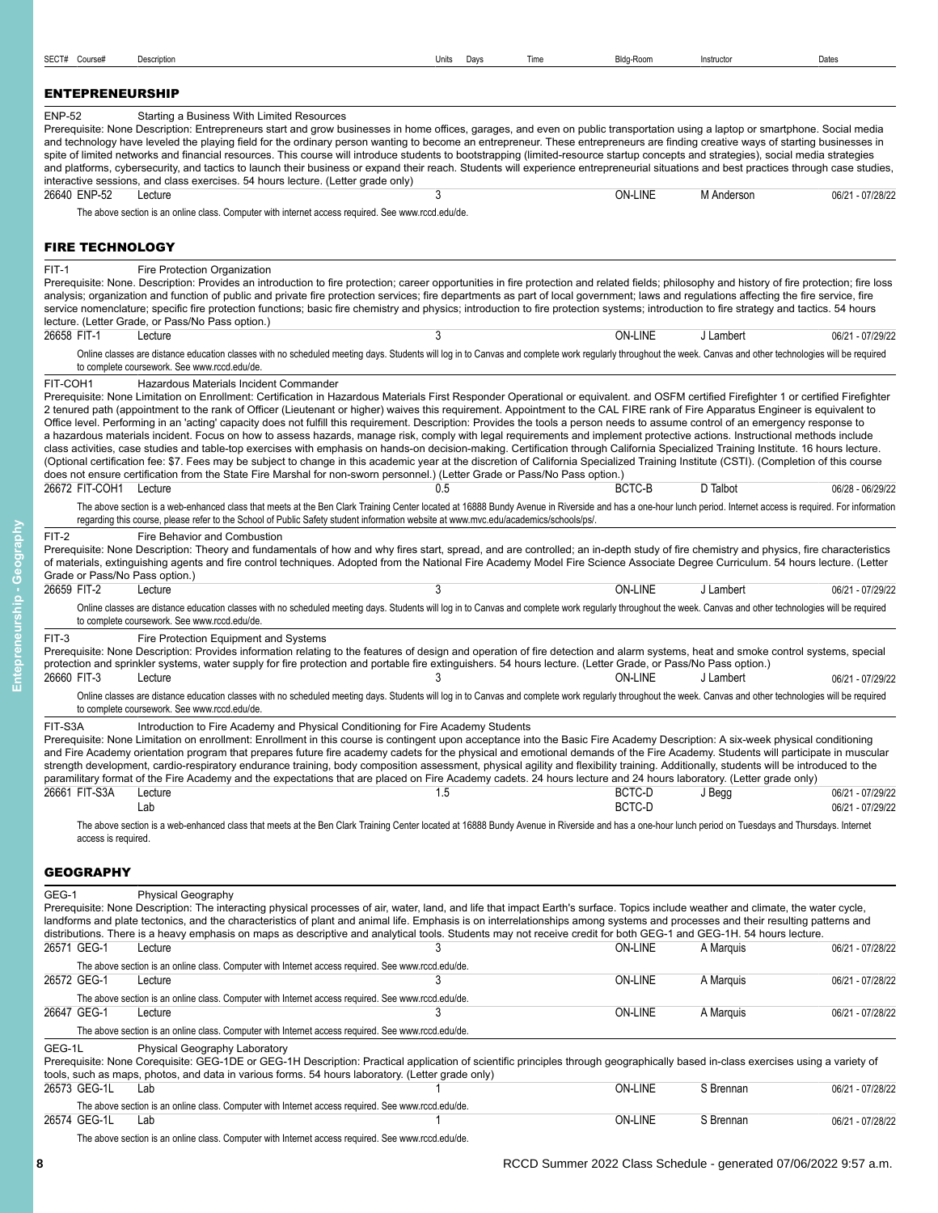<span id="page-7-1"></span>

| <b>ENP-52</b><br>26640 ENP-52                                            | Starting a Business With Limited Resources<br>interactive sessions, and class exercises. 54 hours lecture. (Letter grade only)<br>Lecture                                                                                                       | Prerequisite: None Description: Entrepreneurs start and grow businesses in home offices, garages, and even on public transportation using a laptop or smartphone. Social media<br>and technology have leveled the playing field for the ordinary person wanting to become an entrepreneur. These entrepreneurs are finding creative ways of starting businesses in<br>spite of limited networks and financial resources. This course will introduce students to bootstrapping (limited-resource startup concepts and strategies), social media strategies<br>and platforms, cybersecurity, and tactics to launch their business or expand their reach. Students will experience entrepreneurial situations and best practices through case studies,                                                                                                                                                                                                                                                                                                                                                                                                                                                                                                                                                                                                                                                                                                                                                                                                                                                                                                                                                                                                                                                                                                                                                                                                                                                                                                                                                                                                                                                                                                     | <b>ON-LINE</b>                                       | M Anderson             | 06/21 - 07/28/22                                                             |
|--------------------------------------------------------------------------|-------------------------------------------------------------------------------------------------------------------------------------------------------------------------------------------------------------------------------------------------|---------------------------------------------------------------------------------------------------------------------------------------------------------------------------------------------------------------------------------------------------------------------------------------------------------------------------------------------------------------------------------------------------------------------------------------------------------------------------------------------------------------------------------------------------------------------------------------------------------------------------------------------------------------------------------------------------------------------------------------------------------------------------------------------------------------------------------------------------------------------------------------------------------------------------------------------------------------------------------------------------------------------------------------------------------------------------------------------------------------------------------------------------------------------------------------------------------------------------------------------------------------------------------------------------------------------------------------------------------------------------------------------------------------------------------------------------------------------------------------------------------------------------------------------------------------------------------------------------------------------------------------------------------------------------------------------------------------------------------------------------------------------------------------------------------------------------------------------------------------------------------------------------------------------------------------------------------------------------------------------------------------------------------------------------------------------------------------------------------------------------------------------------------------------------------------------------------------------------------------------------------|------------------------------------------------------|------------------------|------------------------------------------------------------------------------|
|                                                                          | The above section is an online class. Computer with internet access required. See www.rccd.edu/de.                                                                                                                                              |                                                                                                                                                                                                                                                                                                                                                                                                                                                                                                                                                                                                                                                                                                                                                                                                                                                                                                                                                                                                                                                                                                                                                                                                                                                                                                                                                                                                                                                                                                                                                                                                                                                                                                                                                                                                                                                                                                                                                                                                                                                                                                                                                                                                                                                         |                                                      |                        |                                                                              |
| <b>FIRE TECHNOLOGY</b>                                                   |                                                                                                                                                                                                                                                 |                                                                                                                                                                                                                                                                                                                                                                                                                                                                                                                                                                                                                                                                                                                                                                                                                                                                                                                                                                                                                                                                                                                                                                                                                                                                                                                                                                                                                                                                                                                                                                                                                                                                                                                                                                                                                                                                                                                                                                                                                                                                                                                                                                                                                                                         |                                                      |                        |                                                                              |
| <b>FIT-1</b>                                                             | Fire Protection Organization<br>lecture. (Letter Grade, or Pass/No Pass option.)                                                                                                                                                                | Prerequisite: None. Description: Provides an introduction to fire protection; career opportunities in fire protection and related fields; philosophy and history of fire protection; fire loss<br>analysis; organization and function of public and private fire protection services; fire departments as part of local government; laws and regulations affecting the fire service, fire<br>service nomenclature; specific fire protection functions; basic fire chemistry and physics; introduction to fire protection systems; introduction to fire strategy and tactics. 54 hours                                                                                                                                                                                                                                                                                                                                                                                                                                                                                                                                                                                                                                                                                                                                                                                                                                                                                                                                                                                                                                                                                                                                                                                                                                                                                                                                                                                                                                                                                                                                                                                                                                                                   |                                                      |                        |                                                                              |
| 26658 FIT-1                                                              | Lecture                                                                                                                                                                                                                                         | 3                                                                                                                                                                                                                                                                                                                                                                                                                                                                                                                                                                                                                                                                                                                                                                                                                                                                                                                                                                                                                                                                                                                                                                                                                                                                                                                                                                                                                                                                                                                                                                                                                                                                                                                                                                                                                                                                                                                                                                                                                                                                                                                                                                                                                                                       | ON-LINE                                              | J Lambert              | 06/21 - 07/29/22                                                             |
|                                                                          | to complete coursework. See www.rccd.edu/de.                                                                                                                                                                                                    | Online classes are distance education classes with no scheduled meeting days. Students will log in to Canvas and complete work regularly throughout the week. Canvas and other technologies will be required                                                                                                                                                                                                                                                                                                                                                                                                                                                                                                                                                                                                                                                                                                                                                                                                                                                                                                                                                                                                                                                                                                                                                                                                                                                                                                                                                                                                                                                                                                                                                                                                                                                                                                                                                                                                                                                                                                                                                                                                                                            |                                                      |                        |                                                                              |
| FIT-COH1                                                                 | Hazardous Materials Incident Commander                                                                                                                                                                                                          | Prerequisite: None Limitation on Enrollment: Certification in Hazardous Materials First Responder Operational or equivalent. and OSFM certified Firefighter 1 or certified Firefighter<br>2 tenured path (appointment to the rank of Officer (Lieutenant or higher) waives this requirement. Appointment to the CAL FIRE rank of Fire Apparatus Engineer is equivalent to<br>Office level. Performing in an 'acting' capacity does not fulfill this requirement. Description: Provides the tools a person needs to assume control of an emergency response to<br>a hazardous materials incident. Focus on how to assess hazards, manage risk, comply with legal requirements and implement protective actions. Instructional methods include<br>class activities, case studies and table-top exercises with emphasis on hands-on decision-making. Certification through California Specialized Training Institute. 16 hours lecture.<br>(Optional certification fee: \$7. Fees may be subject to change in this academic year at the discretion of California Specialized Training Institute (CSTI). (Completion of this course<br>does not ensure certification from the State Fire Marshal for non-sworn personnel.) (Letter Grade or Pass/No Pass option.)                                                                                                                                                                                                                                                                                                                                                                                                                                                                                                                                                                                                                                                                                                                                                                                                                                                                                                                                                                                           |                                                      |                        |                                                                              |
| 26672 FIT-COH1 Lecture                                                   |                                                                                                                                                                                                                                                 | 0.5<br>The above section is a web-enhanced class that meets at the Ben Clark Training Center located at 16888 Bundy Avenue in Riverside and has a one-hour lunch period. Internet access is required. For information                                                                                                                                                                                                                                                                                                                                                                                                                                                                                                                                                                                                                                                                                                                                                                                                                                                                                                                                                                                                                                                                                                                                                                                                                                                                                                                                                                                                                                                                                                                                                                                                                                                                                                                                                                                                                                                                                                                                                                                                                                   | BCTC-B                                               | D Talbot               | 06/28 - 06/29/22                                                             |
| FIT-2<br>26659 FIT-2<br>FIT-3<br>26660 FIT-3<br>FIT-S3A<br>26661 FIT-S3A | Fire Behavior and Combustion<br>Grade or Pass/No Pass option.)<br>Lecture<br>to complete coursework. See www.rccd.edu/de.<br>Fire Protection Equipment and Systems<br>Lecture<br>to complete coursework. See www.rccd.edu/de.<br>Lecture<br>Lab | Prerequisite: None Description: Theory and fundamentals of how and why fires start, spread, and are controlled; an in-depth study of fire chemistry and physics, fire characteristics<br>of materials, extinguishing agents and fire control techniques. Adopted from the National Fire Academy Model Fire Science Associate Degree Curriculum. 54 hours lecture. (Letter<br>3<br>Online classes are distance education classes with no scheduled meeting days. Students will log in to Canvas and complete work regularly throughout the week. Canvas and other technologies will be required<br>Prerequisite: None Description: Provides information relating to the features of design and operation of fire detection and alarm systems, heat and smoke control systems, special<br>protection and sprinkler systems, water supply for fire protection and portable fire extinguishers. 54 hours lecture. (Letter Grade, or Pass/No Pass option.)<br>3<br>Online classes are distance education classes with no scheduled meeting days. Students will log in to Canvas and complete work regularly throughout the week. Canvas and other technologies will be required<br>Introduction to Fire Academy and Physical Conditioning for Fire Academy Students<br>Prerequisite: None Limitation on enrollment: Enrollment in this course is contingent upon acceptance into the Basic Fire Academy Description: A six-week physical conditioning<br>and Fire Academy orientation program that prepares future fire academy cadets for the physical and emotional demands of the Fire Academy. Students will participate in muscular<br>strength development, cardio-respiratory endurance training, body composition assessment, physical agility and flexibility training. Additionally, students will be introduced to the<br>paramilitary format of the Fire Academy and the expectations that are placed on Fire Academy cadets. 24 hours lecture and 24 hours laboratory. (Letter grade only)<br>and the contract of the contract of $1.5$<br>The above section is a web-enhanced class that meets at the Ben Clark Training Center located at 16888 Bundy Avenue in Riverside and has a one-hour lunch period on Tuesdays and Thursdays. Internet | ON-LINE<br><b>ON-LINE</b><br>BCTC-D J Begg<br>BCTC-D | J Lambert<br>J Lambert | 06/21 - 07/29/22<br>06/21 - 07/29/22<br>06/21 - 07/29/22<br>06/21 - 07/29/22 |
| access is required.<br><b>GEOGRAPHY</b>                                  |                                                                                                                                                                                                                                                 |                                                                                                                                                                                                                                                                                                                                                                                                                                                                                                                                                                                                                                                                                                                                                                                                                                                                                                                                                                                                                                                                                                                                                                                                                                                                                                                                                                                                                                                                                                                                                                                                                                                                                                                                                                                                                                                                                                                                                                                                                                                                                                                                                                                                                                                         |                                                      |                        |                                                                              |
| GEG-1<br>26571 GEG-1                                                     | Physical Geography<br>Lecture                                                                                                                                                                                                                   | Prerequisite: None Description: The interacting physical processes of air, water, land, and life that impact Earth's surface. Topics include weather and climate, the water cycle,<br>landforms and plate tectonics, and the characteristics of plant and animal life. Emphasis is on interrelationships among systems and processes and their resulting patterns and<br>distributions. There is a heavy emphasis on maps as descriptive and analytical tools. Students may not receive credit for both GEG-1 and GEG-1H. 54 hours lecture.                                                                                                                                                                                                                                                                                                                                                                                                                                                                                                                                                                                                                                                                                                                                                                                                                                                                                                                                                                                                                                                                                                                                                                                                                                                                                                                                                                                                                                                                                                                                                                                                                                                                                                             | ON-LINE                                              | A Marquis              | 06/21 - 07/28/22                                                             |
|                                                                          | The above section is an online class. Computer with Internet access required. See www.rccd.edu/de.                                                                                                                                              |                                                                                                                                                                                                                                                                                                                                                                                                                                                                                                                                                                                                                                                                                                                                                                                                                                                                                                                                                                                                                                                                                                                                                                                                                                                                                                                                                                                                                                                                                                                                                                                                                                                                                                                                                                                                                                                                                                                                                                                                                                                                                                                                                                                                                                                         |                                                      |                        |                                                                              |
| 26572 GEG-1                                                              | Lecture                                                                                                                                                                                                                                         |                                                                                                                                                                                                                                                                                                                                                                                                                                                                                                                                                                                                                                                                                                                                                                                                                                                                                                                                                                                                                                                                                                                                                                                                                                                                                                                                                                                                                                                                                                                                                                                                                                                                                                                                                                                                                                                                                                                                                                                                                                                                                                                                                                                                                                                         | <b>ON-LINE</b>                                       | A Marquis              | 06/21 - 07/28/22                                                             |
| 26647 GEG-1                                                              | The above section is an online class. Computer with Internet access required. See www.rccd.edu/de.<br>Lecture                                                                                                                                   |                                                                                                                                                                                                                                                                                                                                                                                                                                                                                                                                                                                                                                                                                                                                                                                                                                                                                                                                                                                                                                                                                                                                                                                                                                                                                                                                                                                                                                                                                                                                                                                                                                                                                                                                                                                                                                                                                                                                                                                                                                                                                                                                                                                                                                                         | <b>ON-LINE</b>                                       | A Marquis              | 06/21 - 07/28/22                                                             |
|                                                                          | The above section is an online class. Computer with Internet access required. See www.rccd.edu/de.                                                                                                                                              |                                                                                                                                                                                                                                                                                                                                                                                                                                                                                                                                                                                                                                                                                                                                                                                                                                                                                                                                                                                                                                                                                                                                                                                                                                                                                                                                                                                                                                                                                                                                                                                                                                                                                                                                                                                                                                                                                                                                                                                                                                                                                                                                                                                                                                                         |                                                      |                        |                                                                              |
| GEG-1L                                                                   | Physical Geography Laboratory<br>tools, such as maps, photos, and data in various forms. 54 hours laboratory. (Letter grade only)                                                                                                               | Prerequisite: None Corequisite: GEG-1DE or GEG-1H Description: Practical application of scientific principles through geographically based in-class exercises using a variety of                                                                                                                                                                                                                                                                                                                                                                                                                                                                                                                                                                                                                                                                                                                                                                                                                                                                                                                                                                                                                                                                                                                                                                                                                                                                                                                                                                                                                                                                                                                                                                                                                                                                                                                                                                                                                                                                                                                                                                                                                                                                        |                                                      |                        |                                                                              |
| 26573 GEG-1L                                                             | Lab                                                                                                                                                                                                                                             |                                                                                                                                                                                                                                                                                                                                                                                                                                                                                                                                                                                                                                                                                                                                                                                                                                                                                                                                                                                                                                                                                                                                                                                                                                                                                                                                                                                                                                                                                                                                                                                                                                                                                                                                                                                                                                                                                                                                                                                                                                                                                                                                                                                                                                                         | ON-LINE                                              | S Brennan              | 06/21 - 07/28/22                                                             |

26574 GEG-1L Lab 1 ON-LINE S Brennan 06/21 - 07/28/22

<span id="page-7-0"></span>SECT# Course# Description Units Days Time Bldg-Room Instructor Dates

The above section is an online class. Computer with Internet access required. See www.rccd.edu/de.

<span id="page-7-2"></span>The above section is an online class. Computer with Internet access required. See www.rccd.edu/de.<br>26574 GEG-1L Lab

ENTEPRENEURSHIP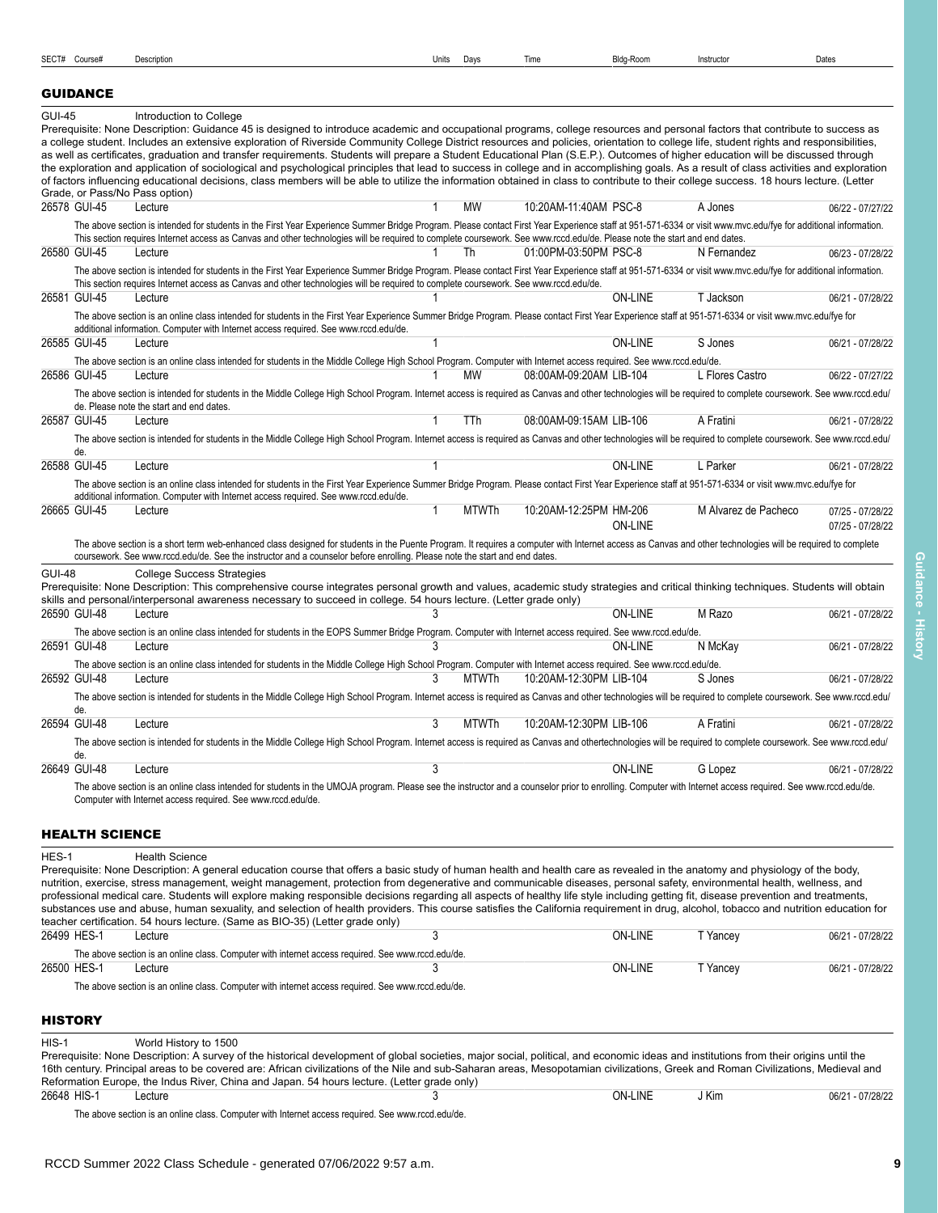<span id="page-8-0"></span>SECT# Course# Description Units Days Time Bldg-Room Instructor Dates

# GUIDANCE

| <b>GUI-45</b> |                       | Introduction to College<br>Prerequisite: None Description: Guidance 45 is designed to introduce academic and occupational programs, college resources and personal factors that contribute to success as                                                                                       |              |              |                         |                |                      |                  |
|---------------|-----------------------|------------------------------------------------------------------------------------------------------------------------------------------------------------------------------------------------------------------------------------------------------------------------------------------------|--------------|--------------|-------------------------|----------------|----------------------|------------------|
|               |                       | a college student. Includes an extensive exploration of Riverside Community College District resources and policies, orientation to college life, student rights and responsibilities,                                                                                                         |              |              |                         |                |                      |                  |
|               |                       | as well as certificates, graduation and transfer requirements. Students will prepare a Student Educational Plan (S.E.P.). Outcomes of higher education will be discussed through                                                                                                               |              |              |                         |                |                      |                  |
|               |                       | the exploration and application of sociological and psychological principles that lead to success in college and in accomplishing goals. As a result of class activities and exploration                                                                                                       |              |              |                         |                |                      |                  |
|               |                       | of factors influencing educational decisions, class members will be able to utilize the information obtained in class to contribute to their college success. 18 hours lecture. (Letter<br>Grade, or Pass/No Pass option)                                                                      |              |              |                         |                |                      |                  |
| 26578 GUI-45  |                       | Lecture                                                                                                                                                                                                                                                                                        |              | <b>MW</b>    | 10:20AM-11:40AM PSC-8   |                | A Jones              | 06/22 - 07/27/22 |
|               |                       | The above section is intended for students in the First Year Experience Summer Bridge Program. Please contact First Year Experience staff at 951-571-6334 or visit www.mvc.edu/fye for additional information.                                                                                 |              |              |                         |                |                      |                  |
|               |                       | This section requires Internet access as Canvas and other technologies will be required to complete coursework. See www.rccd.edu/de. Please note the start and end dates.                                                                                                                      |              |              |                         |                |                      |                  |
| 26580 GUI-45  |                       | Lecture                                                                                                                                                                                                                                                                                        |              | Th           | 01:00PM-03:50PM PSC-8   |                | N Fernandez          | 06/23 - 07/28/22 |
|               |                       | The above section is intended for students in the First Year Experience Summer Bridge Program. Please contact First Year Experience staff at 951-571-6334 or visit www.mvc.edu/fye for additional information.                                                                                 |              |              |                         |                |                      |                  |
|               |                       | This section requires Internet access as Canvas and other technologies will be required to complete coursework. See www.rccd.edu/de.                                                                                                                                                           |              |              |                         |                |                      |                  |
| 26581 GUI-45  |                       | Lecture                                                                                                                                                                                                                                                                                        |              |              |                         | <b>ON-LINE</b> | T Jackson            | 06/21 - 07/28/22 |
|               |                       | The above section is an online class intended for students in the First Year Experience Summer Bridge Program. Please contact First Year Experience staff at 951-571-6334 or visit www.mvc.edu/fye for<br>additional information. Computer with Internet access required. See www.rccd.edu/de. |              |              |                         |                |                      |                  |
| 26585 GUI-45  |                       | Lecture                                                                                                                                                                                                                                                                                        |              |              |                         | <b>ON-LINE</b> | S Jones              | 06/21 - 07/28/22 |
|               |                       | The above section is an online class intended for students in the Middle College High School Program. Computer with Internet access required. See www.rccd.edu/de.                                                                                                                             |              |              |                         |                |                      |                  |
| 26586 GUI-45  |                       | Lecture                                                                                                                                                                                                                                                                                        |              | MW           | 08:00AM-09:20AM LIB-104 |                | L Flores Castro      | 06/22 - 07/27/22 |
|               |                       | The above section is intended for students in the Middle College High School Program. Internet access is required as Canvas and other technologies will be required to complete coursework. See www.rccd.edu/                                                                                  |              |              |                         |                |                      |                  |
|               |                       | de. Please note the start and end dates.                                                                                                                                                                                                                                                       |              |              |                         |                |                      |                  |
| 26587 GUI-45  |                       | Lecture                                                                                                                                                                                                                                                                                        |              | TTh          | 08:00AM-09:15AM LIB-106 |                | A Fratini            | 06/21 - 07/28/22 |
|               |                       | The above section is intended for students in the Middle College High School Program. Internet access is required as Canvas and other technologies will be required to complete coursework. See www.rccd.edu/                                                                                  |              |              |                         |                |                      |                  |
| 26588 GUI-45  | de.                   | Lecture                                                                                                                                                                                                                                                                                        | $\mathbf{1}$ |              |                         | <b>ON-LINE</b> | L Parker             | 06/21 - 07/28/22 |
|               |                       | The above section is an online class intended for students in the First Year Experience Summer Bridge Program. Please contact First Year Experience staff at 951-571-6334 or visit www.mvc.edu/fye for                                                                                         |              |              |                         |                |                      |                  |
|               |                       | additional information. Computer with Internet access required. See www.rccd.edu/de.                                                                                                                                                                                                           |              |              |                         |                |                      |                  |
| 26665 GUI-45  |                       | Lecture                                                                                                                                                                                                                                                                                        | $\mathbf{1}$ | <b>MTWTh</b> | 10:20AM-12:25PM HM-206  |                | M Alvarez de Pacheco | 07/25 - 07/28/22 |
|               |                       |                                                                                                                                                                                                                                                                                                |              |              |                         | <b>ON-LINE</b> |                      | 07/25 - 07/28/22 |
|               |                       | The above section is a short term web-enhanced class designed for students in the Puente Program. It requires a computer with Internet access as Canvas and other technologies will be required to complete                                                                                    |              |              |                         |                |                      |                  |
|               |                       | coursework. See www.rccd.edu/de. See the instructor and a counselor before enrolling. Please note the start and end dates.                                                                                                                                                                     |              |              |                         |                |                      |                  |
| <b>GUI-48</b> |                       | <b>College Success Strategies</b><br>Prerequisite: None Description: This comprehensive course integrates personal growth and values, academic study strategies and critical thinking techniques. Students will obtain                                                                         |              |              |                         |                |                      |                  |
|               |                       | skills and personal/interpersonal awareness necessary to succeed in college. 54 hours lecture. (Letter grade only)                                                                                                                                                                             |              |              |                         |                |                      |                  |
| 26590 GUI-48  |                       | Lecture                                                                                                                                                                                                                                                                                        | 3            |              |                         | <b>ON-LINE</b> | M Razo               | 06/21 - 07/28/22 |
|               |                       | The above section is an online class intended for students in the EOPS Summer Bridge Program. Computer with Internet access required. See www.rccd.edu/de.                                                                                                                                     |              |              |                         |                |                      |                  |
| 26591 GUI-48  |                       | Lecture                                                                                                                                                                                                                                                                                        | 3            |              |                         | <b>ON-LINE</b> | N McKay              | 06/21 - 07/28/22 |
|               |                       | The above section is an online class intended for students in the Middle College High School Program. Computer with Internet access required. See www.rccd.edu/de.                                                                                                                             |              |              |                         |                |                      |                  |
| 26592 GUI-48  |                       | Lecture                                                                                                                                                                                                                                                                                        | 3            | <b>MTWTh</b> | 10:20AM-12:30PM LIB-104 |                | S Jones              | 06/21 - 07/28/22 |
|               |                       | The above section is intended for students in the Middle College High School Program. Internet access is required as Canvas and other technologies will be required to complete coursework. See www.rccd.edu/                                                                                  |              |              |                         |                |                      |                  |
| 26594 GUI-48  | de.                   | Lecture                                                                                                                                                                                                                                                                                        | 3            | <b>MTWTh</b> | 10:20AM-12:30PM LIB-106 |                | A Fratini            | 06/21 - 07/28/22 |
|               |                       |                                                                                                                                                                                                                                                                                                |              |              |                         |                |                      |                  |
|               | de.                   | The above section is intended for students in the Middle College High School Program. Internet access is required as Canvas and othertechnologies will be required to complete coursework. See www.rccd.edu/                                                                                   |              |              |                         |                |                      |                  |
| 26649 GUI-48  |                       | Lecture                                                                                                                                                                                                                                                                                        | 3            |              |                         | <b>ON-LINE</b> | G Lopez              | 06/21 - 07/28/22 |
|               |                       | The above section is an online class intended for students in the UMOJA program. Please see the instructor and a counselor prior to enrolling. Computer with Internet access required. See www.rccd.edu/de.                                                                                    |              |              |                         |                |                      |                  |
|               |                       | Computer with Internet access required. See www.rccd.edu/de.                                                                                                                                                                                                                                   |              |              |                         |                |                      |                  |
|               |                       |                                                                                                                                                                                                                                                                                                |              |              |                         |                |                      |                  |
|               | <b>HEALTH SCIENCE</b> |                                                                                                                                                                                                                                                                                                |              |              |                         |                |                      |                  |

# <span id="page-8-1"></span>HES-1 Health Science Prerequisite: None Description: A general education course that offers a basic study of human health and health care as revealed in the anatomy and physiology of the body, nutrition, exercise, stress management, weight management, protection from degenerative and communicable diseases, personal safety, environmental health, wellness, and professional medical care. Students will explore making responsible decisions regarding all aspects of healthy life style including getting fit, disease prevention and treatments, substances use and abuse, human sexuality, and selection of health providers. This course satisfies the California requirement in drug, alcohol, tobacco and nutrition education for teacher certification. 54 hours lecture. (Same as BIO-35) (Letter grade only)<br>26499 HES-1 Lecture 26499 HES-1 Lecture 3 ON-LINE T Yancey 06/21 - 07/28/22 The above section is an online class. Computer with internet access required. See www.rccd.edu/de.<br>26500 HES-1 Lecture  $3$ 26500 HES-1 Lecture 3 ON-LINE T Yancey 06/21 - 07/28/22 The above section is an online class. Computer with internet access required. See www.rccd.edu/de. **HISTORY**

<span id="page-8-2"></span>

| $HIS-1$     | World History to 1500                                                                                                                                                                 |  |         |       |                  |  |  |  |  |
|-------------|---------------------------------------------------------------------------------------------------------------------------------------------------------------------------------------|--|---------|-------|------------------|--|--|--|--|
|             | Prerequisite: None Description: A survey of the historical development of global societies, major social, political, and economic ideas and institutions from their origins until the |  |         |       |                  |  |  |  |  |
|             | 16th century. Principal areas to be covered are: African civilizations of the Nile and sub-Saharan areas, Mesopotamian civilizations, Greek and Roman Civilizations, Medieval and     |  |         |       |                  |  |  |  |  |
|             | Reformation Europe, the Indus River, China and Japan. 54 hours lecture. (Letter grade only)                                                                                           |  |         |       |                  |  |  |  |  |
| 26648 HIS-1 | Lecture                                                                                                                                                                               |  | ON-LINE | J Kim | 06/21 - 07/28/22 |  |  |  |  |

The above section is an online class. Computer with Internet access required. See www.rccd.edu/de.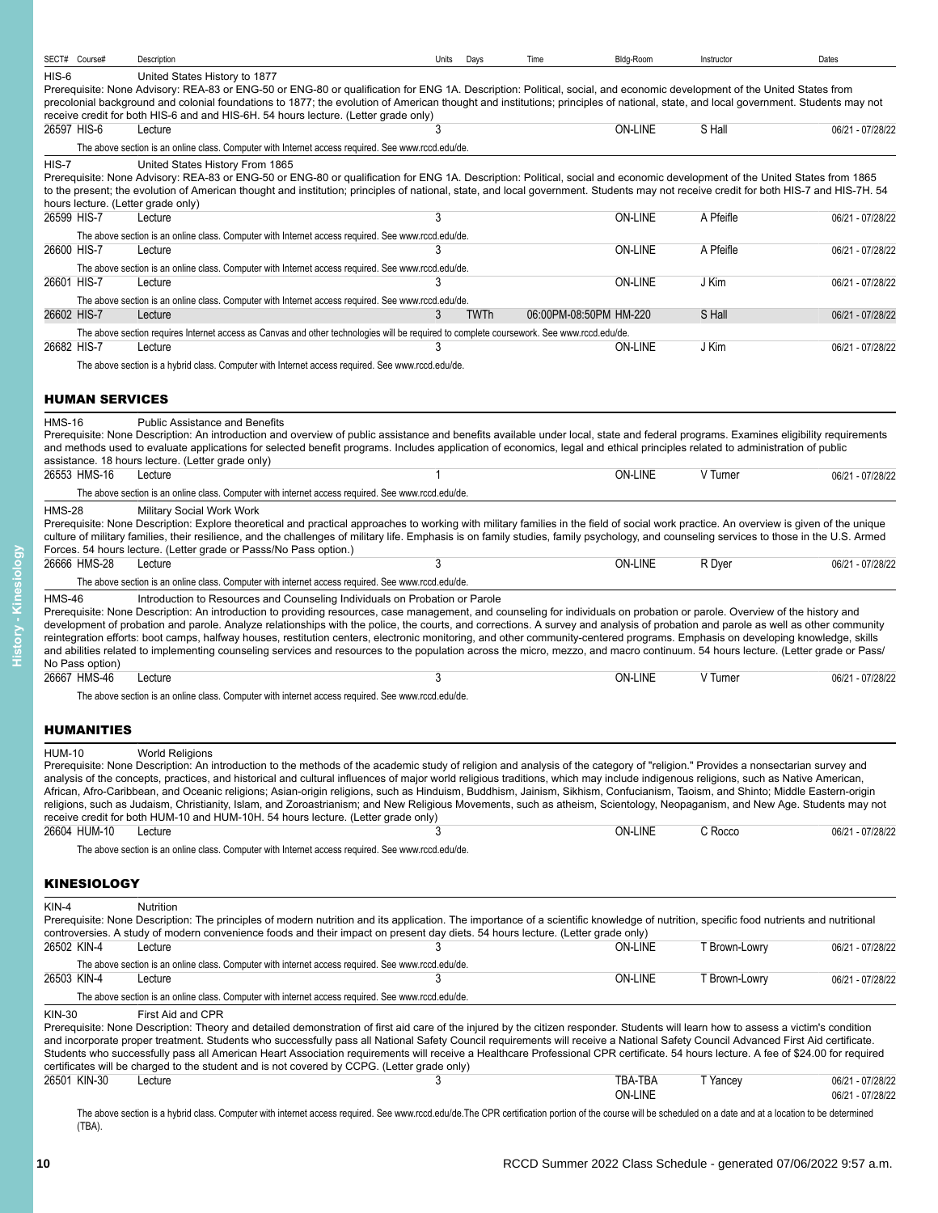<span id="page-9-2"></span><span id="page-9-1"></span><span id="page-9-0"></span>

| SECT# Course#                                 | Description                                                                                                                                                                                                                                                                                                                                                                                                                                                                                                                                                                                                                                                                                                                                                                                                                                        | Units | Days | Time                   | Bldg-Room          | Instructor    | Dates                                |
|-----------------------------------------------|----------------------------------------------------------------------------------------------------------------------------------------------------------------------------------------------------------------------------------------------------------------------------------------------------------------------------------------------------------------------------------------------------------------------------------------------------------------------------------------------------------------------------------------------------------------------------------------------------------------------------------------------------------------------------------------------------------------------------------------------------------------------------------------------------------------------------------------------------|-------|------|------------------------|--------------------|---------------|--------------------------------------|
| HIS-6                                         | United States History to 1877<br>Prerequisite: None Advisory: REA-83 or ENG-50 or ENG-80 or qualification for ENG 1A. Description: Political, social, and economic development of the United States from<br>precolonial background and colonial foundations to 1877; the evolution of American thought and institutions; principles of national, state, and local government. Students may not<br>receive credit for both HIS-6 and and HIS-6H. 54 hours lecture. (Letter grade only)                                                                                                                                                                                                                                                                                                                                                              |       |      |                        |                    |               |                                      |
| 26597 HIS-6                                   | Lecture                                                                                                                                                                                                                                                                                                                                                                                                                                                                                                                                                                                                                                                                                                                                                                                                                                            | 3     |      |                        | ON-LINE            | S Hall        | 06/21 - 07/28/22                     |
| $HIS-7$<br>hours lecture. (Letter grade only) | The above section is an online class. Computer with Internet access required. See www.rccd.edu/de.<br>United States History From 1865<br>Prerequisite: None Advisory: REA-83 or ENG-50 or ENG-80 or qualification for ENG 1A. Description: Political, social and economic development of the United States from 1865<br>to the present; the evolution of American thought and institution; principles of national, state, and local government. Students may not receive credit for both HIS-7 and HIS-7H. 54                                                                                                                                                                                                                                                                                                                                      |       |      |                        |                    |               |                                      |
| 26599 HIS-7                                   | Lecture                                                                                                                                                                                                                                                                                                                                                                                                                                                                                                                                                                                                                                                                                                                                                                                                                                            | 3     |      |                        | ON-LINE            | A Pfeifle     | 06/21 - 07/28/22                     |
| 26600 HIS-7                                   | The above section is an online class. Computer with Internet access required. See www.rccd.edu/de.<br>Lecture<br>The above section is an online class. Computer with Internet access required. See www.rccd.edu/de.                                                                                                                                                                                                                                                                                                                                                                                                                                                                                                                                                                                                                                | 3     |      |                        | <b>ON-LINE</b>     | A Pfeifle     | 06/21 - 07/28/22                     |
| 26601 HIS-7                                   | Lecture<br>The above section is an online class. Computer with Internet access required. See www.rccd.edu/de.                                                                                                                                                                                                                                                                                                                                                                                                                                                                                                                                                                                                                                                                                                                                      | 3     |      |                        | ON-LINE            | J Kim         | 06/21 - 07/28/22                     |
| 26602 HIS-7                                   | Lecture                                                                                                                                                                                                                                                                                                                                                                                                                                                                                                                                                                                                                                                                                                                                                                                                                                            | 3     | TWTh | 06:00PM-08:50PM HM-220 |                    | S Hall        | 06/21 - 07/28/22                     |
| 26682 HIS-7                                   | The above section requires Internet access as Canvas and other technologies will be required to complete coursework. See www.rccd.edu/de.<br>Lecture<br>The above section is a hybrid class. Computer with Internet access required. See www.rccd.edu/de.                                                                                                                                                                                                                                                                                                                                                                                                                                                                                                                                                                                          | 3     |      |                        | ON-LINE            | J Kim         | 06/21 - 07/28/22                     |
| <b>HUMAN SERVICES</b>                         |                                                                                                                                                                                                                                                                                                                                                                                                                                                                                                                                                                                                                                                                                                                                                                                                                                                    |       |      |                        |                    |               |                                      |
| <b>HMS-16</b>                                 | <b>Public Assistance and Benefits</b><br>Prerequisite: None Description: An introduction and overview of public assistance and benefits available under local, state and federal programs. Examines eligibility requirements<br>and methods used to evaluate applications for selected benefit programs. Includes application of economics, legal and ethical principles related to administration of public<br>assistance. 18 hours lecture. (Letter grade only)                                                                                                                                                                                                                                                                                                                                                                                  |       |      |                        |                    |               |                                      |
| 26553 HMS-16                                  | Lecture<br>The above section is an online class. Computer with internet access required. See www.rccd.edu/de.                                                                                                                                                                                                                                                                                                                                                                                                                                                                                                                                                                                                                                                                                                                                      | 1     |      |                        | ON-LINE            | V Turner      | 06/21 - 07/28/22                     |
| <b>HMS-28</b>                                 | Military Social Work Work<br>Prerequisite: None Description: Explore theoretical and practical approaches to working with military families in the field of social work practice. An overview is given of the unique<br>culture of military families, their resilience, and the challenges of military life. Emphasis is on family studies, family psychology, and counseling services to those in the U.S. Armed<br>Forces. 54 hours lecture. (Letter grade or Passs/No Pass option.)                                                                                                                                                                                                                                                                                                                                                             |       |      |                        |                    |               |                                      |
| 26666 HMS-28                                  | Lecture<br>The above section is an online class. Computer with internet access required. See www.rccd.edu/de.                                                                                                                                                                                                                                                                                                                                                                                                                                                                                                                                                                                                                                                                                                                                      | 3     |      |                        | <b>ON-LINE</b>     | R Dyer        | 06/21 - 07/28/22                     |
| <b>HMS-46</b><br>No Pass option)              | Introduction to Resources and Counseling Individuals on Probation or Parole<br>Prerequisite: None Description: An introduction to providing resources, case management, and counseling for individuals on probation or parole. Overview of the history and<br>development of probation and parole. Analyze relationships with the police, the courts, and corrections. A survey and analysis of probation and parole as well as other community<br>reintegration efforts: boot camps, halfway houses, restitution centers, electronic monitoring, and other community-centered programs. Emphasis on developing knowledge, skills<br>and abilities related to implementing counseling services and resources to the population across the micro, mezzo, and macro continuum. 54 hours lecture. (Letter grade or Pass/                              |       |      |                        |                    |               |                                      |
| 26667 HMS-46                                  | Lecture                                                                                                                                                                                                                                                                                                                                                                                                                                                                                                                                                                                                                                                                                                                                                                                                                                            | 3     |      |                        | ON-LINE            | V Turner      | 06/21 - 07/28/22                     |
|                                               | The above section is an online class. Computer with internet access required. See www.rccd.edu/de.                                                                                                                                                                                                                                                                                                                                                                                                                                                                                                                                                                                                                                                                                                                                                 |       |      |                        |                    |               |                                      |
| <b>HUMANITIES</b>                             |                                                                                                                                                                                                                                                                                                                                                                                                                                                                                                                                                                                                                                                                                                                                                                                                                                                    |       |      |                        |                    |               |                                      |
| <b>HUM-10</b>                                 | <b>World Religions</b><br>Prerequisite: None Description: An introduction to the methods of the academic study of religion and analysis of the category of "religion." Provides a nonsectarian survey and<br>analysis of the concepts, practices, and historical and cultural influences of major world religious traditions, which may include indigenous religions, such as Native American,<br>African, Afro-Caribbean, and Oceanic religions; Asian-origin religions, such as Hinduism, Buddhism, Jainism, Sikhism, Confucianism, Taoism, and Shinto; Middle Eastern-origin<br>religions, such as Judaism, Christianity, Islam, and Zoroastrianism; and New Religious Movements, such as atheism, Scientology, Neopaganism, and New Age. Students may not<br>receive credit for both HUM-10 and HUM-10H. 54 hours lecture. (Letter grade only) |       |      |                        |                    |               |                                      |
| 26604 HUM-10                                  | Lecture<br>The above section is an online class. Computer with Internet access required. See www.rccd.edu/de.                                                                                                                                                                                                                                                                                                                                                                                                                                                                                                                                                                                                                                                                                                                                      | 3     |      |                        | ON-LINE            | C Rocco       | 06/21 - 07/28/22                     |
| <b>KINESIOLOGY</b>                            |                                                                                                                                                                                                                                                                                                                                                                                                                                                                                                                                                                                                                                                                                                                                                                                                                                                    |       |      |                        |                    |               |                                      |
| KIN-4                                         | Nutrition<br>Prerequisite: None Description: The principles of modern nutrition and its application. The importance of a scientific knowledge of nutrition, specific food nutrients and nutritional                                                                                                                                                                                                                                                                                                                                                                                                                                                                                                                                                                                                                                                |       |      |                        |                    |               |                                      |
| 26502 KIN-4                                   | controversies. A study of modern convenience foods and their impact on present day diets. 54 hours lecture. (Letter grade only)<br>Lecture                                                                                                                                                                                                                                                                                                                                                                                                                                                                                                                                                                                                                                                                                                         |       |      |                        | <b>ON-LINE</b>     | T Brown-Lowry | 06/21 - 07/28/22                     |
| 26503 KIN-4                                   | The above section is an online class. Computer with internet access required. See www.rccd.edu/de.<br>Lecture                                                                                                                                                                                                                                                                                                                                                                                                                                                                                                                                                                                                                                                                                                                                      | 3     |      |                        | <b>ON-LINE</b>     | T Brown-Lowry | 06/21 - 07/28/22                     |
|                                               | The above section is an online class. Computer with internet access required. See www.rccd.edu/de.                                                                                                                                                                                                                                                                                                                                                                                                                                                                                                                                                                                                                                                                                                                                                 |       |      |                        |                    |               |                                      |
| <b>KIN-30</b>                                 | First Aid and CPR<br>Prerequisite: None Description: Theory and detailed demonstration of first aid care of the injured by the citizen responder. Students will learn how to assess a victim's condition<br>and incorporate proper treatment. Students who successfully pass all National Safety Council requirements will receive a National Safety Council Advanced First Aid certificate.<br>Students who successfully pass all American Heart Association requirements will receive a Healthcare Professional CPR certificate. 54 hours lecture. A fee of \$24.00 for required<br>certificates will be charged to the student and is not covered by CCPG. (Letter grade only)                                                                                                                                                                  |       |      |                        |                    |               |                                      |
| 26501 KIN-30                                  | Lecture                                                                                                                                                                                                                                                                                                                                                                                                                                                                                                                                                                                                                                                                                                                                                                                                                                            | 3     |      |                        | TBA-TBA<br>ON-LINE | T Yancey      | 06/21 - 07/28/22<br>06/21 - 07/28/22 |
| (TBA).                                        | The above section is a hybrid class. Computer with internet access required. See www.rccd.edu/de.The CPR certification portion of the course will be scheduled on a date and at a location to be determined                                                                                                                                                                                                                                                                                                                                                                                                                                                                                                                                                                                                                                        |       |      |                        |                    |               |                                      |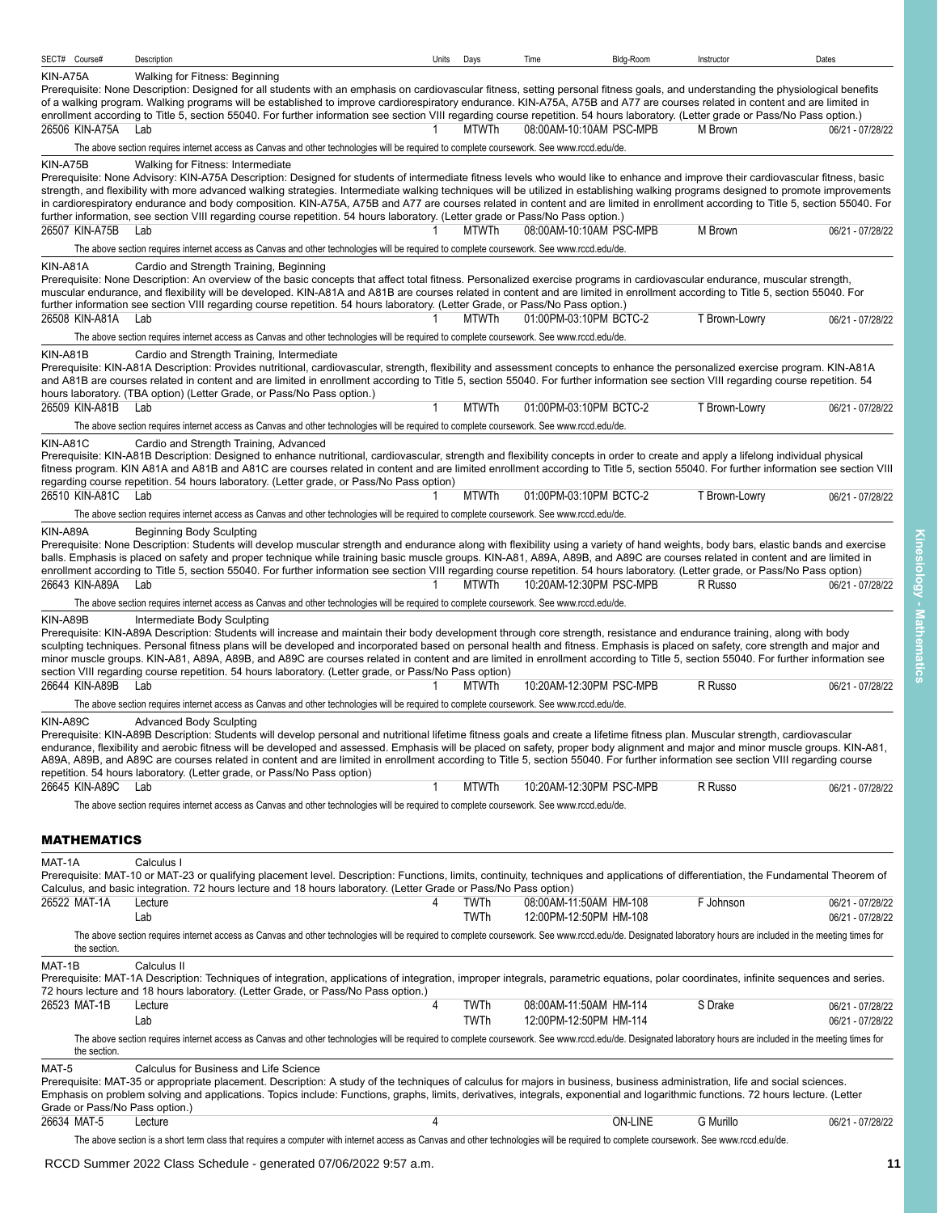<span id="page-10-0"></span>

| SECT# Course#  |                    | Description                                                                                                                                                                                                                                                                                                                                                                                                                                                                                                                                                                                                                                                                             | Units | Days         | Time                                             | Bldg-Room      | Instructor    | Dates                                |
|----------------|--------------------|-----------------------------------------------------------------------------------------------------------------------------------------------------------------------------------------------------------------------------------------------------------------------------------------------------------------------------------------------------------------------------------------------------------------------------------------------------------------------------------------------------------------------------------------------------------------------------------------------------------------------------------------------------------------------------------------|-------|--------------|--------------------------------------------------|----------------|---------------|--------------------------------------|
| KIN-A75A       |                    | Walking for Fitness: Beginning                                                                                                                                                                                                                                                                                                                                                                                                                                                                                                                                                                                                                                                          |       |              |                                                  |                |               |                                      |
|                |                    | Prerequisite: None Description: Designed for all students with an emphasis on cardiovascular fitness, setting personal fitness goals, and understanding the physiological benefits                                                                                                                                                                                                                                                                                                                                                                                                                                                                                                      |       |              |                                                  |                |               |                                      |
|                |                    | of a walking program. Walking programs will be established to improve cardiorespiratory endurance. KIN-A75A, A75B and A77 are courses related in content and are limited in<br>enrollment according to Title 5, section 55040. For further information see section VIII regarding course repetition. 54 hours laboratory. (Letter grade or Pass/No Pass option.)                                                                                                                                                                                                                                                                                                                        |       |              |                                                  |                |               |                                      |
|                | 26506 KIN-A75A Lab |                                                                                                                                                                                                                                                                                                                                                                                                                                                                                                                                                                                                                                                                                         |       | <b>MTWTh</b> | 08:00AM-10:10AM PSC-MPB                          |                | M Brown       | 06/21 - 07/28/22                     |
|                |                    | The above section requires internet access as Canvas and other technologies will be required to complete coursework. See www.rccd.edu/de.                                                                                                                                                                                                                                                                                                                                                                                                                                                                                                                                               |       |              |                                                  |                |               |                                      |
| KIN-A75B       |                    | Walking for Fitness: Intermediate                                                                                                                                                                                                                                                                                                                                                                                                                                                                                                                                                                                                                                                       |       |              |                                                  |                |               |                                      |
|                |                    | Prerequisite: None Advisory: KIN-A75A Description: Designed for students of intermediate fitness levels who would like to enhance and improve their cardiovascular fitness, basic<br>strength, and flexibility with more advanced walking strategies. Intermediate walking techniques will be utilized in establishing walking programs designed to promote improvements<br>in cardiorespiratory endurance and body composition. KIN-A75A, A75B and A77 are courses related in content and are limited in enrollment according to Title 5, section 55040. For                                                                                                                           |       |              |                                                  |                |               |                                      |
| 26507 KIN-A75B |                    | further information, see section VIII regarding course repetition. 54 hours laboratory. (Letter grade or Pass/No Pass option.)<br>Lab                                                                                                                                                                                                                                                                                                                                                                                                                                                                                                                                                   |       | MTWTh        | 08:00AM-10:10AM PSC-MPB                          |                | M Brown       | 06/21 - 07/28/22                     |
|                |                    | The above section requires internet access as Canvas and other technologies will be required to complete coursework. See www.rccd.edu/de.                                                                                                                                                                                                                                                                                                                                                                                                                                                                                                                                               |       |              |                                                  |                |               |                                      |
| KIN-A81A       |                    | Cardio and Strength Training, Beginning<br>Prerequisite: None Description: An overview of the basic concepts that affect total fitness. Personalized exercise programs in cardiovascular endurance, muscular strength,<br>muscular endurance, and flexibility will be developed. KIN-A81A and A81B are courses related in content and are limited in enrollment according to Title 5, section 55040. For                                                                                                                                                                                                                                                                                |       |              |                                                  |                |               |                                      |
|                | 26508 KIN-A81A     | further information see section VIII regarding course repetition. 54 hours laboratory. (Letter Grade, or Pass/No Pass option.)<br>Lab                                                                                                                                                                                                                                                                                                                                                                                                                                                                                                                                                   |       | <b>MTWTh</b> | 01:00PM-03:10PM BCTC-2                           |                | T Brown-Lowry | 06/21 - 07/28/22                     |
|                |                    | The above section requires internet access as Canvas and other technologies will be required to complete coursework. See www.rccd.edu/de.                                                                                                                                                                                                                                                                                                                                                                                                                                                                                                                                               |       |              |                                                  |                |               |                                      |
| KIN-A81B       |                    | Cardio and Strength Training, Intermediate<br>Prerequisite: KIN-A81A Description: Provides nutritional, cardiovascular, strength, flexibility and assessment concepts to enhance the personalized exercise program. KIN-A81A<br>and A81B are courses related in content and are limited in enrollment according to Title 5, section 55040. For further information see section VIII regarding course repetition. 54<br>hours laboratory. (TBA option) (Letter Grade, or Pass/No Pass option.)                                                                                                                                                                                           |       |              |                                                  |                |               |                                      |
|                | 26509 KIN-A81B Lab |                                                                                                                                                                                                                                                                                                                                                                                                                                                                                                                                                                                                                                                                                         | 1     | <b>MTWTh</b> | 01:00PM-03:10PM BCTC-2                           |                | T Brown-Lowry | 06/21 - 07/28/22                     |
|                |                    | The above section requires internet access as Canvas and other technologies will be required to complete coursework. See www.rccd.edu/de.                                                                                                                                                                                                                                                                                                                                                                                                                                                                                                                                               |       |              |                                                  |                |               |                                      |
| KIN-A81C       |                    | Cardio and Strength Training, Advanced<br>Prerequisite: KIN-A81B Description: Designed to enhance nutritional, cardiovascular, strength and flexibility concepts in order to create and apply a lifelong individual physical<br>fitness program. KIN A81A and A81B and A81C are courses related in content and are limited enrollment according to Title 5, section 55040. For further information see section VIII<br>regarding course repetition. 54 hours laboratory. (Letter grade, or Pass/No Pass option)                                                                                                                                                                         |       |              |                                                  |                |               |                                      |
|                | 26510 KIN-A81C Lab |                                                                                                                                                                                                                                                                                                                                                                                                                                                                                                                                                                                                                                                                                         |       | MTWTh        | 01:00PM-03:10PM BCTC-2                           |                | T Brown-Lowry | 06/21 - 07/28/22                     |
| KIN-A89A       |                    | The above section requires internet access as Canvas and other technologies will be required to complete coursework. See www.rccd.edu/de.<br><b>Beginning Body Sculpting</b>                                                                                                                                                                                                                                                                                                                                                                                                                                                                                                            |       |              |                                                  |                |               |                                      |
|                | 26643 KIN-A89A     | Prerequisite: None Description: Students will develop muscular strength and endurance along with flexibility using a variety of hand weights, body bars, elastic bands and exercise<br>balls. Emphasis is placed on safety and proper technique while training basic muscle groups. KIN-A81, A89A, A89B, and A89C are courses related in content and are limited in<br>enrollment according to Title 5, section 55040. For further information see section VIII regarding course repetition. 54 hours laboratory. (Letter grade, or Pass/No Pass option)<br>Lab                                                                                                                         |       | <b>MTWTh</b> | 10:20AM-12:30PM PSC-MPB                          |                | R Russo       | 06/21 - 07/28/22                     |
|                |                    | The above section requires internet access as Canvas and other technologies will be required to complete coursework. See www.rccd.edu/de.                                                                                                                                                                                                                                                                                                                                                                                                                                                                                                                                               |       |              |                                                  |                |               |                                      |
| KIN-A89B       |                    | Intermediate Body Sculpting<br>Prerequisite: KIN-A89A Description: Students will increase and maintain their body development through core strength, resistance and endurance training, along with body<br>sculpting techniques. Personal fitness plans will be developed and incorporated based on personal health and fitness. Emphasis is placed on safety, core strength and major and<br>minor muscle groups. KIN-A81, A89A, A89B, and A89C are courses related in content and are limited in enrollment according to Title 5, section 55040. For further information see<br>section VIII regarding course repetition. 54 hours laboratory. (Letter grade, or Pass/No Pass option) |       |              |                                                  |                |               |                                      |
|                | 26644 KIN-A89B     | Lab<br>The above section requires internet access as Canvas and other technologies will be required to complete coursework. See www.rccd.edu/de.                                                                                                                                                                                                                                                                                                                                                                                                                                                                                                                                        |       | MTWTh        | 10:20AM-12:30PM PSC-MPB                          |                | R Russo       | 06/21 - 07/28/22                     |
| KIN-A89C       |                    | <b>Advanced Body Sculpting</b>                                                                                                                                                                                                                                                                                                                                                                                                                                                                                                                                                                                                                                                          |       |              |                                                  |                |               |                                      |
|                |                    | Prerequisite: KIN-A89B Description: Students will develop personal and nutritional lifetime fitness goals and create a lifetime fitness plan. Muscular strength, cardiovascular<br>endurance, flexibility and aerobic fitness will be developed and assessed. Emphasis will be placed on safety, proper body alignment and major and minor muscle groups. KIN-A81,<br>A89A, A89B, and A89C are courses related in content and are limited in enrollment according to Title 5, section 55040. For further information see section VIII regarding course<br>repetition. 54 hours laboratory. (Letter grade, or Pass/No Pass option)                                                       |       |              |                                                  |                |               |                                      |
| 26645 KIN-A89C |                    | Lab                                                                                                                                                                                                                                                                                                                                                                                                                                                                                                                                                                                                                                                                                     | 1     | <b>MTWTh</b> | 10:20AM-12:30PM PSC-MPB                          |                | R Russo       | 06/21 - 07/28/22                     |
|                |                    | The above section requires internet access as Canvas and other technologies will be required to complete coursework. See www.rccd.edu/de.                                                                                                                                                                                                                                                                                                                                                                                                                                                                                                                                               |       |              |                                                  |                |               |                                      |
|                |                    |                                                                                                                                                                                                                                                                                                                                                                                                                                                                                                                                                                                                                                                                                         |       |              |                                                  |                |               |                                      |
|                | MATHEMATICS        |                                                                                                                                                                                                                                                                                                                                                                                                                                                                                                                                                                                                                                                                                         |       |              |                                                  |                |               |                                      |
| MAT-1A         |                    | Calculus I<br>Prerequisite: MAT-10 or MAT-23 or qualifying placement level. Description: Functions, limits, continuity, techniques and applications of differentiation, the Fundamental Theorem of                                                                                                                                                                                                                                                                                                                                                                                                                                                                                      |       |              |                                                  |                |               |                                      |
|                |                    | Calculus, and basic integration. 72 hours lecture and 18 hours laboratory. (Letter Grade or Pass/No Pass option)                                                                                                                                                                                                                                                                                                                                                                                                                                                                                                                                                                        |       |              |                                                  |                |               |                                      |
| 26522 MAT-1A   |                    | Lecture<br>Lab                                                                                                                                                                                                                                                                                                                                                                                                                                                                                                                                                                                                                                                                          | 4     | TWTh<br>TWTh | 08:00AM-11:50AM HM-108<br>12:00PM-12:50PM HM-108 |                | F Johnson     | 06/21 - 07/28/22<br>06/21 - 07/28/22 |
|                | the section.       | The above section requires internet access as Canvas and other technologies will be required to complete coursework. See www.rccd.edu/de. Designated laboratory hours are included in the meeting times for                                                                                                                                                                                                                                                                                                                                                                                                                                                                             |       |              |                                                  |                |               |                                      |
| MAT-1B         |                    | Calculus II                                                                                                                                                                                                                                                                                                                                                                                                                                                                                                                                                                                                                                                                             |       |              |                                                  |                |               |                                      |
|                |                    | Prerequisite: MAT-1A Description: Techniques of integration, applications of integration, improper integrals, parametric equations, polar coordinates, infinite sequences and series.                                                                                                                                                                                                                                                                                                                                                                                                                                                                                                   |       |              |                                                  |                |               |                                      |
| 26523 MAT-1B   |                    | 72 hours lecture and 18 hours laboratory. (Letter Grade, or Pass/No Pass option.)<br>Lecture                                                                                                                                                                                                                                                                                                                                                                                                                                                                                                                                                                                            | 4     | TWTh         | 08:00AM-11:50AM HM-114                           |                | S Drake       | 06/21 - 07/28/22                     |
|                |                    | Lab                                                                                                                                                                                                                                                                                                                                                                                                                                                                                                                                                                                                                                                                                     |       | TWTh         | 12:00PM-12:50PM HM-114                           |                |               | 06/21 - 07/28/22                     |
|                |                    |                                                                                                                                                                                                                                                                                                                                                                                                                                                                                                                                                                                                                                                                                         |       |              |                                                  |                |               |                                      |
|                | the section.       | The above section requires internet access as Canvas and other technologies will be required to complete coursework. See www.rccd.edu/de. Designated laboratory hours are included in the meeting times for                                                                                                                                                                                                                                                                                                                                                                                                                                                                             |       |              |                                                  |                |               |                                      |
| MAT-5          |                    | Calculus for Business and Life Science<br>Prerequisite: MAT-35 or appropriate placement. Description: A study of the techniques of calculus for majors in business, business administration, life and social sciences.                                                                                                                                                                                                                                                                                                                                                                                                                                                                  |       |              |                                                  |                |               |                                      |
|                |                    | Emphasis on problem solving and applications. Topics include: Functions, graphs, limits, derivatives, integrals, exponential and logarithmic functions. 72 hours lecture. (Letter                                                                                                                                                                                                                                                                                                                                                                                                                                                                                                       |       |              |                                                  |                |               |                                      |
| 26634 MAT-5    |                    | Grade or Pass/No Pass option.)<br>Lecture                                                                                                                                                                                                                                                                                                                                                                                                                                                                                                                                                                                                                                               | 4     |              |                                                  | <b>ON-LINE</b> | G Murillo     | 06/21 - 07/28/22                     |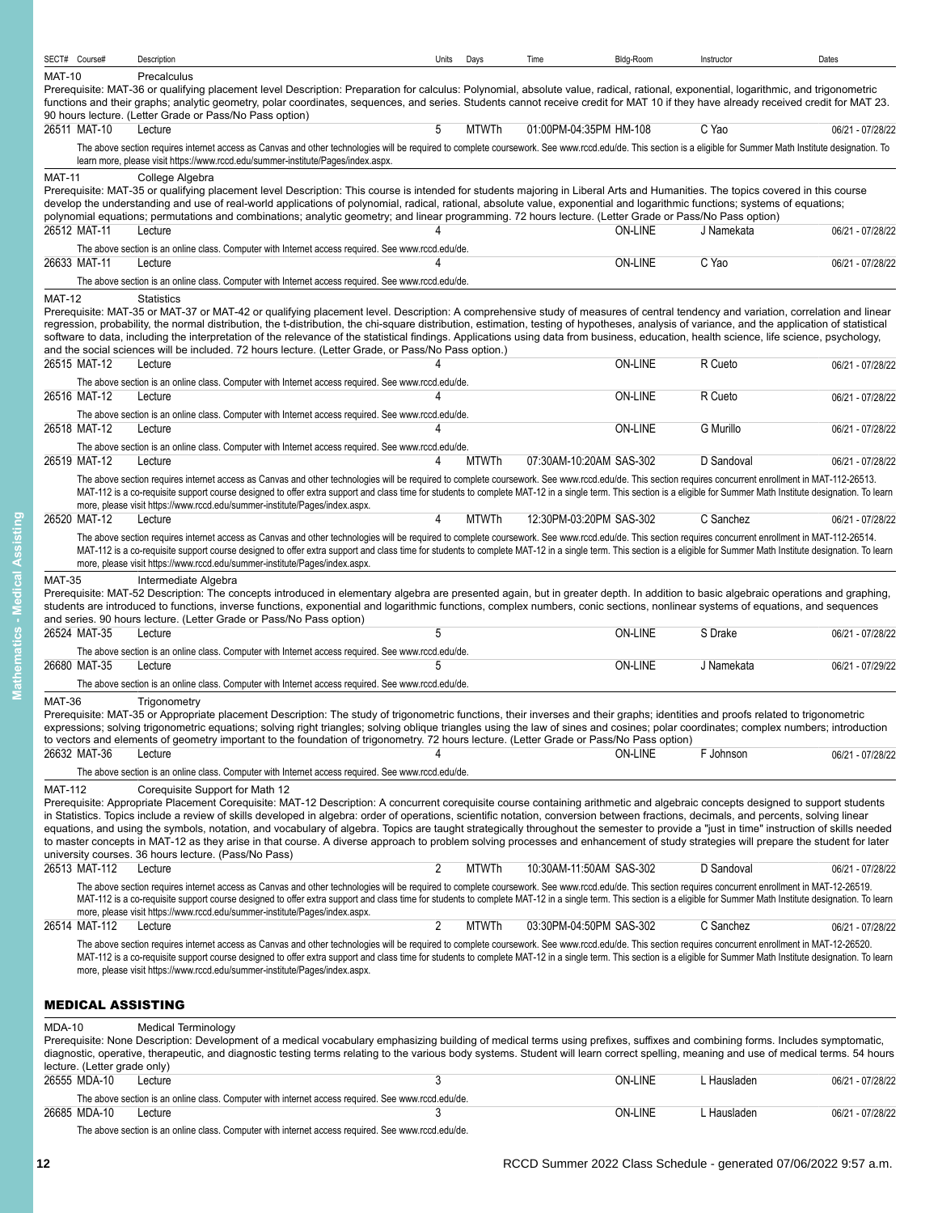|                | SECT# Course#                | Description                                                                                                                                                                                                                                                                                                                                                                                                                     | Units          | Days         | Time                    | Bldg-Room      | Instructor  | Dates            |
|----------------|------------------------------|---------------------------------------------------------------------------------------------------------------------------------------------------------------------------------------------------------------------------------------------------------------------------------------------------------------------------------------------------------------------------------------------------------------------------------|----------------|--------------|-------------------------|----------------|-------------|------------------|
| <b>MAT-10</b>  |                              | Precalculus                                                                                                                                                                                                                                                                                                                                                                                                                     |                |              |                         |                |             |                  |
|                |                              | Prerequisite: MAT-36 or qualifying placement level Description: Preparation for calculus: Polynomial, absolute value, radical, rational, exponential, logarithmic, and trigonometric<br>functions and their graphs; analytic geometry, polar coordinates, sequences, and series. Students cannot receive credit for MAT 10 if they have already received credit for MAT 23.                                                     |                |              |                         |                |             |                  |
|                |                              | 90 hours lecture. (Letter Grade or Pass/No Pass option)                                                                                                                                                                                                                                                                                                                                                                         |                |              |                         |                |             |                  |
|                | 26511 MAT-10                 | Lecture                                                                                                                                                                                                                                                                                                                                                                                                                         | 5              | <b>MTWTh</b> | 01:00PM-04:35PM HM-108  |                | C Yao       | 06/21 - 07/28/22 |
|                |                              | The above section requires internet access as Canvas and other technologies will be required to complete coursework. See www.rccd.edu/de. This section is a eligible for Summer Math Institute designation. To                                                                                                                                                                                                                  |                |              |                         |                |             |                  |
|                |                              | learn more, please visit https://www.rccd.edu/summer-institute/Pages/index.aspx.                                                                                                                                                                                                                                                                                                                                                |                |              |                         |                |             |                  |
| <b>MAT-11</b>  |                              | College Algebra<br>Prerequisite: MAT-35 or qualifying placement level Description: This course is intended for students majoring in Liberal Arts and Humanities. The topics covered in this course                                                                                                                                                                                                                              |                |              |                         |                |             |                  |
|                |                              | develop the understanding and use of real-world applications of polynomial, radical, rational, absolute value, exponential and logarithmic functions; systems of equations;                                                                                                                                                                                                                                                     |                |              |                         |                |             |                  |
|                |                              | polynomial equations; permutations and combinations; analytic geometry; and linear programming. 72 hours lecture. (Letter Grade or Pass/No Pass option)                                                                                                                                                                                                                                                                         |                |              |                         |                |             |                  |
|                | 26512 MAT-11                 | Lecture                                                                                                                                                                                                                                                                                                                                                                                                                         |                |              |                         | <b>ON-LINE</b> | J Namekata  | 06/21 - 07/28/22 |
|                | 26633 MAT-11                 | The above section is an online class. Computer with Internet access required. See www.rccd.edu/de.<br>Lecture                                                                                                                                                                                                                                                                                                                   |                |              |                         | <b>ON-LINE</b> | C Yao       | 06/21 - 07/28/22 |
|                |                              | The above section is an online class. Computer with Internet access required. See www.rccd.edu/de.                                                                                                                                                                                                                                                                                                                              |                |              |                         |                |             |                  |
| <b>MAT-12</b>  |                              | <b>Statistics</b>                                                                                                                                                                                                                                                                                                                                                                                                               |                |              |                         |                |             |                  |
|                |                              | Prerequisite: MAT-35 or MAT-37 or MAT-42 or qualifying placement level. Description: A comprehensive study of measures of central tendency and variation, correlation and linear                                                                                                                                                                                                                                                |                |              |                         |                |             |                  |
|                |                              | regression, probability, the normal distribution, the t-distribution, the chi-square distribution, estimation, testing of hypotheses, analysis of variance, and the application of statistical                                                                                                                                                                                                                                  |                |              |                         |                |             |                  |
|                |                              | software to data, including the interpretation of the relevance of the statistical findings. Applications using data from business, education, health science, life science, psychology,<br>and the social sciences will be included. 72 hours lecture. (Letter Grade, or Pass/No Pass option.)                                                                                                                                 |                |              |                         |                |             |                  |
|                | 26515 MAT-12                 | Lecture                                                                                                                                                                                                                                                                                                                                                                                                                         |                |              |                         | <b>ON-LINE</b> | R Cueto     | 06/21 - 07/28/22 |
|                |                              | The above section is an online class. Computer with Internet access required. See www.rccd.edu/de.                                                                                                                                                                                                                                                                                                                              |                |              |                         |                |             |                  |
|                | 26516 MAT-12                 | Lecture                                                                                                                                                                                                                                                                                                                                                                                                                         | Δ              |              |                         | <b>ON-LINE</b> | R Cueto     | 06/21 - 07/28/22 |
|                |                              | The above section is an online class. Computer with Internet access required. See www.rccd.edu/de.                                                                                                                                                                                                                                                                                                                              |                |              |                         |                |             |                  |
|                | 26518 MAT-12                 | Lecture                                                                                                                                                                                                                                                                                                                                                                                                                         |                |              |                         | <b>ON-LINE</b> | G Murillo   | 06/21 - 07/28/22 |
|                |                              | The above section is an online class. Computer with Internet access required. See www.rccd.edu/de.                                                                                                                                                                                                                                                                                                                              |                |              |                         |                |             |                  |
|                | 26519 MAT-12                 | Lecture                                                                                                                                                                                                                                                                                                                                                                                                                         | 4              | <b>MTWTh</b> | 07:30AM-10:20AM SAS-302 |                | D Sandoval  | 06/21 - 07/28/22 |
|                |                              | The above section requires internet access as Canvas and other technologies will be required to complete coursework. See www.rccd.edu/de. This section requires concurrent enrollment in MAT-112-26513.<br>MAT-112 is a co-requisite support course designed to offer extra support and class time for students to complete MAT-12 in a single term. This section is a eligible for Summer Math Institute designation. To learn |                |              |                         |                |             |                  |
|                |                              | more, please visit https://www.rccd.edu/summer-institute/Pages/index.aspx.                                                                                                                                                                                                                                                                                                                                                      |                |              |                         |                |             |                  |
|                | 26520 MAT-12                 | Lecture                                                                                                                                                                                                                                                                                                                                                                                                                         | 4              | MTWTh        | 12:30PM-03:20PM SAS-302 |                | C Sanchez   | 06/21 - 07/28/22 |
|                |                              | The above section requires internet access as Canvas and other technologies will be required to complete coursework. See www.rccd.edu/de. This section requires concurrent enrollment in MAT-112-26514.                                                                                                                                                                                                                         |                |              |                         |                |             |                  |
|                |                              | MAT-112 is a co-requisite support course designed to offer extra support and class time for students to complete MAT-12 in a single term. This section is a eligible for Summer Math Institute designation. To learn<br>more, please visit https://www.rccd.edu/summer-institute/Pages/index.aspx.                                                                                                                              |                |              |                         |                |             |                  |
|                |                              |                                                                                                                                                                                                                                                                                                                                                                                                                                 |                |              |                         |                |             |                  |
| <b>MAT-35</b>  |                              | Intermediate Algebra<br>Prerequisite: MAT-52 Description: The concepts introduced in elementary algebra are presented again, but in greater depth. In addition to basic algebraic operations and graphing,                                                                                                                                                                                                                      |                |              |                         |                |             |                  |
|                |                              | students are introduced to functions, inverse functions, exponential and logarithmic functions, complex numbers, conic sections, nonlinear systems of equations, and sequences                                                                                                                                                                                                                                                  |                |              |                         |                |             |                  |
|                | 26524 MAT-35                 | and series. 90 hours lecture. (Letter Grade or Pass/No Pass option)<br>Lecture                                                                                                                                                                                                                                                                                                                                                  | 5              |              |                         | <b>ON-LINE</b> | S Drake     | 06/21 - 07/28/22 |
|                |                              | The above section is an online class. Computer with Internet access required. See www.rccd.edu/de.                                                                                                                                                                                                                                                                                                                              |                |              |                         |                |             |                  |
|                | 26680 MAT-35                 | Lecture                                                                                                                                                                                                                                                                                                                                                                                                                         |                |              |                         | <b>ON-LINE</b> | J Namekata  | 06/21 - 07/29/22 |
|                |                              | The above section is an online class. Computer with Internet access required. See www.rccd.edu/de.                                                                                                                                                                                                                                                                                                                              |                |              |                         |                |             |                  |
| <b>MAT-36</b>  |                              | Trigonometry                                                                                                                                                                                                                                                                                                                                                                                                                    |                |              |                         |                |             |                  |
|                |                              | Prerequisite: MAT-35 or Appropriate placement Description: The study of trigonometric functions, their inverses and their graphs; identities and proofs related to trigonometric                                                                                                                                                                                                                                                |                |              |                         |                |             |                  |
|                |                              | expressions; solving trigonometric equations; solving right triangles; solving oblique triangles using the law of sines and cosines; polar coordinates; complex numbers; introduction<br>to vectors and elements of geometry important to the foundation of trigonometry. 72 hours lecture. (Letter Grade or Pass/No Pass option)                                                                                               |                |              |                         |                |             |                  |
|                | 26632 MAT-36                 | Lecture                                                                                                                                                                                                                                                                                                                                                                                                                         | 4              |              |                         | <b>ON-LINE</b> | F Johnson   | 06/21 - 07/28/22 |
|                |                              | The above section is an online class. Computer with Internet access required. See www.rccd.edu/de.                                                                                                                                                                                                                                                                                                                              |                |              |                         |                |             |                  |
| <b>MAT-112</b> |                              | Coreguisite Support for Math 12                                                                                                                                                                                                                                                                                                                                                                                                 |                |              |                         |                |             |                  |
|                |                              | Prerequisite: Appropriate Placement Corequisite: MAT-12 Description: A concurrent corequisite course containing arithmetic and algebraic concepts designed to support students                                                                                                                                                                                                                                                  |                |              |                         |                |             |                  |
|                |                              | in Statistics. Topics include a review of skills developed in algebra: order of operations, scientific notation, conversion between fractions, decimals, and percents, solving linear<br>equations, and using the symbols, notation, and vocabulary of algebra. Topics are taught strategically throughout the semester to provide a "just in time" instruction of skills needed                                                |                |              |                         |                |             |                  |
|                |                              | to master concepts in MAT-12 as they arise in that course. A diverse approach to problem solving processes and enhancement of study strategies will prepare the student for later                                                                                                                                                                                                                                               |                |              |                         |                |             |                  |
|                |                              | university courses. 36 hours lecture. (Pass/No Pass)                                                                                                                                                                                                                                                                                                                                                                            |                |              |                         |                |             |                  |
|                | 26513 MAT-112                | Lecture                                                                                                                                                                                                                                                                                                                                                                                                                         | $\overline{2}$ | <b>MTWTh</b> | 10:30AM-11:50AM SAS-302 |                | D Sandoval  | 06/21 - 07/28/22 |
|                |                              | The above section requires internet access as Canvas and other technologies will be required to complete coursework. See www.rccd.edu/de. This section requires concurrent enrollment in MAT-12-26519.<br>MAT-112 is a co-requisite support course designed to offer extra support and class time for students to complete MAT-12 in a single term. This section is a eligible for Summer Math Institute designation. To learn  |                |              |                         |                |             |                  |
|                |                              | more, please visit https://www.rccd.edu/summer-institute/Pages/index.aspx.                                                                                                                                                                                                                                                                                                                                                      |                |              |                         |                |             |                  |
|                | 26514 MAT-112                | Lecture                                                                                                                                                                                                                                                                                                                                                                                                                         | 2              | <b>MTWTh</b> | 03:30PM-04:50PM SAS-302 |                | C Sanchez   | 06/21 - 07/28/22 |
|                |                              | The above section requires internet access as Canvas and other technologies will be required to complete coursework. See www.rccd.edu/de. This section requires concurrent enrollment in MAT-12-26520.                                                                                                                                                                                                                          |                |              |                         |                |             |                  |
|                |                              | MAT-112 is a co-requisite support course designed to offer extra support and class time for students to complete MAT-12 in a single term. This section is a eligible for Summer Math Institute designation. To learn                                                                                                                                                                                                            |                |              |                         |                |             |                  |
|                |                              | more, please visit https://www.rccd.edu/summer-institute/Pages/index.aspx.                                                                                                                                                                                                                                                                                                                                                      |                |              |                         |                |             |                  |
|                |                              |                                                                                                                                                                                                                                                                                                                                                                                                                                 |                |              |                         |                |             |                  |
|                | <b>MEDICAL ASSISTING</b>     |                                                                                                                                                                                                                                                                                                                                                                                                                                 |                |              |                         |                |             |                  |
| <b>MDA-10</b>  |                              | <b>Medical Terminology</b>                                                                                                                                                                                                                                                                                                                                                                                                      |                |              |                         |                |             |                  |
|                |                              | Prerequisite: None Description: Development of a medical vocabulary emphasizing building of medical terms using prefixes, suffixes and combining forms. Includes symptomatic,<br>diagnostic, operative, therapeutic, and diagnostic testing terms relating to the various body systems. Student will learn correct spelling, meaning and use of medical terms. 54 hours                                                         |                |              |                         |                |             |                  |
|                | lecture. (Letter grade only) |                                                                                                                                                                                                                                                                                                                                                                                                                                 |                |              |                         |                |             |                  |
|                | 26555 MDA-10                 | Lecture                                                                                                                                                                                                                                                                                                                                                                                                                         | 3              |              |                         | <b>ON-LINE</b> | L Hausladen | 06/21 - 07/28/22 |
|                |                              | The above section is an online class. Computer with internet access required. See www.rccd.edu/de.                                                                                                                                                                                                                                                                                                                              |                |              |                         |                |             |                  |
|                | 26685 MDA-10                 | Lecture                                                                                                                                                                                                                                                                                                                                                                                                                         | 3              |              |                         | <b>ON-LINE</b> | L Hausladen | 06/21 - 07/28/22 |

<span id="page-11-0"></span>The above section is an online class. Computer with internet access required. See www.rccd.edu/de.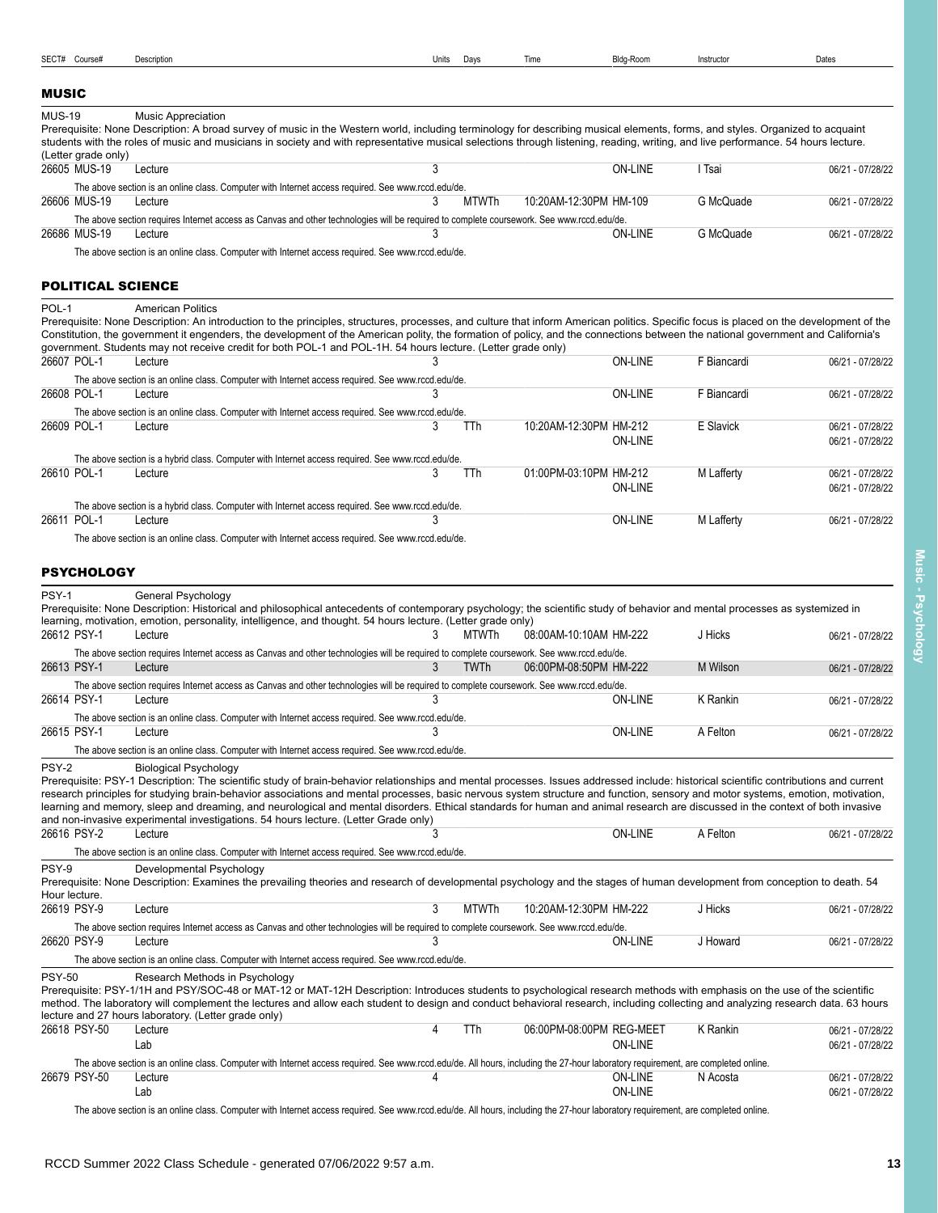| Units | Davs |
|-------|------|

# <span id="page-12-0"></span>MUSIC

MUS-19 Music Appreciation

<span id="page-12-2"></span><span id="page-12-1"></span>

| (Letter grade only)      | Prerequisite: None Description: A broad survey of music in the Western world, including terminology for describing musical elements, forms, and styles. Organized to acquaint<br>students with the roles of music and musicians in society and with representative musical selections through listening, reading, writing, and live performance. 54 hours lecture.                                                                                                                                                      |   |              |                          |                |             |                  |
|--------------------------|-------------------------------------------------------------------------------------------------------------------------------------------------------------------------------------------------------------------------------------------------------------------------------------------------------------------------------------------------------------------------------------------------------------------------------------------------------------------------------------------------------------------------|---|--------------|--------------------------|----------------|-------------|------------------|
| 26605 MUS-19             | Lecture                                                                                                                                                                                                                                                                                                                                                                                                                                                                                                                 | 3 |              |                          | <b>ON-LINE</b> | I Tsai      | 06/21 - 07/28/22 |
|                          | The above section is an online class. Computer with Internet access required. See www.rccd.edu/de.                                                                                                                                                                                                                                                                                                                                                                                                                      |   |              |                          |                |             |                  |
| 26606 MUS-19             | Lecture                                                                                                                                                                                                                                                                                                                                                                                                                                                                                                                 | 3 | <b>MTWTh</b> | 10:20AM-12:30PM HM-109   |                | G McQuade   | 06/21 - 07/28/22 |
|                          | The above section requires Internet access as Canvas and other technologies will be required to complete coursework. See www.rccd.edu/de.                                                                                                                                                                                                                                                                                                                                                                               |   |              |                          |                |             |                  |
| 26686 MUS-19             | Lecture                                                                                                                                                                                                                                                                                                                                                                                                                                                                                                                 | 3 |              |                          | <b>ON-LINE</b> | G McQuade   | 06/21 - 07/28/22 |
|                          | The above section is an online class. Computer with Internet access required. See www.rccd.edu/de.                                                                                                                                                                                                                                                                                                                                                                                                                      |   |              |                          |                |             |                  |
| <b>POLITICAL SCIENCE</b> |                                                                                                                                                                                                                                                                                                                                                                                                                                                                                                                         |   |              |                          |                |             |                  |
| POL-1                    |                                                                                                                                                                                                                                                                                                                                                                                                                                                                                                                         |   |              |                          |                |             |                  |
|                          | <b>American Politics</b><br>Prerequisite: None Description: An introduction to the principles, structures, processes, and culture that inform American politics. Specific focus is placed on the development of the<br>Constitution, the government it engenders, the development of the American polity, the formation of policy, and the connections between the national government and California's<br>government. Students may not receive credit for both POL-1 and POL-1H. 54 hours lecture. (Letter grade only) |   |              |                          |                |             |                  |
| 26607 POL-1              | Lecture                                                                                                                                                                                                                                                                                                                                                                                                                                                                                                                 | 3 |              |                          | <b>ON-LINE</b> | F Biancardi | 06/21 - 07/28/22 |
|                          | The above section is an online class. Computer with Internet access required. See www.rccd.edu/de.                                                                                                                                                                                                                                                                                                                                                                                                                      |   |              |                          |                |             |                  |
| 26608 POL-1              | Lecture                                                                                                                                                                                                                                                                                                                                                                                                                                                                                                                 |   |              |                          | ON-LINE        | F Biancardi | 06/21 - 07/28/22 |
|                          | The above section is an online class. Computer with Internet access required. See www.rccd.edu/de.                                                                                                                                                                                                                                                                                                                                                                                                                      |   |              |                          |                |             |                  |
| 26609 POL-1              | Lecture                                                                                                                                                                                                                                                                                                                                                                                                                                                                                                                 | 3 | TTh          | 10:20AM-12:30PM HM-212   |                | E Slavick   | 06/21 - 07/28/22 |
|                          |                                                                                                                                                                                                                                                                                                                                                                                                                                                                                                                         |   |              |                          | <b>ON-LINE</b> |             | 06/21 - 07/28/22 |
|                          | The above section is a hybrid class. Computer with Internet access required. See www.rccd.edu/de.                                                                                                                                                                                                                                                                                                                                                                                                                       |   |              |                          |                |             |                  |
| 26610 POL-1              | Lecture                                                                                                                                                                                                                                                                                                                                                                                                                                                                                                                 | 3 | TTh          | 01.00PM-03:10PM HM-212   |                | M Lafferty  | 06/21 - 07/28/22 |
|                          |                                                                                                                                                                                                                                                                                                                                                                                                                                                                                                                         |   |              |                          | <b>ON-LINE</b> |             | 06/21 - 07/28/22 |
|                          | The above section is a hybrid class. Computer with Internet access required. See www.rccd.edu/de.                                                                                                                                                                                                                                                                                                                                                                                                                       |   |              |                          |                |             |                  |
| 26611 POL-1              | Lecture                                                                                                                                                                                                                                                                                                                                                                                                                                                                                                                 |   |              |                          | <b>ON-LINE</b> | M Lafferty  | 06/21 - 07/28/22 |
|                          | The above section is an online class. Computer with Internet access required. See www.rccd.edu/de.                                                                                                                                                                                                                                                                                                                                                                                                                      |   |              |                          |                |             |                  |
|                          |                                                                                                                                                                                                                                                                                                                                                                                                                                                                                                                         |   |              |                          |                |             |                  |
| <b>PSYCHOLOGY</b>        |                                                                                                                                                                                                                                                                                                                                                                                                                                                                                                                         |   |              |                          |                |             |                  |
| PSY-1                    | General Psychology                                                                                                                                                                                                                                                                                                                                                                                                                                                                                                      |   |              |                          |                |             |                  |
|                          | Prerequisite: None Description: Historical and philosophical antecedents of contemporary psychology; the scientific study of behavior and mental processes as systemized in                                                                                                                                                                                                                                                                                                                                             |   |              |                          |                |             |                  |
| 26612 PSY-1              | learning, motivation, emotion, personality, intelligence, and thought. 54 hours lecture. (Letter grade only)<br>Lecture                                                                                                                                                                                                                                                                                                                                                                                                 | 3 | <b>MTWTh</b> | 08:00AM-10:10AM HM-222   |                | J Hicks     | 06/21 - 07/28/22 |
|                          | The above section requires Internet access as Canvas and other technologies will be required to complete coursework. See www.rccd.edu/de.                                                                                                                                                                                                                                                                                                                                                                               |   |              |                          |                |             |                  |
| 26613 PSY-1              | Lecture                                                                                                                                                                                                                                                                                                                                                                                                                                                                                                                 | 3 | <b>TWTh</b>  | 06:00PM-08:50PM HM-222   |                | M Wilson    | 06/21 - 07/28/22 |
|                          | The above section requires Internet access as Canvas and other technologies will be required to complete coursework. See www.rccd.edu/de.                                                                                                                                                                                                                                                                                                                                                                               |   |              |                          |                |             |                  |
| 26614 PSY-1              | Lecture                                                                                                                                                                                                                                                                                                                                                                                                                                                                                                                 |   |              |                          | <b>ON-LINE</b> | K Rankin    | 06/21 - 07/28/22 |
|                          | The above section is an online class. Computer with Internet access required. See www.rccd.edu/de.                                                                                                                                                                                                                                                                                                                                                                                                                      |   |              |                          |                |             |                  |
| 26615 PSY-1              | Lecture                                                                                                                                                                                                                                                                                                                                                                                                                                                                                                                 | 3 |              |                          | <b>ON-LINE</b> | A Felton    | 06/21 - 07/28/22 |
|                          | The above section is an online class. Computer with Internet access required. See www.rccd.edu/de.                                                                                                                                                                                                                                                                                                                                                                                                                      |   |              |                          |                |             |                  |
| PSY-2                    | <b>Biological Psychology</b>                                                                                                                                                                                                                                                                                                                                                                                                                                                                                            |   |              |                          |                |             |                  |
|                          | Prerequisite: PSY-1 Description: The scientific study of brain-behavior relationships and mental processes. Issues addressed include: historical scientific contributions and current                                                                                                                                                                                                                                                                                                                                   |   |              |                          |                |             |                  |
|                          | research principles for studying brain-behavior associations and mental processes, basic nervous system structure and function, sensory and motor systems, emotion, motivation,                                                                                                                                                                                                                                                                                                                                         |   |              |                          |                |             |                  |
|                          | learning and memory, sleep and dreaming, and neurological and mental disorders. Ethical standards for human and animal research are discussed in the context of both invasive<br>and non-invasive experimental investigations. 54 hours lecture. (Letter Grade only)                                                                                                                                                                                                                                                    |   |              |                          |                |             |                  |
| 26616 PSY-2              | Lecture                                                                                                                                                                                                                                                                                                                                                                                                                                                                                                                 | 3 |              |                          | <b>ON-LINE</b> | A Felton    | 06/21 - 07/28/22 |
|                          | The above section is an online class. Computer with Internet access required. See www.rccd.edu/de.                                                                                                                                                                                                                                                                                                                                                                                                                      |   |              |                          |                |             |                  |
| PSY-9                    |                                                                                                                                                                                                                                                                                                                                                                                                                                                                                                                         |   |              |                          |                |             |                  |
|                          | Developmental Psychology<br>Prerequisite: None Description: Examines the prevailing theories and research of developmental psychology and the stages of human development from conception to death. 54                                                                                                                                                                                                                                                                                                                  |   |              |                          |                |             |                  |
| Hour lecture.            |                                                                                                                                                                                                                                                                                                                                                                                                                                                                                                                         |   |              |                          |                |             |                  |
| 26619 PSY-9              | Lecture                                                                                                                                                                                                                                                                                                                                                                                                                                                                                                                 | 3 | <b>MTWTh</b> | 10:20AM-12:30PM HM-222   |                | J Hicks     | 06/21 - 07/28/22 |
|                          | The above section requires Internet access as Canvas and other technologies will be required to complete coursework. See www.rccd.edu/de.                                                                                                                                                                                                                                                                                                                                                                               |   |              |                          |                |             |                  |
| 26620 PSY-9              | Lecture                                                                                                                                                                                                                                                                                                                                                                                                                                                                                                                 | 3 |              |                          | <b>ON-LINE</b> | J Howard    | 06/21 - 07/28/22 |
|                          | The above section is an online class. Computer with Internet access required. See www.rccd.edu/de.                                                                                                                                                                                                                                                                                                                                                                                                                      |   |              |                          |                |             |                  |
| <b>PSY-50</b>            | Research Methods in Psychology                                                                                                                                                                                                                                                                                                                                                                                                                                                                                          |   |              |                          |                |             |                  |
|                          | Prerequisite: PSY-1/1H and PSY/SOC-48 or MAT-12 or MAT-12H Description: Introduces students to psychological research methods with emphasis on the use of the scientific<br>method. The laboratory will complement the lectures and allow each student to design and conduct behavioral research, including collecting and analyzing research data. 63 hours                                                                                                                                                            |   |              |                          |                |             |                  |
| 26618 PSY-50             | lecture and 27 hours laboratory. (Letter grade only)<br>Lecture                                                                                                                                                                                                                                                                                                                                                                                                                                                         | 4 | TTh          | 06:00PM-08:00PM REG-MEET |                | K Rankin    | 06/21 - 07/28/22 |
|                          | Lab                                                                                                                                                                                                                                                                                                                                                                                                                                                                                                                     |   |              |                          | <b>ON-LINE</b> |             | 06/21 - 07/28/22 |
|                          | The above section is an online class. Computer with Internet access required. See www.rccd.edu/de. All hours, including the 27-hour laboratory requirement, are completed online.                                                                                                                                                                                                                                                                                                                                       |   |              |                          |                |             |                  |
| 26679 PSY-50             | Lecture                                                                                                                                                                                                                                                                                                                                                                                                                                                                                                                 |   |              |                          | <b>ON-LINE</b> | N Acosta    | 06/21 - 07/28/22 |

The above section is an online class. Computer with Internet access required. See www.rccd.edu/de. All hours, including the 27-hour laboratory requirement, are completed online.

**Music - Psychology**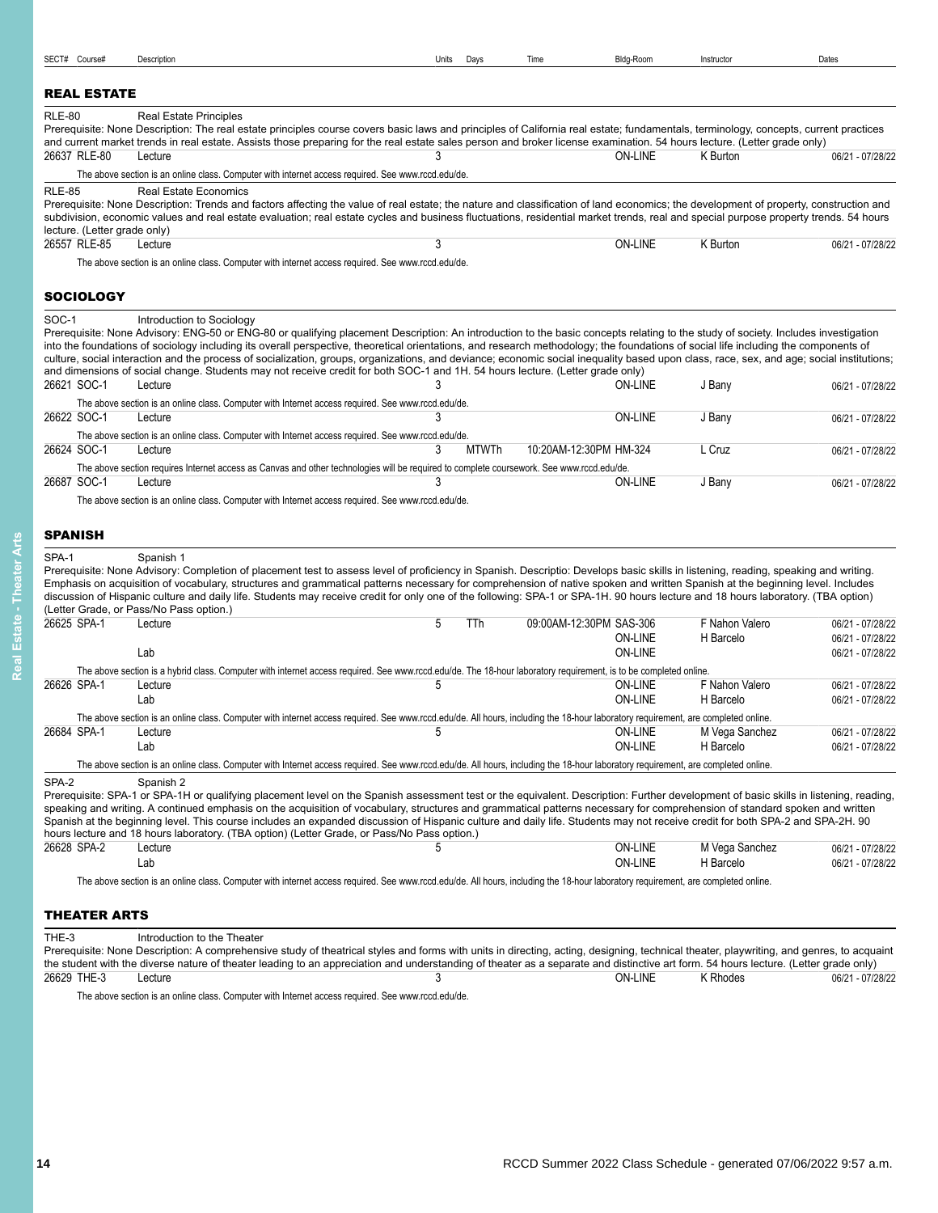<span id="page-13-1"></span><span id="page-13-0"></span>

| SECT# Course#                                 | Description                                                                                                                                                                                                                                                                                                                                                                                                                                                                                                                                                                                                                                                                                                                        | Units | Days  | Time                    | Bldg-Room                 | Instructor      | Dates                                |
|-----------------------------------------------|------------------------------------------------------------------------------------------------------------------------------------------------------------------------------------------------------------------------------------------------------------------------------------------------------------------------------------------------------------------------------------------------------------------------------------------------------------------------------------------------------------------------------------------------------------------------------------------------------------------------------------------------------------------------------------------------------------------------------------|-------|-------|-------------------------|---------------------------|-----------------|--------------------------------------|
| <b>REAL ESTATE</b>                            |                                                                                                                                                                                                                                                                                                                                                                                                                                                                                                                                                                                                                                                                                                                                    |       |       |                         |                           |                 |                                      |
| <b>RLE-80</b>                                 | <b>Real Estate Principles</b><br>Prerequisite: None Description: The real estate principles course covers basic laws and principles of California real estate; fundamentals, terminology, concepts, current practices<br>and current market trends in real estate. Assists those preparing for the real estate sales person and broker license examination. 54 hours lecture. (Letter grade only)                                                                                                                                                                                                                                                                                                                                  |       |       |                         |                           |                 |                                      |
| 26637 RLE-80                                  | Lecture                                                                                                                                                                                                                                                                                                                                                                                                                                                                                                                                                                                                                                                                                                                            | 3     |       |                         | ON-LINE                   | K Burton        | 06/21 - 07/28/22                     |
|                                               | The above section is an online class. Computer with internet access required. See www.rccd.edu/de.                                                                                                                                                                                                                                                                                                                                                                                                                                                                                                                                                                                                                                 |       |       |                         |                           |                 |                                      |
| <b>RLE-85</b><br>lecture. (Letter grade only) | <b>Real Estate Economics</b><br>Prerequisite: None Description: Trends and factors affecting the value of real estate; the nature and classification of land economics; the development of property, construction and<br>subdivision, economic values and real estate evaluation; real estate cycles and business fluctuations, residential market trends, real and special purpose property trends. 54 hours                                                                                                                                                                                                                                                                                                                      |       |       |                         |                           |                 |                                      |
| 26557 RLE-85                                  | Lecture                                                                                                                                                                                                                                                                                                                                                                                                                                                                                                                                                                                                                                                                                                                            | 3     |       |                         | ON-LINE                   | K Burton        | 06/21 - 07/28/22                     |
|                                               | The above section is an online class. Computer with internet access required. See www.rccd.edu/de.                                                                                                                                                                                                                                                                                                                                                                                                                                                                                                                                                                                                                                 |       |       |                         |                           |                 |                                      |
| <b>SOCIOLOGY</b>                              |                                                                                                                                                                                                                                                                                                                                                                                                                                                                                                                                                                                                                                                                                                                                    |       |       |                         |                           |                 |                                      |
| <b>SOC-1</b>                                  | Introduction to Sociology<br>Prerequisite: None Advisory: ENG-50 or ENG-80 or qualifying placement Description: An introduction to the basic concepts relating to the study of society. Includes investigation<br>into the foundations of sociology including its overall perspective, theoretical orientations, and research methodology; the foundations of social life including the components of<br>culture, social interaction and the process of socialization, groups, organizations, and deviance; economic social inequality based upon class, race, sex, and age; social institutions;<br>and dimensions of social change. Students may not receive credit for both SOC-1 and 1H. 54 hours lecture. (Letter grade only) | 3     |       |                         |                           |                 |                                      |
| 26621 SOC-1                                   | Lecture<br>The above section is an online class. Computer with Internet access required. See www.rccd.edu/de.                                                                                                                                                                                                                                                                                                                                                                                                                                                                                                                                                                                                                      |       |       |                         | ON-LINE                   | J Bany          | 06/21 - 07/28/22                     |
| 26622 SOC-1                                   | Lecture                                                                                                                                                                                                                                                                                                                                                                                                                                                                                                                                                                                                                                                                                                                            | 3     |       |                         | <b>ON-LINE</b>            | J Bany          | 06/21 - 07/28/22                     |
| 26624 SOC-1                                   | The above section is an online class. Computer with Internet access required. See www.rccd.edu/de.<br>Lecture                                                                                                                                                                                                                                                                                                                                                                                                                                                                                                                                                                                                                      | 3     | MTWTh | 10:20AM-12:30PM HM-324  |                           | L Cruz          | 06/21 - 07/28/22                     |
|                                               | The above section requires Internet access as Canvas and other technologies will be required to complete coursework. See www.rccd.edu/de.                                                                                                                                                                                                                                                                                                                                                                                                                                                                                                                                                                                          |       |       |                         |                           |                 |                                      |
| 26687 SOC-1                                   | Lecture<br>The above section is an online class. Computer with Internet access required. See www.rccd.edu/de.                                                                                                                                                                                                                                                                                                                                                                                                                                                                                                                                                                                                                      | 3     |       |                         | ON-LINE                   | J Bany          | 06/21 - 07/28/22                     |
| <b>SPANISH</b><br>SPA-1                       | Spanish 1<br>Prerequisite: None Advisory: Completion of placement test to assess level of proficiency in Spanish. Descriptio: Develops basic skills in listening, reading, speaking and writing.<br>Emphasis on acquisition of vocabulary, structures and grammatical patterns necessary for comprehension of native spoken and written Spanish at the beginning level. Includes<br>discussion of Hispanic culture and daily life. Students may receive credit for only one of the following: SPA-1 or SPA-1H. 90 hours lecture and 18 hours laboratory. (TBA option)<br>(Letter Grade, or Pass/No Pass option.)                                                                                                                   |       |       |                         |                           |                 |                                      |
| 26625 SPA-1                                   | Lecture                                                                                                                                                                                                                                                                                                                                                                                                                                                                                                                                                                                                                                                                                                                            | 5     | TTh   | 09:00AM-12:30PM SAS-306 |                           | F Nahon Valero  | 06/21 - 07/28/22                     |
|                                               | Lab                                                                                                                                                                                                                                                                                                                                                                                                                                                                                                                                                                                                                                                                                                                                |       |       |                         | ON-LINE<br><b>ON-LINE</b> | H Barcelo       | 06/21 - 07/28/22<br>06/21 - 07/28/22 |
|                                               | The above section is a hybrid class. Computer with internet access required. See www.rccd.edu/de. The 18-hour laboratory requirement, is to be completed online.                                                                                                                                                                                                                                                                                                                                                                                                                                                                                                                                                                   |       |       |                         |                           |                 |                                      |
| 26626 SPA-1                                   | Lecture                                                                                                                                                                                                                                                                                                                                                                                                                                                                                                                                                                                                                                                                                                                            | 5     |       |                         | <b>ON-LINE</b><br>ON-LINE | F Nahon Valero  | 06/21 - 07/28/22                     |
|                                               | Lab                                                                                                                                                                                                                                                                                                                                                                                                                                                                                                                                                                                                                                                                                                                                |       |       |                         |                           | H Barcelo       | 06/21 - 07/28/22                     |
| 26684 SPA-1                                   | The above section is an online class. Computer with internet access required. See www.rccd.edu/de. All hours, including the 18-hour laboratory requirement, are completed online.<br>Lecture                                                                                                                                                                                                                                                                                                                                                                                                                                                                                                                                       |       |       |                         | ON-LINE                   | M Vega Sanchez  | 06/21 - 07/28/22                     |
|                                               | Lab                                                                                                                                                                                                                                                                                                                                                                                                                                                                                                                                                                                                                                                                                                                                |       |       |                         | ON-LINE                   | H Barcelo       | 06/21 - 07/28/22                     |
|                                               | The above section is an online class. Computer with Internet access required. See www.rccd.edu/de. All hours, including the 18-hour laboratory requirement, are completed online.                                                                                                                                                                                                                                                                                                                                                                                                                                                                                                                                                  |       |       |                         |                           |                 |                                      |
| SPA-2                                         | Spanish 2<br>Prerequisite: SPA-1 or SPA-1H or qualifying placement level on the Spanish assessment test or the equivalent. Description: Further development of basic skills in listening, reading,<br>speaking and writing. A continued emphasis on the acquisition of vocabulary, structures and grammatical patterns necessary for comprehension of standard spoken and written<br>Spanish at the beginning level. This course includes an expanded discussion of Hispanic culture and daily life. Students may not receive credit for both SPA-2 and SPA-2H. 90<br>hours lecture and 18 hours laboratory. (TBA option) (Letter Grade, or Pass/No Pass option.)                                                                  |       |       |                         |                           |                 |                                      |
| 26628 SPA-2                                   | Lecture                                                                                                                                                                                                                                                                                                                                                                                                                                                                                                                                                                                                                                                                                                                            | 5     |       |                         | ON-LINE                   | M Vega Sanchez  | 06/21 - 07/28/22                     |
|                                               | Lab<br>The above section is an online class. Computer with internet access required. See www.rccd.edu/de. All hours, including the 18-hour laboratory requirement, are completed online.                                                                                                                                                                                                                                                                                                                                                                                                                                                                                                                                           |       |       |                         | ON-LINE                   | H Barcelo       | 06/21 - 07/28/22                     |
|                                               |                                                                                                                                                                                                                                                                                                                                                                                                                                                                                                                                                                                                                                                                                                                                    |       |       |                         |                           |                 |                                      |
| THEATER ARTS                                  |                                                                                                                                                                                                                                                                                                                                                                                                                                                                                                                                                                                                                                                                                                                                    |       |       |                         |                           |                 |                                      |
| THE-3                                         | Introduction to the Theater<br>Prerequisite: None Description: A comprehensive study of theatrical styles and forms with units in directing, acting, designing, technical theater, playwriting, and genres, to acquaint                                                                                                                                                                                                                                                                                                                                                                                                                                                                                                            |       |       |                         |                           |                 |                                      |
|                                               | the student with the diverse nature of theater leading to an appreciation and understanding of theater as a separate and distinctive art form. 54 hours lecture. (Letter grade only)                                                                                                                                                                                                                                                                                                                                                                                                                                                                                                                                               |       |       |                         |                           |                 |                                      |
| 26629 THE-3                                   | Lecture                                                                                                                                                                                                                                                                                                                                                                                                                                                                                                                                                                                                                                                                                                                            | 3     |       |                         | ON-LINE                   | <b>K</b> Rhodes | 06/21 - 07/28/22                     |

<span id="page-13-3"></span>The above section is an online class. Computer with Internet access required. See www.rccd.edu/de.

<span id="page-13-2"></span>**Real Estate - Theater Arts**

Real Estate - Theater Arts